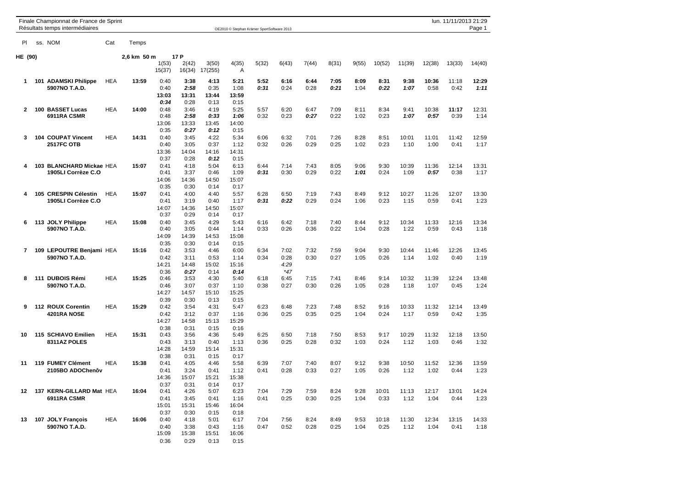|              | Finale Championnat de France de Sprint<br>Résultats temps intermédiaires |            |             |                 |                 |                  | OE2010 © Stephan Krämer SportSoftware 2013 |              |              |              |              |              |              |               |               | lun. 11/11/2013 21:29 | Page 1        |
|--------------|--------------------------------------------------------------------------|------------|-------------|-----------------|-----------------|------------------|--------------------------------------------|--------------|--------------|--------------|--------------|--------------|--------------|---------------|---------------|-----------------------|---------------|
| PI.          | ss. NOM                                                                  | Cat        | Temps       |                 |                 |                  |                                            |              |              |              |              |              |              |               |               |                       |               |
| HE (90)      |                                                                          |            | 2,6 km 50 m |                 | 17 P            |                  |                                            |              |              |              |              |              |              |               |               |                       |               |
|              |                                                                          |            |             | 1(53)<br>15(37) | 2(42)<br>16(34) | 3(50)<br>17(255) | 4(35)<br>Α                                 | 5(32)        | 6(43)        | 7(44)        | 8(31)        | 9(55)        | 10(52)       | 11(39)        | 12(38)        | 13(33)                | 14(40)        |
| 1.           | 101 ADAMSKI Philippe                                                     | <b>HEA</b> | 13:59       | 0:40            | 3:38            | 4:13             | 5:21                                       | 5:52         | 6:16         | 6:44         | 7:05         | 8:09         | 8:31         | 9:38          | 10:36         | 11:18                 | 12:29         |
|              | 5907NO T.A.D.                                                            |            |             | 0:40            | 2:58            | 0:35             | 1:08                                       | 0:31         | 0:24         | 0:28         | 0:21         | 1:04         | 0:22         | 1:07          | 0:58          | 0:42                  | 1:11          |
|              |                                                                          |            |             | 13:03           | 13:31           | 13:44            | 13:59                                      |              |              |              |              |              |              |               |               |                       |               |
|              |                                                                          |            |             | 0:34            | 0:28            | 0:13             | 0:15                                       |              |              |              |              |              |              |               |               |                       |               |
| $\mathbf{2}$ | 100 BASSET Lucas<br>6911RA CSMR                                          | <b>HEA</b> | 14:00       | 0:48<br>0:48    | 3:46<br>2:58    | 4:19<br>0:33     | 5:25<br>1:06                               | 5:57<br>0:32 | 6:20<br>0:23 | 6:47<br>0:27 | 7:09<br>0:22 | 8:11<br>1:02 | 8:34<br>0:23 | 9:41<br>1:07  | 10:38<br>0:57 | 11:17<br>0:39         | 12:31<br>1:14 |
|              |                                                                          |            |             | 13:06           | 13:33           | 13:45            | 14:00                                      |              |              |              |              |              |              |               |               |                       |               |
|              |                                                                          |            |             | 0:35            | 0:27            | 0:12             | 0:15                                       |              |              |              |              |              |              |               |               |                       |               |
| 3            | 104 COUPAT Vincent                                                       | <b>HEA</b> | 14:31       | 0:40            | 3:45            | 4:22             | 5:34                                       | 6:06         | 6:32         | 7:01         | 7:26         | 8:28         | 8:51         | 10:01         | 11:01         | 11:42                 | 12:59         |
|              | <b>2517FC OTB</b>                                                        |            |             | 0:40            | 3:05            | 0:37             | 1:12                                       | 0:32         | 0:26         | 0:29         | 0:25         | 1:02         | 0:23         | 1:10          | 1:00          | 0:41                  | 1:17          |
|              |                                                                          |            |             | 13:36           | 14:04           | 14:16            | 14:31                                      |              |              |              |              |              |              |               |               |                       |               |
|              |                                                                          |            |             | 0:37            | 0:28            | 0:12             | 0:15                                       |              |              |              |              |              |              |               |               |                       |               |
| 4            | 103 BLANCHARD Mickae HEA<br>1905LI Corrèze C.O                           |            | 15:07       | 0:41<br>0:41    | 4:18<br>3:37    | 5:04<br>0:46     | 6:13<br>1:09                               | 6:44<br>0:31 | 7:14<br>0:30 | 7:43<br>0:29 | 8:05<br>0:22 | 9:06<br>1:01 | 9:30<br>0:24 | 10:39<br>1:09 | 11:36<br>0:57 | 12:14<br>0:38         | 13:31<br>1:17 |
|              |                                                                          |            |             | 14:06           | 14:36           | 14:50            | 15:07                                      |              |              |              |              |              |              |               |               |                       |               |
|              |                                                                          |            |             | 0:35            | 0:30            | 0:14             | 0:17                                       |              |              |              |              |              |              |               |               |                       |               |
| 4            | 105 CRESPIN Célestin                                                     | <b>HEA</b> | 15:07       | 0:41            | 4:00            | 4:40             | 5:57                                       | 6:28         | 6:50         | 7:19         | 7:43         | 8:49         | 9:12         | 10:27         | 11:26         | 12:07                 | 13:30         |
|              | 1905LI Corrèze C.O                                                       |            |             | 0:41            | 3:19            | 0:40             | 1:17                                       | 0:31         | 0:22         | 0:29         | 0:24         | 1:06         | 0:23         | 1:15          | 0:59          | 0:41                  | 1:23          |
|              |                                                                          |            |             | 14:07           | 14:36           | 14:50            | 15:07                                      |              |              |              |              |              |              |               |               |                       |               |
|              |                                                                          |            |             | 0:37            | 0:29            | 0:14             | 0:17                                       |              |              |              |              |              |              |               |               |                       |               |
| 6            | 113 JOLY Philippe<br>5907NO T.A.D.                                       | <b>HEA</b> | 15:08       | 0:40<br>0:40    | 3:45<br>3:05    | 4:29<br>0:44     | 5:43<br>1:14                               | 6:16<br>0:33 | 6:42<br>0:26 | 7:18<br>0:36 | 7:40<br>0:22 | 8:44<br>1:04 | 9:12<br>0:28 | 10:34<br>1:22 | 11:33<br>0:59 | 12:16<br>0:43         | 13:34<br>1:18 |
|              |                                                                          |            |             | 14:09           | 14:39           | 14:53            | 15:08                                      |              |              |              |              |              |              |               |               |                       |               |
|              |                                                                          |            |             | 0:35            | 0:30            | 0:14             | 0:15                                       |              |              |              |              |              |              |               |               |                       |               |
| 7            | 109 LEPOUTRE Benjami HEA                                                 |            | 15:16       | 0:42            | 3:53            | 4:46             | 6:00                                       | 6:34         | 7:02         | 7:32         | 7:59         | 9:04         | 9:30         | 10:44         | 11:46         | 12:26                 | 13:45         |
|              | 5907NO T.A.D.                                                            |            |             | 0:42            | 3:11            | 0:53             | 1:14                                       | 0:34         | 0:28         | 0:30         | 0:27         | 1:05         | 0:26         | 1:14          | 1:02          | 0:40                  | 1:19          |
|              |                                                                          |            |             | 14:21           | 14:48           | 15:02            | 15:16                                      |              | 4:29         |              |              |              |              |               |               |                       |               |
|              |                                                                          |            |             | 0:36            | 0:27            | 0:14             | 0:14                                       |              | $*47$        |              |              |              |              |               |               |                       |               |
| 8            | 111 DUBOIS Rémi                                                          | <b>HEA</b> | 15:25       | 0:46            | 3:53            | 4:30             | 5:40                                       | 6:18         | 6:45         | 7:15         | 7:41         | 8:46         | 9:14         | 10:32         | 11:39         | 12:24                 | 13:48         |
|              | 5907NO T.A.D.                                                            |            |             | 0:46<br>14:27   | 3:07<br>14:57   | 0:37<br>15:10    | 1:10<br>15:25                              | 0:38         | 0:27         | 0:30         | 0:26         | 1:05         | 0:28         | 1:18          | 1:07          | 0:45                  | 1:24          |
|              |                                                                          |            |             | 0:39            | 0:30            | 0:13             | 0:15                                       |              |              |              |              |              |              |               |               |                       |               |
| 9            | 112 ROUX Corentin                                                        | <b>HEA</b> | 15:29       | 0:42            | 3:54            | 4:31             | 5:47                                       | 6:23         | 6:48         | 7:23         | 7:48         | 8:52         | 9:16         | 10:33         | 11:32         | 12:14                 | 13:49         |
|              | 4201RA NOSE                                                              |            |             | 0:42            | 3:12            | 0:37             | 1:16                                       | 0:36         | 0:25         | 0:35         | 0:25         | 1:04         | 0:24         | 1:17          | 0:59          | 0:42                  | 1:35          |
|              |                                                                          |            |             | 14:27           | 14:58           | 15:13            | 15:29                                      |              |              |              |              |              |              |               |               |                       |               |
|              |                                                                          |            |             | 0:38            | 0:31            | 0:15             | 0:16                                       |              |              |              |              |              |              |               |               |                       |               |
| 10           | 115 SCHIAVO Emilien                                                      | <b>HEA</b> | 15:31       | 0:43            | 3:56            | 4:36             | 5:49                                       | 6:25         | 6:50         | 7:18         | 7:50         | 8:53         | 9:17         | 10:29         | 11:32         | 12:18                 | 13:50         |
|              | 8311AZ POLES                                                             |            |             | 0:43<br>14:28   | 3:13<br>14:59   | 0:40<br>15:14    | 1:13<br>15:31                              | 0:36         | 0:25         | 0:28         | 0:32         | 1:03         | 0:24         | 1:12          | 1:03          | 0:46                  | 1:32          |
|              |                                                                          |            |             | 0:38            | 0:31            | 0:15             | 0:17                                       |              |              |              |              |              |              |               |               |                       |               |
| 11           | 119 FUMEY Clément                                                        | <b>HEA</b> | 15:38       | 0:41            | 4:05            | 4:46             | 5:58                                       | 6:39         | 7:07         | 7:40         | 8:07         | 9:12         | 9:38         | 10:50         | 11:52         | 12:36                 | 13:59         |
|              | 2105BO ADOChenôv                                                         |            |             | 0:41            | 3:24            | 0:41             | 1:12                                       | 0:41         | 0:28         | 0:33         | 0:27         | 1:05         | 0:26         | 1:12          | 1:02          | 0:44                  | 1:23          |
|              |                                                                          |            |             | 14:36           | 15:07           | 15:21            | 15:38                                      |              |              |              |              |              |              |               |               |                       |               |
|              |                                                                          |            |             | 0:37            | 0:31            | 0:14             | 0:17                                       |              |              |              |              |              |              |               |               |                       |               |
| 12           | 137 KERN-GILLARD Mat HEA                                                 |            | 16:04       | 0:41            | 4:26            | 5:07             | 6:23                                       | 7:04         | 7:29         | 7:59         | 8:24         | 9:28         | 10:01        | 11:13         | 12:17         | 13:01                 | 14:24         |
|              | 6911RA CSMR                                                              |            |             | 0:41            | 3:45            | 0:41             | 1:16                                       | 0:41         | 0:25         | 0:30         | 0:25         | 1:04         | 0:33         | 1:12          | 1:04          | 0:44                  | 1:23          |
|              |                                                                          |            |             | 15:01<br>0:37   | 15:31<br>0:30   | 15:46<br>0:15    | 16:04<br>0:18                              |              |              |              |              |              |              |               |               |                       |               |
| 13           | 107 JOLY François                                                        | <b>HEA</b> | 16:06       | 0:40            | 4:18            | 5:01             | 6:17                                       | 7:04         | 7:56         | 8:24         | 8:49         | 9:53         | 10:18        | 11:30         | 12:34         | 13:15                 | 14:33         |
|              | 5907NO T.A.D.                                                            |            |             | 0:40            | 3:38            | 0:43             | 1:16                                       | 0:47         | 0:52         | 0:28         | 0:25         | 1:04         | 0:25         | 1:12          | 1:04          | 0:41                  | 1:18          |
|              |                                                                          |            |             | 15:09           | 15:38           | 15:51            | 16:06                                      |              |              |              |              |              |              |               |               |                       |               |
|              |                                                                          |            |             | 0:36            | 0:29            | 0:13             | 0:15                                       |              |              |              |              |              |              |               |               |                       |               |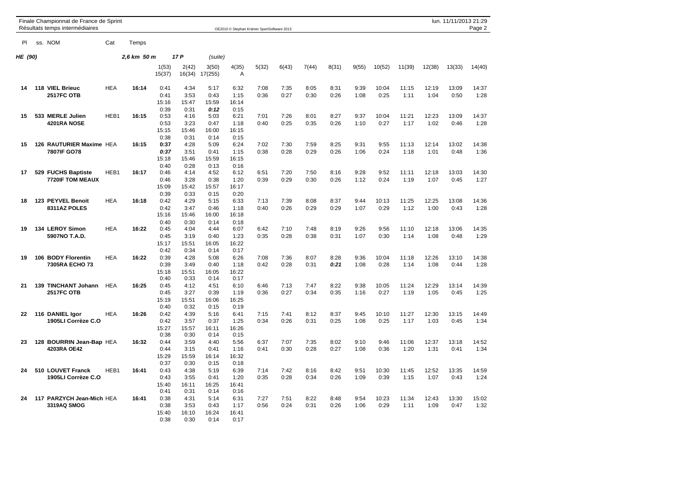|                | Finale Championnat de France de Sprint<br>Résultats temps intermédiaires |            |             |                               |                               |                               |                               | OE2010 © Stephan Krämer SportSoftware 2013 |              |              |              |              |               |               |               | lun. 11/11/2013 21:29 | Page 2        |
|----------------|--------------------------------------------------------------------------|------------|-------------|-------------------------------|-------------------------------|-------------------------------|-------------------------------|--------------------------------------------|--------------|--------------|--------------|--------------|---------------|---------------|---------------|-----------------------|---------------|
| PI.            | ss. NOM                                                                  | Cat        | Temps       |                               |                               |                               |                               |                                            |              |              |              |              |               |               |               |                       |               |
| <b>HE</b> (90) |                                                                          |            | 2,6 km 50 m |                               | 17 P                          | (suite)                       |                               |                                            |              |              |              |              |               |               |               |                       |               |
|                |                                                                          |            |             | 1(53)<br>15(37)               | 2(42)<br>16(34)               | 3(50)<br>17(255)              | 4(35)<br>Α                    | 5(32)                                      | 6(43)        | 7(44)        | 8(31)        | 9(55)        | 10(52)        | 11(39)        | 12(38)        | 13(33)                | 14(40)        |
| 14             | 118 VIEL Brieuc<br><b>2517FC OTB</b>                                     | <b>HEA</b> | 16:14       | 0:41<br>0:41<br>15:16<br>0:39 | 4:34<br>3:53<br>15:47<br>0:31 | 5:17<br>0:43<br>15:59<br>0:12 | 6:32<br>1:15<br>16:14<br>0:15 | 7:08<br>0:36                               | 7:35<br>0:27 | 8:05<br>0:30 | 8:31<br>0:26 | 9:39<br>1:08 | 10:04<br>0:25 | 11:15<br>1:11 | 12:19<br>1:04 | 13:09<br>0:50         | 14:37<br>1:28 |
| 15             | 533 MERLE Julien<br>4201RA NOSE                                          | HEB1       | 16:15       | 0:53<br>0:53<br>15:15<br>0:38 | 4:16<br>3:23<br>15:46<br>0:31 | 5:03<br>0:47<br>16:00<br>0:14 | 6:21<br>1:18<br>16:15<br>0:15 | 7:01<br>0:40                               | 7:26<br>0:25 | 8:01<br>0:35 | 8:27<br>0:26 | 9:37<br>1:10 | 10:04<br>0:27 | 11:21<br>1:17 | 12:23<br>1:02 | 13:09<br>0:46         | 14:37<br>1:28 |
| 15             | 126 RAUTURIER Maxime HEA<br>7807IF GO78                                  |            | 16:15       | 0:37<br>0:37<br>15:18<br>0:40 | 4:28<br>3:51<br>15:46<br>0:28 | 5:09<br>0:41<br>15:59<br>0:13 | 6:24<br>1:15<br>16:15<br>0:16 | 7:02<br>0:38                               | 7:30<br>0:28 | 7:59<br>0:29 | 8:25<br>0:26 | 9:31<br>1:06 | 9:55<br>0:24  | 11:13<br>1:18 | 12:14<br>1:01 | 13:02<br>0:48         | 14:38<br>1:36 |
| 17             | 529 FUCHS Baptiste<br>7720IF TOM MEAUX                                   | HEB1       | 16:17       | 0:46<br>0:46<br>15:09<br>0:39 | 4:14<br>3:28<br>15:42<br>0:33 | 4:52<br>0:38<br>15:57<br>0:15 | 6:12<br>1:20<br>16:17<br>0:20 | 6:51<br>0:39                               | 7:20<br>0:29 | 7:50<br>0:30 | 8:16<br>0:26 | 9:28<br>1:12 | 9:52<br>0:24  | 11:11<br>1:19 | 12:18<br>1:07 | 13:03<br>0:45         | 14:30<br>1:27 |
| 18             | 123 PEYVEL Benoit<br>8311AZ POLES                                        | <b>HEA</b> | 16:18       | 0:42<br>0:42<br>15:16<br>0:40 | 4:29<br>3:47<br>15:46<br>0:30 | 5:15<br>0:46<br>16:00<br>0:14 | 6:33<br>1:18<br>16:18<br>0:18 | 7:13<br>0:40                               | 7:39<br>0:26 | 8:08<br>0:29 | 8:37<br>0:29 | 9:44<br>1:07 | 10:13<br>0:29 | 11:25<br>1:12 | 12:25<br>1:00 | 13:08<br>0:43         | 14:36<br>1:28 |
| 19             | 134 LEROY Simon<br>5907NO T.A.D.                                         | <b>HEA</b> | 16:22       | 0:45<br>0:45<br>15:17<br>0:42 | 4:04<br>3:19<br>15:51<br>0:34 | 4:44<br>0:40<br>16:05<br>0:14 | 6:07<br>1:23<br>16:22<br>0:17 | 6:42<br>0:35                               | 7:10<br>0:28 | 7:48<br>0:38 | 8:19<br>0:31 | 9:26<br>1:07 | 9:56<br>0:30  | 11:10<br>1:14 | 12:18<br>1:08 | 13:06<br>0:48         | 14:35<br>1:29 |
| 19             | 106 BODY Florentin<br>7305RA ECHO 73                                     | <b>HEA</b> | 16:22       | 0:39<br>0:39<br>15:18<br>0:40 | 4:28<br>3:49<br>15:51<br>0:33 | 5:08<br>0:40<br>16:05<br>0:14 | 6:26<br>1:18<br>16:22<br>0:17 | 7:08<br>0:42                               | 7:36<br>0:28 | 8:07<br>0:31 | 8:28<br>0:21 | 9:36<br>1:08 | 10:04<br>0:28 | 11:18<br>1:14 | 12:26<br>1:08 | 13:10<br>0:44         | 14:38<br>1:28 |
| 21             | 139 TINCHANT Johann<br><b>2517FC OTB</b>                                 | <b>HEA</b> | 16:25       | 0:45<br>0:45<br>15:19<br>0:40 | 4:12<br>3:27<br>15:51<br>0:32 | 4:51<br>0:39<br>16:06<br>0:15 | 6:10<br>1:19<br>16:25<br>0:19 | 6:46<br>0:36                               | 7:13<br>0:27 | 7:47<br>0:34 | 8:22<br>0:35 | 9:38<br>1:16 | 10:05<br>0:27 | 11:24<br>1:19 | 12:29<br>1:05 | 13:14<br>0:45         | 14:39<br>1:25 |
| 22             | 116 DANIEL Igor<br>1905LI Corrèze C.O                                    | <b>HEA</b> | 16:26       | 0:42<br>0:42<br>15:27<br>0:38 | 4:39<br>3:57<br>15:57<br>0:30 | 5:16<br>0:37<br>16:11<br>0:14 | 6:41<br>1:25<br>16:26<br>0:15 | 7:15<br>0:34                               | 7:41<br>0:26 | 8:12<br>0:31 | 8:37<br>0:25 | 9:45<br>1:08 | 10:10<br>0:25 | 11:27<br>1:17 | 12:30<br>1:03 | 13:15<br>0:45         | 14:49<br>1:34 |
| 23             | 128 BOURRIN Jean-Bap HEA<br>4203RA OE42                                  |            | 16:32       | 0:44<br>0:44<br>15:29<br>0:37 | 3:59<br>3:15<br>15:59<br>0:30 | 4:40<br>0:41<br>16:14<br>0:15 | 5:56<br>1:16<br>16:32<br>0:18 | 6:37<br>0:41                               | 7:07<br>0:30 | 7:35<br>0:28 | 8:02<br>0:27 | 9:10<br>1:08 | 9:46<br>0:36  | 11:06<br>1:20 | 12:37<br>1:31 | 13:18<br>0:41         | 14:52<br>1:34 |
| 24             | 510 LOUVET Franck<br>1905LI Corrèze C.O                                  | HEB1       | 16:41       | 0:43<br>0:43<br>15:40<br>0:41 | 4:38<br>3:55<br>16:11<br>0:31 | 5:19<br>0:41<br>16:25<br>0:14 | 6:39<br>1:20<br>16:41<br>0:16 | 7:14<br>0:35                               | 7:42<br>0:28 | 8:16<br>0:34 | 8:42<br>0:26 | 9:51<br>1:09 | 10:30<br>0:39 | 11:45<br>1:15 | 12:52<br>1:07 | 13:35<br>0:43         | 14:59<br>1:24 |
| 24             | 117 PARZYCH Jean-Mich HEA<br>3319AQ SMOG                                 |            | 16:41       | 0:38<br>0:38<br>15:40<br>0:38 | 4:31<br>3:53<br>16:10<br>0:30 | 5:14<br>0:43<br>16:24<br>0:14 | 6:31<br>1:17<br>16:41<br>0:17 | 7:27<br>0:56                               | 7:51<br>0:24 | 8:22<br>0:31 | 8:48<br>0:26 | 9:54<br>1:06 | 10:23<br>0:29 | 11:34<br>1:11 | 12:43<br>1:09 | 13:30<br>0:47         | 15:02<br>1:32 |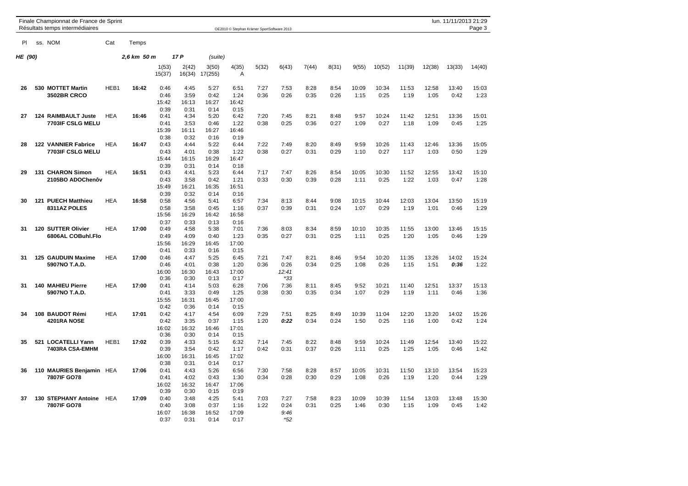|         | Finale Championnat de France de Sprint<br>Résultats temps intermédiaires |            |             |                                       |                                       |                                       |                                       | OE2010 © Stephan Krämer SportSoftware 2013 |                                |              |              |               |               |               |               | lun. 11/11/2013 21:29 | Page 3        |
|---------|--------------------------------------------------------------------------|------------|-------------|---------------------------------------|---------------------------------------|---------------------------------------|---------------------------------------|--------------------------------------------|--------------------------------|--------------|--------------|---------------|---------------|---------------|---------------|-----------------------|---------------|
| PI      | ss. NOM                                                                  | Cat        | Temps       |                                       |                                       |                                       |                                       |                                            |                                |              |              |               |               |               |               |                       |               |
| HE (90) |                                                                          |            | 2,6 km 50 m |                                       | 17 P                                  | (suite)                               |                                       |                                            |                                |              |              |               |               |               |               |                       |               |
|         |                                                                          |            |             | 1(53)<br>15(37)                       | 2(42)<br>16(34)                       | 3(50)<br>17(255)                      | 4(35)<br>A                            | 5(32)                                      | 6(43)                          | 7(44)        | 8(31)        | 9(55)         | 10(52)        | 11(39)        | 12(38)        | 13(33)                | 14(40)        |
| 26      | 530 MOTTET Martin<br><b>3502BR CRCO</b>                                  | HEB1       | 16:42       | 0:46<br>0:46<br>15:42                 | 4:45<br>3:59<br>16:13                 | 5:27<br>0:42<br>16:27                 | 6:51<br>1:24<br>16:42                 | 7:27<br>0:36                               | 7:53<br>0:26                   | 8:28<br>0:35 | 8:54<br>0:26 | 10:09<br>1:15 | 10:34<br>0:25 | 11:53<br>1:19 | 12:58<br>1:05 | 13:40<br>0:42         | 15:03<br>1:23 |
| 27      | <b>124 RAIMBAULT Juste</b><br>7703IF CSLG MELU                           | <b>HEA</b> | 16:46       | 0:39<br>0:41<br>0:41<br>15:39         | 0:31<br>4:34<br>3:53<br>16:11         | 0:14<br>5:20<br>0:46<br>16:27         | 0:15<br>6:42<br>1:22<br>16:46         | 7:20<br>0:38                               | 7:45<br>0:25                   | 8:21<br>0:36 | 8:48<br>0:27 | 9:57<br>1:09  | 10:24<br>0:27 | 11:42<br>1:18 | 12:51<br>1:09 | 13:36<br>0:45         | 15:01<br>1:25 |
| 28      | <b>122 VANNIER Fabrice</b><br>7703IF CSLG MELU                           | <b>HEA</b> | 16:47       | 0:38<br>0:43<br>0:43<br>15:44         | 0:32<br>4:44<br>4:01<br>16:15         | 0:16<br>5:22<br>0:38<br>16:29         | 0:19<br>6:44<br>1:22<br>16:47         | 7:22<br>0:38                               | 7:49<br>0:27                   | 8:20<br>0:31 | 8:49<br>0:29 | 9:59<br>1:10  | 10:26<br>0:27 | 11:43<br>1:17 | 12:46<br>1:03 | 13:36<br>0:50         | 15:05<br>1:29 |
| 29      | 131 CHARON Simon<br>2105BO ADOChenôv                                     | <b>HEA</b> | 16:51       | 0:39<br>0:43<br>0:43<br>15:49         | 0:31<br>4:41<br>3:58<br>16:21         | 0:14<br>5:23<br>0:42<br>16:35         | 0:18<br>6:44<br>1:21<br>16:51         | 7:17<br>0:33                               | 7:47<br>0:30                   | 8:26<br>0:39 | 8:54<br>0:28 | 10:05<br>1:11 | 10:30<br>0:25 | 11:52<br>1:22 | 12:55<br>1:03 | 13:42<br>0:47         | 15:10<br>1:28 |
| 30      | <b>121 PUECH Matthieu</b><br>8311AZ POLES                                | <b>HEA</b> | 16:58       | 0:39<br>0:58<br>0:58<br>15:56         | 0:32<br>4:56<br>3:58<br>16:29         | 0:14<br>5:41<br>0:45<br>16:42         | 0:16<br>6:57<br>1:16<br>16:58         | 7:34<br>0:37                               | 8:13<br>0:39                   | 8:44<br>0:31 | 9:08<br>0:24 | 10:15<br>1:07 | 10:44<br>0:29 | 12:03<br>1:19 | 13:04<br>1:01 | 13:50<br>0:46         | 15:19<br>1:29 |
| 31      | 120 SUTTER Olivier<br>6806AL COBuhl.Flo                                  | <b>HEA</b> | 17:00       | 0:37<br>0:49<br>0:49<br>15:56         | 0:33<br>4:58<br>4:09<br>16:29         | 0:13<br>5:38<br>0:40<br>16:45         | 0:16<br>7:01<br>1:23<br>17:00         | 7:36<br>0:35                               | 8:03<br>0:27                   | 8:34<br>0:31 | 8:59<br>0:25 | 10:10<br>1:11 | 10:35<br>0:25 | 11:55<br>1:20 | 13:00<br>1:05 | 13:46<br>0:46         | 15:15<br>1:29 |
| 31      | 125 GAUDUIN Maxime<br>5907NO T.A.D.                                      | <b>HEA</b> | 17:00       | 0:41<br>0:46<br>0:46<br>16:00<br>0:36 | 0:33<br>4:47<br>4:01<br>16:30<br>0:30 | 0:16<br>5:25<br>0:38<br>16:43<br>0:13 | 0:15<br>6:45<br>1:20<br>17:00<br>0:17 | 7:21<br>0:36                               | 7:47<br>0:26<br>12:41<br>$*33$ | 8:21<br>0:34 | 8:46<br>0:25 | 9:54<br>1:08  | 10:20<br>0:26 | 11:35<br>1:15 | 13:26<br>1:51 | 14:02<br>0:36         | 15:24<br>1:22 |
| 31      | <b>140 MAHIEU Pierre</b><br>5907NO T.A.D.                                | HEA        | 17:00       | 0:41<br>0:41<br>15:55<br>0:42         | 4:14<br>3:33<br>16:31<br>0:36         | 5:03<br>0:49<br>16:45<br>0:14         | 6:28<br>1:25<br>17:00<br>0:15         | 7:06<br>0:38                               | 7:36<br>0:30                   | 8:11<br>0:35 | 8:45<br>0:34 | 9:52<br>1:07  | 10:21<br>0:29 | 11:40<br>1:19 | 12:51<br>1:11 | 13:37<br>0:46         | 15:13<br>1:36 |
| 34      | 108 BAUDOT Rémi<br>4201RA NOSE                                           | <b>HEA</b> | 17:01       | 0:42<br>0:42<br>16:02<br>0:36         | 4:17<br>3:35<br>16:32<br>0:30         | 4:54<br>0:37<br>16:46<br>0:14         | 6:09<br>1:15<br>17:01<br>0:15         | 7:29<br>1:20                               | 7:51<br>0:22                   | 8:25<br>0:34 | 8:49<br>0:24 | 10:39<br>1:50 | 11:04<br>0:25 | 12:20<br>1:16 | 13:20<br>1:00 | 14:02<br>0:42         | 15:26<br>1:24 |
| 35      | 521 LOCATELLI Yann<br>7403RA CSA-EMHM                                    | HEB1       | 17:02       | 0:39<br>0:39<br>16:00<br>0:38         | 4:33<br>3:54<br>16:31<br>0:31         | 5:15<br>0:42<br>16:45<br>0:14         | 6:32<br>1:17<br>17:02<br>0:17         | 7:14<br>0:42                               | 7:45<br>0:31                   | 8:22<br>0:37 | 8:48<br>0:26 | 9:59<br>1:11  | 10:24<br>0:25 | 11:49<br>1:25 | 12:54<br>1:05 | 13:40<br>0:46         | 15:22<br>1:42 |
| 36      | 110 MAURIES Benjamin HEA<br>7807IF GO78                                  |            | 17:06       | 0:41<br>0:41<br>16:02<br>0:39         | 4:43<br>4:02<br>16:32<br>0:30         | 5:26<br>0:43<br>16:47<br>0:15         | 6:56<br>1:30<br>17:06<br>0:19         | 7:30<br>0:34                               | 7:58<br>0:28                   | 8:28<br>0:30 | 8:57<br>0:29 | 10:05<br>1:08 | 10:31<br>0:26 | 11:50<br>1:19 | 13:10<br>1:20 | 13:54<br>0:44         | 15:23<br>1:29 |
| 37      | <b>130 STEPHANY Antoine</b><br>7807IF GO78                               | HEA        | 17:09       | 0:40<br>0:40<br>16:07<br>0:37         | 3:48<br>3:08<br>16:38<br>0:31         | 4:25<br>0:37<br>16:52<br>0:14         | 5:41<br>1:16<br>17:09<br>0:17         | 7:03<br>1:22                               | 7:27<br>0:24<br>9:46<br>$*52$  | 7:58<br>0:31 | 8:23<br>0:25 | 10:09<br>1:46 | 10:39<br>0:30 | 11:54<br>1:15 | 13:03<br>1:09 | 13:48<br>0:45         | 15:30<br>1:42 |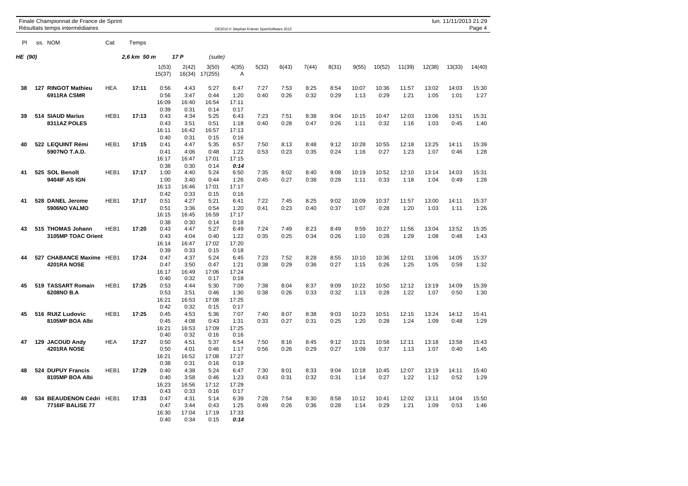|         | Finale Championnat de France de Sprint<br>Résultats temps intermédiaires |                  |             |                                       |                                       |                                       |                                       | OE2010 © Stephan Krämer SportSoftware 2013 |              |              |              |               |               |               |               | lun. 11/11/2013 21:29 | Page 4        |
|---------|--------------------------------------------------------------------------|------------------|-------------|---------------------------------------|---------------------------------------|---------------------------------------|---------------------------------------|--------------------------------------------|--------------|--------------|--------------|---------------|---------------|---------------|---------------|-----------------------|---------------|
| PI      | ss. NOM                                                                  | Cat              | Temps       |                                       |                                       |                                       |                                       |                                            |              |              |              |               |               |               |               |                       |               |
| HE (90) |                                                                          |                  | 2,6 km 50 m |                                       | 17 P                                  | (suite)                               |                                       |                                            |              |              |              |               |               |               |               |                       |               |
|         |                                                                          |                  |             | 1(53)<br>15(37)                       | 2(42)<br>16(34)                       | 3(50)<br>17(255)                      | 4(35)<br>A                            | 5(32)                                      | 6(43)        | 7(44)        | 8(31)        | 9(55)         | 10(52)        | 11(39)        | 12(38)        | 13(33)                | 14(40)        |
| 38      | 127 RINGOT Mathieu<br>6911RA CSMR                                        | <b>HEA</b>       | 17:11       | 0:56<br>0:56<br>16:09                 | 4:43<br>3:47<br>16:40                 | 5:27<br>0:44<br>16:54                 | 6:47<br>1:20<br>17:11                 | 7:27<br>0:40                               | 7:53<br>0:26 | 8:25<br>0:32 | 8:54<br>0:29 | 10:07<br>1:13 | 10:36<br>0:29 | 11:57<br>1:21 | 13:02<br>1:05 | 14:03<br>1:01         | 15:30<br>1:27 |
| 39      | 514 SIAUD Marius<br>8311AZ POLES                                         | HEB1             | 17:13       | 0:39<br>0:43<br>0:43<br>16:11         | 0:31<br>4:34<br>3:51<br>16:42         | 0:14<br>5:25<br>0:51<br>16:57         | 0:17<br>6:43<br>1:18<br>17:13         | 7:23<br>0:40                               | 7:51<br>0:28 | 8:38<br>0:47 | 9:04<br>0:26 | 10:15<br>1:11 | 10:47<br>0:32 | 12:03<br>1:16 | 13:06<br>1:03 | 13:51<br>0:45         | 15:31<br>1:40 |
| 40      | 522 LEQUINT Rémi<br>5907NO T.A.D.                                        | HEB1             | 17:15       | 0:40<br>0:41<br>0:41<br>16:17         | 0:31<br>4:47<br>4:06<br>16:47         | 0:15<br>5:35<br>0:48<br>17:01         | 0:16<br>6:57<br>1:22<br>17:15         | 7:50<br>0:53                               | 8:13<br>0:23 | 8:48<br>0:35 | 9:12<br>0:24 | 10:28<br>1:16 | 10:55<br>0:27 | 12:18<br>1:23 | 13:25<br>1:07 | 14:11<br>0:46         | 15:39<br>1:28 |
| 41      | 525 SOL Benoît<br>9404IF AS IGN                                          | HEB1             | 17:17       | 0:38<br>1:00<br>1:00<br>16:13         | 0:30<br>4:40<br>3:40<br>16:46         | 0:14<br>5:24<br>0:44<br>17:01         | 0:14<br>6:50<br>1:26<br>17:17         | 7:35<br>0:45                               | 8:02<br>0:27 | 8:40<br>0:38 | 9:08<br>0:28 | 10:19<br>1:11 | 10:52<br>0:33 | 12:10<br>1:18 | 13:14<br>1:04 | 14:03<br>0:49         | 15:31<br>1:28 |
| 41      | 528 DANEL Jerome<br>5906NO VALMO                                         | HEB <sub>1</sub> | 17:17       | 0:42<br>0:51<br>0:51<br>16:15         | 0:33<br>4:27<br>3:36<br>16:45         | 0:15<br>5:21<br>0:54<br>16:59         | 0:16<br>6:41<br>1:20<br>17:17         | 7:22<br>0:41                               | 7:45<br>0:23 | 8:25<br>0:40 | 9:02<br>0:37 | 10:09<br>1:07 | 10:37<br>0:28 | 11:57<br>1:20 | 13:00<br>1:03 | 14:11<br>1:11         | 15:37<br>1:26 |
| 43      | 515 THOMAS Johann<br>3105MP TOAC Orient                                  | HEB1             | 17:20       | 0:38<br>0:43<br>0:43<br>16:14         | 0:30<br>4:47<br>4:04<br>16:47         | 0:14<br>5:27<br>0:40<br>17:02         | 0:18<br>6:49<br>1:22<br>17:20         | 7:24<br>0:35                               | 7:49<br>0:25 | 8:23<br>0:34 | 8:49<br>0:26 | 9:59<br>1:10  | 10:27<br>0:28 | 11:56<br>1:29 | 13:04<br>1:08 | 13:52<br>0:48         | 15:35<br>1:43 |
| 44      | 527 CHABANCE Maxime HEB1<br>4201RA NOSE                                  |                  | 17:24       | 0:39<br>0:47<br>0:47<br>16:17<br>0:40 | 0:33<br>4:37<br>3:50<br>16:49<br>0:32 | 0:15<br>5:24<br>0:47<br>17:06<br>0:17 | 0:18<br>6:45<br>1:21<br>17:24<br>0:18 | 7:23<br>0:38                               | 7:52<br>0:29 | 8:28<br>0:36 | 8:55<br>0:27 | 10:10<br>1:15 | 10:36<br>0:26 | 12:01<br>1:25 | 13:06<br>1:05 | 14:05<br>0:59         | 15:37<br>1:32 |
| 45      | 519 TASSART Romain<br>6208NO B.A                                         | HEB1             | 17:25       | 0:53<br>0:53<br>16:21<br>0:42         | 4:44<br>3:51<br>16:53<br>0:32         | 5:30<br>0:46<br>17:08<br>0:15         | 7:00<br>1:30<br>17:25<br>0:17         | 7:38<br>0:38                               | 8:04<br>0:26 | 8:37<br>0:33 | 9:09<br>0:32 | 10:22<br>1:13 | 10:50<br>0:28 | 12:12<br>1:22 | 13:19<br>1:07 | 14:09<br>0:50         | 15:39<br>1:30 |
| 45      | 516 RUIZ Ludovic<br>8105MP BOA Albi                                      | HEB1             | 17:25       | 0:45<br>0:45<br>16:21<br>0:40         | 4:53<br>4:08<br>16:53<br>0:32         | 5:36<br>0:43<br>17:09<br>0:16         | 7:07<br>1:31<br>17:25<br>0:16         | 7:40<br>0:33                               | 8:07<br>0:27 | 8:38<br>0:31 | 9:03<br>0:25 | 10:23<br>1:20 | 10:51<br>0:28 | 12:15<br>1:24 | 13:24<br>1:09 | 14:12<br>0:48         | 15:41<br>1:29 |
| 47      | 129 JACOUD Andy<br>4201RA NOSE                                           | <b>HEA</b>       | 17:27       | 0:50<br>0:50<br>16:21<br>0:38         | 4:51<br>4:01<br>16:52<br>0:31         | 5:37<br>0:46<br>17:08<br>0:16         | 6:54<br>1:17<br>17:27<br>0:19         | 7:50<br>0:56                               | 8:16<br>0:26 | 8:45<br>0:29 | 9:12<br>0:27 | 10:21<br>1:09 | 10:58<br>0:37 | 12:11<br>1:13 | 13:18<br>1:07 | 13:58<br>0:40         | 15:43<br>1:45 |
| 48      | 524 DUPUY Francis<br>8105MP BOA Albi                                     | HEB1             | 17:29       | 0:40<br>0:40<br>16:23<br>0:43         | 4:38<br>3:58<br>16:56<br>0:33         | 5:24<br>0:46<br>17:12<br>0:16         | 6:47<br>1:23<br>17:29<br>0:17         | 7:30<br>0:43                               | 8:01<br>0:31 | 8:33<br>0:32 | 9:04<br>0:31 | 10:18<br>1:14 | 10:45<br>0:27 | 12:07<br>1:22 | 13:19<br>1:12 | 14:11<br>0:52         | 15:40<br>1:29 |
| 49      | 534 BEAUDENON Cédri HEB1<br><b>7716IF BALISE 77</b>                      |                  | 17:33       | 0:47<br>0:47<br>16:30<br>0:40         | 4:31<br>3:44<br>17:04<br>0:34         | 5:14<br>0:43<br>17:19<br>0:15         | 6:39<br>1:25<br>17:33<br>0:14         | 7:28<br>0:49                               | 7:54<br>0:26 | 8:30<br>0:36 | 8:58<br>0:28 | 10:12<br>1:14 | 10:41<br>0:29 | 12:02<br>1:21 | 13:11<br>1:09 | 14:04<br>0:53         | 15:50<br>1:46 |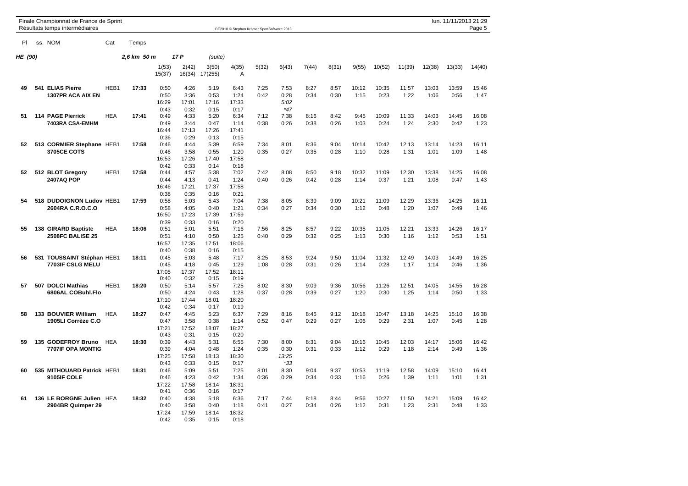|                | Finale Championnat de France de Sprint<br>Résultats temps intermédiaires |            |             |                 |                 |                  |                         | OE2010 © Stephan Krämer SportSoftware 2013 |               |       |       |       |        |        |        | lun. 11/11/2013 21:29 | Page 5 |
|----------------|--------------------------------------------------------------------------|------------|-------------|-----------------|-----------------|------------------|-------------------------|--------------------------------------------|---------------|-------|-------|-------|--------|--------|--------|-----------------------|--------|
| PI             | ss. NOM                                                                  | Cat        | Temps       |                 |                 |                  |                         |                                            |               |       |       |       |        |        |        |                       |        |
| <b>HE (90)</b> |                                                                          |            | 2.6 km 50 m |                 | 17 P            | (suite)          |                         |                                            |               |       |       |       |        |        |        |                       |        |
|                |                                                                          |            |             | 1(53)<br>15(37) | 2(42)<br>16(34) | 3(50)<br>17(255) | 4(35)<br>$\overline{A}$ | 5(32)                                      | 6(43)         | 7(44) | 8(31) | 9(55) | 10(52) | 11(39) | 12(38) | 13(33)                | 14(40) |
| 49             | 541 ELIAS Pierre                                                         | HEB1       | 17:33       | 0:50            | 4:26            | 5:19             | 6:43                    | 7:25                                       | 7:53          | 8:27  | 8:57  | 10:12 | 10:35  | 11:57  | 13:03  | 13:59                 | 15:46  |
|                | 1307PR ACA AIX EN                                                        |            |             | 0:50<br>16:29   | 3:36<br>17:01   | 0:53<br>17:16    | 1:24<br>17:33           | 0:42                                       | 0:28<br>5:02  | 0:34  | 0:30  | 1:15  | 0:23   | 1:22   | 1:06   | 0:56                  | 1:47   |
| 51             | 114 PAGE Pierrick                                                        | <b>HEA</b> | 17:41       | 0:43<br>0:49    | 0:32<br>4:33    | 0:15<br>5:20     | 0:17<br>6:34            | 7:12                                       | $*47$<br>7:38 | 8:16  | 8:42  | 9:45  | 10:09  | 11:33  | 14:03  | 14:45                 | 16:08  |
|                | 7403RA CSA-EMHM                                                          |            |             | 0:49            | 3:44            | 0:47             | 1:14                    | 0:38                                       | 0:26          | 0:38  | 0:26  | 1:03  | 0:24   | 1:24   | 2:30   | 0:42                  | 1:23   |
|                |                                                                          |            |             | 16:44           | 17:13           | 17:26            | 17:41                   |                                            |               |       |       |       |        |        |        |                       |        |
|                |                                                                          |            |             | 0:36            | 0:29            | 0:13             | 0:15                    |                                            |               |       |       |       |        |        |        |                       |        |
| 52             | 513 CORMIER Stephane HEB1                                                |            | 17:58       | 0:46            | 4:44            | 5:39             | 6:59                    | 7:34                                       | 8:01          | 8:36  | 9:04  | 10:14 | 10:42  | 12:13  | 13:14  | 14:23                 | 16:11  |
|                | <b>3705CE COTS</b>                                                       |            |             | 0:46            | 3:58            | 0:55             | 1:20                    | 0:35                                       | 0:27          | 0:35  | 0:28  | 1:10  | 0:28   | 1:31   | 1:01   | 1:09                  | 1:48   |
|                |                                                                          |            |             | 16:53<br>0:42   | 17:26<br>0:33   | 17:40<br>0:14    | 17:58<br>0:18           |                                            |               |       |       |       |        |        |        |                       |        |
| 52             | 512 BLOT Gregory                                                         | HEB1       | 17:58       | 0:44            | 4:57            | 5:38             | 7:02                    | 7:42                                       | 8:08          | 8:50  | 9:18  | 10:32 | 11:09  | 12:30  | 13:38  | 14:25                 | 16:08  |
|                | 2407AQ POP                                                               |            |             | 0:44            | 4:13            | 0:41             | 1:24                    | 0:40                                       | 0:26          | 0:42  | 0:28  | 1:14  | 0:37   | 1:21   | 1:08   | 0:47                  | 1:43   |
|                |                                                                          |            |             | 16:46           | 17:21           | 17:37            | 17:58                   |                                            |               |       |       |       |        |        |        |                       |        |
|                |                                                                          |            |             | 0:38            | 0:35            | 0:16             | 0:21                    |                                            |               |       |       |       |        |        |        |                       |        |
| 54             | 518 DUDOIGNON Ludov HEB1                                                 |            | 17:59       | 0:58            | 5:03            | 5:43             | 7:04                    | 7:38                                       | 8:05          | 8:39  | 9:09  | 10:21 | 11:09  | 12:29  | 13:36  | 14:25                 | 16:11  |
|                | 2604RA C.R.O.C.O                                                         |            |             | 0:58            | 4:05            | 0:40             | 1:21                    | 0:34                                       | 0:27          | 0:34  | 0:30  | 1:12  | 0:48   | 1:20   | 1:07   | 0:49                  | 1:46   |
|                |                                                                          |            |             | 16:50<br>0:39   | 17:23<br>0:33   | 17:39<br>0:16    | 17:59<br>0:20           |                                            |               |       |       |       |        |        |        |                       |        |
| 55             | 138 GIRARD Baptiste                                                      | <b>HEA</b> | 18:06       | 0:51            | 5:01            | 5:51             | 7:16                    | 7:56                                       | 8:25          | 8:57  | 9:22  | 10:35 | 11:05  | 12:21  | 13:33  | 14:26                 | 16:17  |
|                | <b>2508FC BALISE 25</b>                                                  |            |             | 0:51            | 4:10            | 0:50             | 1:25                    | 0:40                                       | 0:29          | 0:32  | 0:25  | 1:13  | 0:30   | 1:16   | 1:12   | 0:53                  | 1:51   |
|                |                                                                          |            |             | 16:57           | 17:35           | 17:51            | 18:06                   |                                            |               |       |       |       |        |        |        |                       |        |
|                |                                                                          |            |             | 0:40            | 0:38            | 0:16             | 0:15                    |                                            |               |       |       |       |        |        |        |                       |        |
| 56             | 531 TOUSSAINT Stéphan HEB1                                               |            | 18:11       | 0:45            | 5:03            | 5:48             | 7:17                    | 8:25                                       | 8:53          | 9:24  | 9:50  | 11:04 | 11:32  | 12:49  | 14:03  | 14:49                 | 16:25  |
|                | 7703IF CSLG MELU                                                         |            |             | 0:45            | 4:18            | 0:45             | 1:29                    | 1:08                                       | 0:28          | 0:31  | 0:26  | 1:14  | 0:28   | 1:17   | 1:14   | 0:46                  | 1:36   |
|                |                                                                          |            |             | 17:05<br>0:40   | 17:37<br>0:32   | 17:52<br>0:15    | 18:11<br>0:19           |                                            |               |       |       |       |        |        |        |                       |        |
| 57             | 507 DOLCI Mathias                                                        | HEB1       | 18:20       | 0:50            | 5:14            | 5:57             | 7:25                    | 8:02                                       | 8:30          | 9:09  | 9:36  | 10:56 | 11:26  | 12:51  | 14:05  | 14:55                 | 16:28  |
|                | 6806AL COBuhl.Flo                                                        |            |             | 0:50            | 4:24            | 0:43             | 1:28                    | 0:37                                       | 0:28          | 0:39  | 0:27  | 1:20  | 0:30   | 1:25   | 1:14   | 0:50                  | 1:33   |
|                |                                                                          |            |             | 17:10           | 17:44           | 18:01            | 18:20                   |                                            |               |       |       |       |        |        |        |                       |        |
|                |                                                                          |            |             | 0:42            | 0:34            | 0:17             | 0:19                    |                                            |               |       |       |       |        |        |        |                       |        |
| 58             | 133 BOUVIER William                                                      | <b>HEA</b> | 18:27       | 0:47            | 4:45            | 5:23             | 6:37                    | 7:29                                       | 8:16          | 8:45  | 9:12  | 10:18 | 10:47  | 13:18  | 14:25  | 15:10                 | 16:38  |
|                | 1905LI Corrèze C.O                                                       |            |             | 0:47<br>17:21   | 3:58<br>17:52   | 0:38<br>18:07    | 1:14<br>18:27           | 0:52                                       | 0:47          | 0:29  | 0:27  | 1:06  | 0:29   | 2:31   | 1:07   | 0:45                  | 1:28   |
|                |                                                                          |            |             | 0:43            | 0:31            | 0:15             | 0:20                    |                                            |               |       |       |       |        |        |        |                       |        |
| 59             | 135 GODEFROY Bruno                                                       | <b>HEA</b> | 18:30       | 0:39            | 4:43            | 5:31             | 6:55                    | 7:30                                       | 8:00          | 8:31  | 9:04  | 10:16 | 10:45  | 12:03  | 14:17  | 15:06                 | 16:42  |
|                | 7707IF OPA MONTIG                                                        |            |             | 0:39            | 4:04            | 0:48             | 1:24                    | 0:35                                       | 0:30          | 0:31  | 0:33  | 1:12  | 0:29   | 1:18   | 2:14   | 0:49                  | 1:36   |
|                |                                                                          |            |             | 17:25           | 17:58           | 18:13            | 18:30                   |                                            | 13:25         |       |       |       |        |        |        |                       |        |
|                |                                                                          |            |             | 0:43            | 0:33            | 0:15             | 0:17                    |                                            | $*33$         |       |       |       |        |        |        |                       |        |
| 60             | 535 MITHOUARD Patrick HEB1                                               |            | 18:31       | 0:46            | 5:09            | 5:51             | 7:25                    | 8:01                                       | 8:30          | 9:04  | 9:37  | 10:53 | 11:19  | 12:58  | 14:09  | 15:10                 | 16:41  |
|                | 9105IF COLE                                                              |            |             | 0:46<br>17:22   | 4:23<br>17:58   | 0:42<br>18:14    | 1:34<br>18:31           | 0:36                                       | 0:29          | 0:34  | 0:33  | 1:16  | 0:26   | 1:39   | 1:11   | 1:01                  | 1:31   |
|                |                                                                          |            |             | 0:41            | 0:36            | 0:16             | 0:17                    |                                            |               |       |       |       |        |        |        |                       |        |
| 61             | 136 LE BORGNE Julien HEA                                                 |            | 18:32       | 0:40            | 4:38            | 5:18             | 6:36                    | 7:17                                       | 7:44          | 8:18  | 8:44  | 9:56  | 10:27  | 11:50  | 14:21  | 15:09                 | 16:42  |
|                | 2904BR Quimper 29                                                        |            |             | 0:40            | 3:58            | 0:40             | 1:18                    | 0:41                                       | 0:27          | 0:34  | 0:26  | 1:12  | 0:31   | 1:23   | 2:31   | 0:48                  | 1:33   |
|                |                                                                          |            |             | 17:24           | 17:59           | 18:14            | 18:32                   |                                            |               |       |       |       |        |        |        |                       |        |
|                |                                                                          |            |             | 0:42            | 0:35            | 0:15             | 0:18                    |                                            |               |       |       |       |        |        |        |                       |        |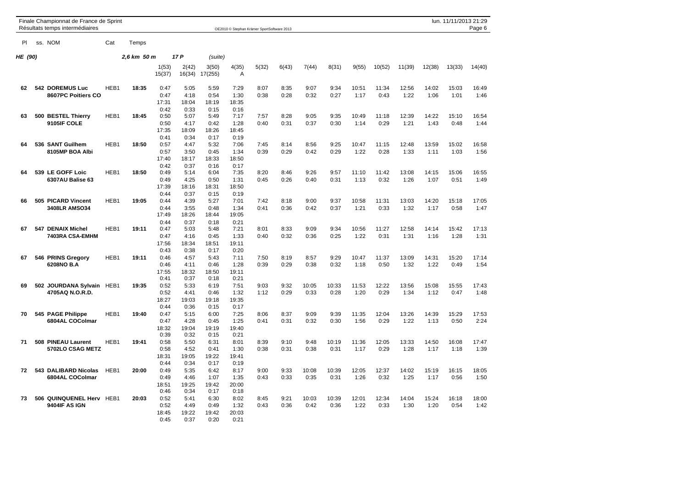|         | Finale Championnat de France de Sprint<br>Résultats temps intermédiaires |                  |             |                      |                 |                      |                      | OE2010 © Stephan Krämer SportSoftware 2013 |              |              |              |       |               |               |               | lun. 11/11/2013 21:29 | Page 6 |
|---------|--------------------------------------------------------------------------|------------------|-------------|----------------------|-----------------|----------------------|----------------------|--------------------------------------------|--------------|--------------|--------------|-------|---------------|---------------|---------------|-----------------------|--------|
| PI      | ss. NOM                                                                  | Cat              | Temps       |                      |                 |                      |                      |                                            |              |              |              |       |               |               |               |                       |        |
| HE (90) |                                                                          |                  | 2,6 km 50 m |                      | 17 P            | (suite)              |                      |                                            |              |              |              |       |               |               |               |                       |        |
|         |                                                                          |                  |             | 1(53)<br>15(37)      | 2(42)<br>16(34) | 3(50)<br>17(255)     | 4(35)<br>A           | 5(32)                                      | 6(43)        | 7(44)        | 8(31)        | 9(55) | 10(52)        | 11(39)        | 12(38)        | 13(33)                | 14(40) |
| 62      | 542 DOREMUS Luc                                                          | HEB1             | 18:35       | 0:47                 | 5:05            | 5:59                 | 7:29                 | 8:07                                       | 8:35         | 9:07         | 9:34         | 10:51 | 11:34         | 12:56         | 14:02         | 15:03                 | 16:49  |
|         | 8607PC Poitiers CO                                                       |                  |             | 0:47<br>17:31        | 4:18<br>18:04   | 0:54<br>18:19        | 1:30<br>18:35        | 0:38                                       | 0:28         | 0:32         | 0:27         | 1:17  | 0:43          | 1:22          | 1:06          | 1:01                  | 1:46   |
| 63      | 500 BESTEL Thierry<br>9105IF COLE                                        | HEB1             | 18:45       | 0:42<br>0:50<br>0:50 | 0:33<br>5:07    | 0:15<br>5:49<br>0:42 | 0:16<br>7:17<br>1:28 | 7:57<br>0:40                               | 8:28<br>0:31 | 9:05<br>0:37 | 9:35<br>0:30 | 10:49 | 11:18<br>0:29 | 12:39<br>1:21 | 14:22<br>1:43 | 15:10<br>0:48         | 16:54  |
|         |                                                                          |                  |             | 17:35                | 4:17<br>18:09   | 18:26                | 18:45                |                                            |              |              |              | 1:14  |               |               |               |                       | 1:44   |
| 64      | 536 SANT Guilhem                                                         | HEB1             | 18:50       | 0:41<br>0:57         | 0:34<br>4:47    | 0:17<br>5:32         | 0:19<br>7:06         | 7:45                                       | 8:14         | 8:56         | 9:25         | 10:47 | 11:15         | 12:48         | 13:59         | 15:02                 | 16:58  |
|         | 8105MP BOA Albi                                                          |                  |             | 0:57<br>17:40        | 3:50<br>18:17   | 0:45<br>18:33        | 1:34<br>18:50        | 0:39                                       | 0:29         | 0:42         | 0:29         | 1:22  | 0:28          | 1:33          | 1:11          | 1:03                  | 1:56   |
| 64      | 539 LE GOFF Loic                                                         | HEB1             | 18:50       | 0:42<br>0:49         | 0:37<br>5:14    | 0:16<br>6:04         | 0:17<br>7:35         | 8:20                                       | 8:46         | 9:26         | 9:57         | 11:10 | 11:42         | 13:08         | 14:15         | 15:06                 | 16:55  |
|         | 6307AU Balise 63                                                         |                  |             | 0:49<br>17:39        | 4:25<br>18:16   | 0:50<br>18:31        | 1:31<br>18:50        | 0:45                                       | 0:26         | 0:40         | 0:31         | 1:13  | 0:32          | 1:26          | 1:07          | 0:51                  | 1:49   |
| 66      | 505 PICARD Vincent                                                       | HEB <sub>1</sub> | 19:05       | 0:44<br>0:44         | 0:37<br>4:39    | 0:15<br>5:27         | 0:19<br>7:01         | 7:42                                       | 8:18         | 9:00         | 9:37         | 10:58 | 11:31         | 13:03         | 14:20         | 15:18                 | 17:05  |
|         | 3408LR AMSO34                                                            |                  |             | 0:44<br>17:49        | 3:55<br>18:26   | 0:48<br>18:44        | 1:34<br>19:05        | 0:41                                       | 0:36         | 0:42         | 0:37         | 1:21  | 0:33          | 1:32          | 1:17          | 0:58                  | 1:47   |
| 67      | 547 DENAIX Michel                                                        | HEB1             | 19:11       | 0:44<br>0:47         | 0:37<br>5:03    | 0:18<br>5:48         | 0:21<br>7:21         | 8:01                                       | 8:33         | 9:09         | 9:34         | 10:56 | 11:27         | 12:58         | 14:14         | 15:42                 | 17:13  |
|         | 7403RA CSA-EMHM                                                          |                  |             | 0:47<br>17:56        | 4:16<br>18:34   | 0:45<br>18:51        | 1:33<br>19:11        | 0:40                                       | 0:32         | 0:36         | 0:25         | 1:22  | 0:31          | 1:31          | 1:16          | 1:28                  | 1:31   |
| 67      | 546 PRINS Gregory                                                        | HEB1             | 19:11       | 0:43<br>0:46         | 0:38<br>4:57    | 0:17<br>5:43         | 0:20<br>7:11         | 7:50                                       | 8:19         | 8:57         | 9:29         | 10:47 | 11:37         | 13:09         | 14:31         | 15:20                 | 17:14  |
|         | 6208NO B.A                                                               |                  |             | 0:46<br>17:55        | 4:11<br>18:32   | 0:46<br>18:50        | 1:28<br>19:11        | 0:39                                       | 0:29         | 0:38         | 0:32         | 1:18  | 0:50          | 1:32          | 1:22          | 0:49                  | 1:54   |
| 69      | 502 JOURDANA Sylvain HEB1                                                |                  | 19:35       | 0:41<br>0:52         | 0:37<br>5:33    | 0:18<br>6:19         | 0:21<br>7:51         | 9:03                                       | 9:32         | 10:05        | 10:33        | 11:53 | 12:22         | 13:56         | 15:08         | 15:55                 | 17:43  |
|         | 4705AQ N.O.R.D.                                                          |                  |             | 0:52<br>18:27        | 4:41<br>19:03   | 0:46<br>19:18        | 1:32<br>19:35        | 1:12                                       | 0:29         | 0:33         | 0:28         | 1:20  | 0:29          | 1:34          | 1:12          | 0:47                  | 1:48   |
| 70      | 545 PAGE Philippe                                                        | HEB1             | 19:40       | 0:44<br>0:47         | 0:36<br>5:15    | 0:15<br>6:00         | 0:17<br>7:25         | 8:06                                       | 8:37         | 9:09         | 9:39         | 11:35 | 12:04         | 13:26         | 14:39         | 15:29                 | 17:53  |
|         | 6804AL COColmar                                                          |                  |             | 0:47<br>18:32        | 4:28<br>19:04   | 0:45<br>19:19        | 1:25<br>19:40        | 0:41                                       | 0:31         | 0:32         | 0:30         | 1:56  | 0:29          | 1:22          | 1:13          | 0:50                  | 2:24   |
| 71      | 508 PINEAU Laurent                                                       | HEB1             | 19:41       | 0:39<br>0:58         | 0:32<br>5:50    | 0:15<br>6:31         | 0:21<br>8:01         | 8:39                                       | 9:10         | 9:48         | 10:19        | 11:36 | 12:05         | 13:33         | 14:50         | 16:08                 | 17:47  |
|         | 5702LO CSAG METZ                                                         |                  |             | 0:58<br>18:31        | 4:52<br>19:05   | 0:41<br>19:22        | 1:30<br>19:41        | 0:38                                       | 0:31         | 0:38         | 0:31         | 1:17  | 0:29          | 1:28          | 1:17          | 1:18                  | 1:39   |
| 72      | 543 DALIBARD Nicolas                                                     | HEB1             | 20:00       | 0:44<br>0:49         | 0:34<br>5:35    | 0:17<br>6:42         | 0:19<br>8:17         | 9:00                                       | 9:33         | 10:08        | 10:39        | 12:05 | 12:37         | 14:02         | 15:19         | 16:15                 | 18:05  |
|         | 6804AL COColmar                                                          |                  |             | 0:49<br>18:51        | 4:46<br>19:25   | 1:07<br>19:42        | 1:35<br>20:00        | 0:43                                       | 0:33         | 0:35         | 0:31         | 1:26  | 0:32          | 1:25          | 1:17          | 0:56                  | 1:50   |
| 73      | 506 QUINQUENEL Herv HEB1                                                 |                  | 20:03       | 0:46<br>0:52         | 0:34<br>5:41    | 0:17<br>6:30         | 0:18<br>8:02         | 8:45                                       | 9:21         | 10:03        | 10:39        | 12:01 | 12:34         | 14:04         | 15:24         | 16:18                 | 18:00  |
|         | 9404IF AS IGN                                                            |                  |             | 0:52                 | 4:49<br>19:22   | 0:49                 | 1:32<br>20:03        | 0:43                                       | 0:36         | 0:42         | 0:36         | 1:22  | 0:33          | 1:30          | 1:20          | 0:54                  | 1:42   |
|         |                                                                          |                  |             | 18:45<br>0:45        | 0:37            | 19:42<br>0:20        | 0:21                 |                                            |              |              |              |       |               |               |               |                       |        |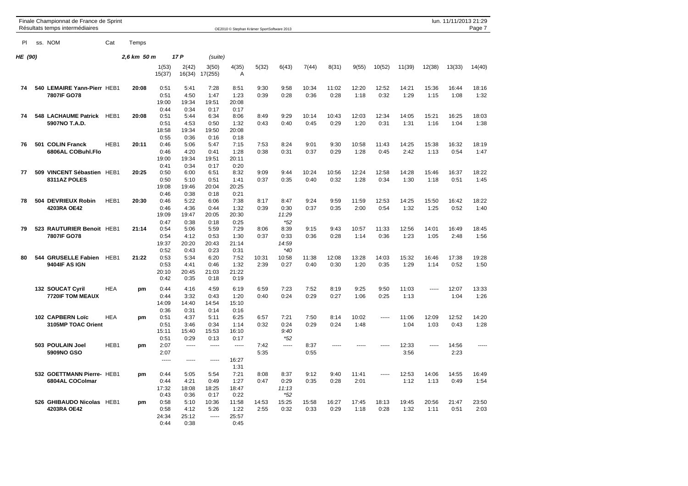|         |     | Finale Championnat de France de Sprint<br>Résultats temps intermédiaires |            |             |                 |                 |                  |                         | OE2010 © Stephan Krämer SportSoftware 2013 |       |       |       |       |        |        |        | lun. 11/11/2013 21:29 | Page 7 |
|---------|-----|--------------------------------------------------------------------------|------------|-------------|-----------------|-----------------|------------------|-------------------------|--------------------------------------------|-------|-------|-------|-------|--------|--------|--------|-----------------------|--------|
| PI.     |     | ss. NOM                                                                  | Cat        | Temps       |                 |                 |                  |                         |                                            |       |       |       |       |        |        |        |                       |        |
| HE (90) |     |                                                                          |            | 2.6 km 50 m |                 | 17 P            | (suite)          |                         |                                            |       |       |       |       |        |        |        |                       |        |
|         |     |                                                                          |            |             | 1(53)<br>15(37) | 2(42)<br>16(34) | 3(50)<br>17(255) | 4(35)<br>$\overline{A}$ | 5(32)                                      | 6(43) | 7(44) | 8(31) | 9(55) | 10(52) | 11(39) | 12(38) | 13(33)                | 14(40) |
| 74      |     | 540 LEMAIRE Yann-Pierr HEB1                                              |            | 20:08       | 0:51            | 5:41            | 7:28             | 8:51                    | 9:30                                       | 9:58  | 10:34 | 11:02 | 12:20 | 12:52  | 14:21  | 15:36  | 16:44                 | 18:16  |
|         |     | 7807IF GO78                                                              |            |             | 0:51            | 4:50            | 1:47             | 1:23                    | 0:39                                       | 0:28  | 0:36  | 0:28  | 1:18  | 0:32   | 1:29   | 1:15   | 1:08                  | 1:32   |
|         |     |                                                                          |            |             | 19:00           | 19:34           | 19:51            | 20:08                   |                                            |       |       |       |       |        |        |        |                       |        |
|         |     |                                                                          |            |             | 0:44            | 0:34            | 0:17             | 0:17                    |                                            |       |       |       |       |        |        |        |                       |        |
| 74      |     | 548 LACHAUME Patrick HEB1                                                |            | 20:08       | 0:51            | 5:44            | 6:34             | 8:06                    | 8:49                                       | 9:29  | 10:14 | 10:43 | 12:03 | 12:34  | 14:05  | 15:21  | 16:25                 | 18:03  |
|         |     | 5907NO T.A.D.                                                            |            |             | 0:51            | 4:53            | 0:50             | 1:32                    | 0:43                                       | 0:40  | 0:45  | 0:29  | 1:20  | 0:31   | 1:31   | 1:16   | 1:04                  | 1:38   |
|         |     |                                                                          |            |             | 18:58           | 19:34           | 19:50            | 20:08                   |                                            |       |       |       |       |        |        |        |                       |        |
|         |     |                                                                          |            |             | 0:55            | 0:36            | 0:16             | 0:18                    |                                            |       |       |       |       |        |        |        |                       |        |
| 76      |     | 501 COLIN Franck                                                         | HEB1       | 20:11       | 0:46            | 5:06            | 5:47             | 7:15                    | 7:53                                       | 8:24  | 9:01  | 9:30  | 10:58 | 11:43  | 14:25  | 15:38  | 16:32                 | 18:19  |
|         |     | 6806AL COBuhl.Flo                                                        |            |             | 0:46            | 4:20            | 0:41             | 1:28                    | 0:38                                       | 0:31  | 0:37  | 0:29  | 1:28  | 0:45   | 2:42   | 1:13   | 0:54                  | 1:47   |
|         |     |                                                                          |            |             | 19:00           | 19:34           | 19:51            | 20:11                   |                                            |       |       |       |       |        |        |        |                       |        |
| 77      |     | 509 VINCENT Sébastien HEB1                                               |            | 20:25       | 0:41<br>0:50    | 0:34<br>6:00    | 0:17<br>6:51     | 0:20<br>8:32            | 9:09                                       | 9:44  | 10:24 | 10:56 | 12:24 | 12:58  | 14:28  | 15:46  | 16:37                 | 18:22  |
|         |     | 8311AZ POLES                                                             |            |             | 0:50            | 5:10            | 0:51             | 1:41                    | 0:37                                       | 0:35  | 0:40  | 0:32  | 1:28  | 0:34   | 1:30   | 1:18   | 0:51                  | 1:45   |
|         |     |                                                                          |            |             | 19:08           | 19:46           | 20:04            | 20:25                   |                                            |       |       |       |       |        |        |        |                       |        |
|         |     |                                                                          |            |             | 0:46            | 0:38            | 0:18             | 0:21                    |                                            |       |       |       |       |        |        |        |                       |        |
| 78      |     | 504 DEVRIEUX Robin                                                       | HEB1       | 20:30       | 0:46            | 5:22            | 6:06             | 7:38                    | 8:17                                       | 8:47  | 9:24  | 9:59  | 11:59 | 12:53  | 14:25  | 15:50  | 16:42                 | 18:22  |
|         |     | 4203RA OE42                                                              |            |             | 0:46            | 4:36            | 0:44             | 1:32                    | 0:39                                       | 0:30  | 0:37  | 0:35  | 2:00  | 0:54   | 1:32   | 1:25   | 0:52                  | 1:40   |
|         |     |                                                                          |            |             | 19:09           | 19:47           | 20:05            | 20:30                   |                                            | 11:29 |       |       |       |        |        |        |                       |        |
|         |     |                                                                          |            |             | 0:47            | 0:38            | 0:18             | 0:25                    |                                            | $*52$ |       |       |       |        |        |        |                       |        |
| 79      |     | 523 RAUTURIER Benoit HEB1                                                |            | 21:14       | 0:54            | 5:06            | 5:59             | 7:29                    | 8:06                                       | 8:39  | 9:15  | 9:43  | 10:57 | 11:33  | 12:56  | 14:01  | 16:49                 | 18:45  |
|         |     | 7807IF GO78                                                              |            |             | 0:54            | 4:12            | 0:53             | 1:30                    | 0:37                                       | 0:33  | 0:36  | 0:28  | 1:14  | 0:36   | 1:23   | 1:05   | 2:48                  | 1:56   |
|         |     |                                                                          |            |             | 19:37           | 20:20           | 20:43            | 21:14                   |                                            | 14:59 |       |       |       |        |        |        |                       |        |
|         |     |                                                                          |            |             | 0:52            | 0:43            | 0:23             | 0:31                    |                                            | $*40$ |       |       |       |        |        |        |                       |        |
| 80      | 544 | <b>GRUSELLE Fabien HEB1</b>                                              |            | 21:22       | 0:53            | 5:34            | 6:20             | 7:52                    | 10:31                                      | 10:58 | 11:38 | 12:08 | 13:28 | 14:03  | 15:32  | 16:46  | 17:38                 | 19:28  |
|         |     | <b>9404IF AS IGN</b>                                                     |            |             | 0:53            | 4:41            | 0:46             | 1:32                    | 2:39                                       | 0:27  | 0:40  | 0:30  | 1:20  | 0:35   | 1:29   | 1:14   | 0:52                  | 1:50   |
|         |     |                                                                          |            |             | 20:10           | 20:45           | 21:03            | 21:22                   |                                            |       |       |       |       |        |        |        |                       |        |
|         |     |                                                                          |            |             | 0:42            | 0:35            | 0:18             | 0:19                    |                                            |       |       |       |       |        |        |        |                       |        |
|         |     | 132 SOUCAT Cyril                                                         | <b>HEA</b> | pm          | 0:44            | 4:16            | 4:59             | 6:19                    | 6:59                                       | 7:23  | 7:52  | 8:19  | 9:25  | 9:50   | 11:03  | -----  | 12:07                 | 13:33  |
|         |     | 7720IF TOM MEAUX                                                         |            |             | 0:44            | 3:32            | 0:43             | 1:20                    | 0:40                                       | 0:24  | 0:29  | 0:27  | 1:06  | 0:25   | 1:13   |        | 1:04                  | 1:26   |
|         |     |                                                                          |            |             | 14:09           | 14:40           | 14:54            | 15:10                   |                                            |       |       |       |       |        |        |        |                       |        |
|         |     |                                                                          |            |             | 0:36            | 0:31            | 0:14             | 0:16                    |                                            |       |       |       |       |        |        |        |                       |        |
|         |     | 102 CAPBERN Loïc                                                         | <b>HEA</b> | pm          | 0:51            | 4:37            | 5:11             | 6:25                    | 6:57                                       | 7:21  | 7:50  | 8:14  | 10:02 | -----  | 11:06  | 12:09  | 12:52                 | 14:20  |
|         |     | 3105MP TOAC Orient                                                       |            |             | 0:51            | 3:46            | 0:34             | 1:14                    | 0:32                                       | 0:24  | 0:29  | 0:24  | 1:48  |        | 1:04   | 1:03   | 0:43                  | 1:28   |
|         |     |                                                                          |            |             | 15:11           | 15:40           | 15:53            | 16:10                   |                                            | 9:40  |       |       |       |        |        |        |                       |        |
|         |     |                                                                          |            |             | 0:51            | 0:29            | 0:13             | 0:17                    |                                            | $*52$ |       |       |       |        |        |        |                       |        |
|         |     | 503 POULAIN Joel                                                         | HEB1       | pm          | 2:07            | 1.1.1.1         | $1 - 1 - 1$      | -----                   | 7:42                                       | ----- | 8:37  | ----- | ----- |        | 12:33  | -----  | 14:56                 | -----  |
|         |     | 5909NO GSO                                                               |            |             | 2:07            |                 |                  |                         | 5:35                                       |       | 0:55  |       |       |        | 3:56   |        | 2:23                  |        |
|         |     |                                                                          |            |             | -----           | -----           | -----            | 16:27                   |                                            |       |       |       |       |        |        |        |                       |        |
|         |     | 532 GOETTMANN Pierre- HEB1                                               |            |             | 0:44            | 5:05            | 5:54             | 1:31<br>7:21            | 8:08                                       | 8:37  | 9:12  | 9:40  | 11:41 | -----  | 12:53  | 14:06  | 14:55                 | 16:49  |
|         |     | 6804AL COColmar                                                          |            | pm          | 0:44            | 4:21            | 0:49             | 1:27                    | 0:47                                       | 0:29  | 0:35  | 0:28  | 2:01  |        | 1:12   | 1:13   | 0:49                  | 1:54   |
|         |     |                                                                          |            |             | 17:32           | 18:08           | 18:25            | 18:47                   |                                            | 11:13 |       |       |       |        |        |        |                       |        |
|         |     |                                                                          |            |             | 0:43            | 0:36            | 0:17             | 0:22                    |                                            | $*52$ |       |       |       |        |        |        |                       |        |
|         |     | 526 GHIBAUDO Nicolas HEB1                                                |            | pm          | 0:58            | 5:10            | 10:36            | 11:58                   | 14:53                                      | 15:25 | 15:58 | 16:27 | 17:45 | 18:13  | 19:45  | 20:56  | 21:47                 | 23:50  |
|         |     | 4203RA OE42                                                              |            |             | 0:58            | 4:12            | 5:26             | 1:22                    | 2:55                                       | 0:32  | 0:33  | 0:29  | 1:18  | 0:28   | 1:32   | 1:11   | 0:51                  | 2:03   |
|         |     |                                                                          |            |             | 24:34           | 25:12           | 1.111            | 25:57                   |                                            |       |       |       |       |        |        |        |                       |        |
|         |     |                                                                          |            |             | 0:44            | 0:38            |                  | 0:45                    |                                            |       |       |       |       |        |        |        |                       |        |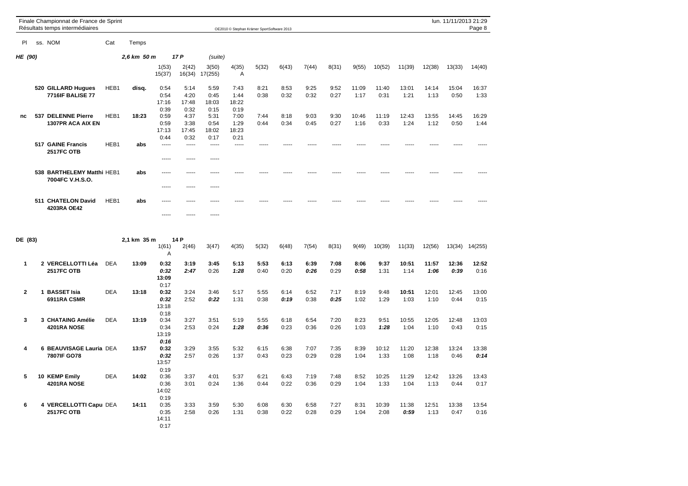|                | Finale Championnat de France de Sprint<br>Résultats temps intermédiaires |            |             |                                       |                                       |                               | OE2010 © Stephan Krämer SportSoftware 2013 |              |              |              |              |               |               |               |               | lun. 11/11/2013 21:29 | Page 8        |
|----------------|--------------------------------------------------------------------------|------------|-------------|---------------------------------------|---------------------------------------|-------------------------------|--------------------------------------------|--------------|--------------|--------------|--------------|---------------|---------------|---------------|---------------|-----------------------|---------------|
| PI             | ss. NOM                                                                  | Cat        | Temps       |                                       |                                       |                               |                                            |              |              |              |              |               |               |               |               |                       |               |
| <b>HE (90)</b> |                                                                          |            | 2,6 km 50 m |                                       | 17P                                   | (suite)                       |                                            |              |              |              |              |               |               |               |               |                       |               |
|                |                                                                          |            |             | 1(53)<br>15(37)                       | 2(42)<br>16(34)                       | 3(50)<br>17(255)              | 4(35)<br>A                                 | 5(32)        | 6(43)        | 7(44)        | 8(31)        | 9(55)         | 10(52)        | 11(39)        | 12(38)        | 13(33)                | 14(40)        |
|                | 520 GILLARD Hugues<br><b>7716IF BALISE 77</b>                            | HEB1       | disq.       | 0:54<br>0:54<br>17:16                 | 5:14<br>4:20<br>17:48                 | 5:59<br>0:45<br>18:03         | 7:43<br>1:44<br>18:22                      | 8:21<br>0:38 | 8:53<br>0:32 | 9:25<br>0:32 | 9:52<br>0:27 | 11:09<br>1:17 | 11:40<br>0:31 | 13:01<br>1:21 | 14:14<br>1:13 | 15:04<br>0:50         | 16:37<br>1:33 |
| nc             | 537 DELENNE Pierre<br><b>1307PR ACA AIX EN</b>                           | HEB1       | 18:23       | 0:39<br>0:59<br>0:59<br>17:13<br>0:44 | 0:32<br>4:37<br>3:38<br>17:45<br>0:32 | 0:15<br>5:31<br>0:54<br>18:02 | 0:19<br>7:00<br>1:29<br>18:23<br>0:21      | 7:44<br>0:44 | 8:18<br>0:34 | 9:03<br>0:45 | 9:30<br>0:27 | 10:46<br>1:16 | 11:19<br>0:33 | 12:43<br>1:24 | 13:55<br>1:12 | 14:45<br>0:50         | 16:29<br>1:44 |
|                | 517 GAINE Francis<br><b>2517FC OTB</b>                                   | HEB1       | abs         | -----<br>-----                        | -----<br>-----                        | 0:17<br>-----<br>-----        | -----                                      |              |              |              |              |               |               |               |               |                       |               |
|                | 538 BARTHELEMY Matthi HEB1<br>7004FC V.H.S.O.                            |            | abs         | -----<br>$- - - - -$                  | -----<br>-----                        | -----<br>-----                |                                            |              |              |              |              |               |               |               |               |                       |               |
|                | 511 CHATELON David<br>4203RA OE42                                        | HEB1       | abs         | -----<br>-----                        |                                       | -----                         |                                            |              |              |              |              |               |               |               |               |                       |               |
| DE (83)        |                                                                          |            | 2,1 km 35 m |                                       | 14 P                                  |                               |                                            |              |              |              |              |               |               |               |               |                       |               |
|                |                                                                          |            |             | 1(61)<br>Α                            | 2(46)                                 | 3(47)                         | 4(35)                                      | 5(32)        | 6(48)        | 7(54)        | 8(31)        | 9(49)         | 10(39)        | 11(33)        | 12(56)        | 13(34)                | 14(255)       |
| 1              | 2 VERCELLOTTI Léa<br><b>2517FC OTB</b>                                   | <b>DEA</b> | 13:09       | 0:32<br>0:32<br>13:09<br>0:17         | 3:19<br>2:47                          | 3:45<br>0:26                  | 5:13<br>1:28                               | 5:53<br>0:40 | 6:13<br>0:20 | 6:39<br>0:26 | 7:08<br>0:29 | 8:06<br>0:58  | 9:37<br>1:31  | 10:51<br>1:14 | 11:57<br>1:06 | 12:36<br>0:39         | 12:52<br>0:16 |
| $\overline{2}$ | 1 BASSET Isia<br>6911RA CSMR                                             | <b>DEA</b> | 13:18       | 0:32<br>0:32<br>13:18<br>0:18         | 3:24<br>2:52                          | 3:46<br>0:22                  | 5:17<br>1:31                               | 5:55<br>0:38 | 6:14<br>0:19 | 6:52<br>0:38 | 7:17<br>0:25 | 8:19<br>1:02  | 9:48<br>1:29  | 10:51<br>1:03 | 12:01<br>1:10 | 12:45<br>0:44         | 13:00<br>0:15 |
| 3              | 3 CHATAING Amélie<br>4201RA NOSE                                         | <b>DEA</b> | 13:19       | 0:34<br>0:34<br>13:19<br>0:16         | 3:27<br>2:53                          | 3:51<br>0:24                  | 5:19<br>1:28                               | 5:55<br>0:36 | 6:18<br>0:23 | 6:54<br>0:36 | 7:20<br>0:26 | 8:23<br>1:03  | 9:51<br>1:28  | 10:55<br>1:04 | 12:05<br>1:10 | 12:48<br>0:43         | 13:03<br>0:15 |
| 4              | 6 BEAUVISAGE Lauria DEA<br>7807IF GO78                                   |            | 13:57       | 0:32<br>0:32<br>13:57<br>0:19         | 3:29<br>2:57                          | 3:55<br>0:26                  | 5:32<br>1:37                               | 6:15<br>0:43 | 6:38<br>0:23 | 7:07<br>0:29 | 7:35<br>0:28 | 8:39<br>1:04  | 10:12<br>1:33 | 11:20<br>1:08 | 12:38<br>1:18 | 13:24<br>0:46         | 13:38<br>0:14 |
| 5              | 10 KEMP Emily<br>4201RA NOSE                                             | <b>DEA</b> | 14:02       | 0:36<br>0:36<br>14:02<br>0:19         | 3:37<br>3:01                          | 4:01<br>0:24                  | 5:37<br>1:36                               | 6:21<br>0:44 | 6:43<br>0:22 | 7:19<br>0:36 | 7:48<br>0:29 | 8:52<br>1:04  | 10:25<br>1:33 | 11:29<br>1:04 | 12:42<br>1:13 | 13:26<br>0:44         | 13:43<br>0:17 |
| 6              | 4 VERCELLOTTI Capu DEA<br><b>2517FC OTB</b>                              |            | 14:11       | 0:35<br>0:35<br>14:11                 | 3:33<br>2:58                          | 3:59<br>0:26                  | 5:30<br>1:31                               | 6:08<br>0:38 | 6:30<br>0:22 | 6:58<br>0:28 | 7:27<br>0:29 | 8:31<br>1:04  | 10:39<br>2:08 | 11:38<br>0:59 | 12:51<br>1:13 | 13:38<br>0:47         | 13:54<br>0:16 |

0:17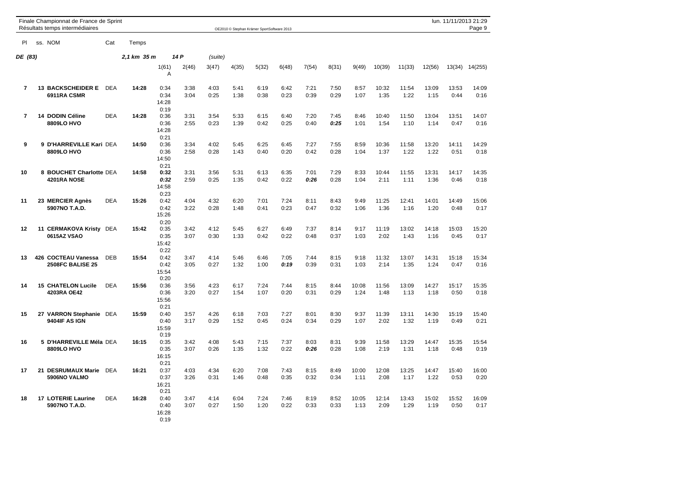|                | Finale Championnat de France de Sprint<br>Résultats temps intermédiaires |            |             |                                       |              |              |              | OE2010 © Stephan Krämer SportSoftware 2013 |              |              |              |               |               |               |               | lun. 11/11/2013 21:29 | Page 9        |
|----------------|--------------------------------------------------------------------------|------------|-------------|---------------------------------------|--------------|--------------|--------------|--------------------------------------------|--------------|--------------|--------------|---------------|---------------|---------------|---------------|-----------------------|---------------|
| PI             | ss. NOM                                                                  | Cat        | Temps       |                                       |              |              |              |                                            |              |              |              |               |               |               |               |                       |               |
| DE (83)        |                                                                          |            | 2,1 km 35 m |                                       | 14 P         | (suite)      |              |                                            |              |              |              |               |               |               |               |                       |               |
|                |                                                                          |            |             | 1(61)<br>Α                            | 2(46)        | 3(47)        | 4(35)        | 5(32)                                      | 6(48)        | 7(54)        | 8(31)        | 9(49)         | 10(39)        | 11(33)        | 12(56)        | 13(34)                | 14(255)       |
| $\overline{7}$ | <b>13 BACKSCHEIDER E</b><br>6911RA CSMR                                  | <b>DEA</b> | 14:28       | 0:34<br>0:34<br>14:28<br>0:19         | 3:38<br>3:04 | 4:03<br>0:25 | 5:41<br>1:38 | 6:19<br>0:38                               | 6:42<br>0:23 | 7:21<br>0:39 | 7:50<br>0:29 | 8:57<br>1:07  | 10:32<br>1:35 | 11:54<br>1:22 | 13:09<br>1:15 | 13:53<br>0:44         | 14:09<br>0:16 |
| $\overline{7}$ | <b>14 DODIN Céline</b><br>8809LO HVO                                     | <b>DEA</b> | 14:28       | 0:36<br>0:36<br>14:28                 | 3:31<br>2:55 | 3:54<br>0:23 | 5:33<br>1:39 | 6:15<br>0:42                               | 6:40<br>0:25 | 7:20<br>0:40 | 7:45<br>0:25 | 8:46<br>1:01  | 10:40<br>1:54 | 11:50<br>1:10 | 13:04<br>1:14 | 13:51<br>0:47         | 14:07<br>0:16 |
| 9              | 9 D'HARREVILLE Kari DEA<br>8809LO HVO                                    |            | 14:50       | 0:21<br>0:36<br>0:36<br>14:50<br>0:21 | 3:34<br>2:58 | 4:02<br>0:28 | 5:45<br>1:43 | 6:25<br>0:40                               | 6:45<br>0:20 | 7:27<br>0:42 | 7:55<br>0:28 | 8:59<br>1:04  | 10:36<br>1:37 | 11:58<br>1:22 | 13:20<br>1:22 | 14:11<br>0:51         | 14:29<br>0:18 |
| 10             | 8 BOUCHET Charlotte DEA<br>4201RA NOSE                                   |            | 14:58       | 0:32<br>0:32<br>14:58<br>0:23         | 3:31<br>2:59 | 3:56<br>0:25 | 5:31<br>1:35 | 6:13<br>0:42                               | 6:35<br>0:22 | 7:01<br>0:26 | 7:29<br>0:28 | 8:33<br>1:04  | 10:44<br>2:11 | 11:55<br>1:11 | 13:31<br>1:36 | 14:17<br>0:46         | 14:35<br>0:18 |
| 11             | 23 MERCIER Agnès<br>5907NO T.A.D.                                        | <b>DEA</b> | 15:26       | 0:42<br>0:42<br>15:26<br>0:20         | 4:04<br>3:22 | 4:32<br>0:28 | 6:20<br>1:48 | 7:01<br>0:41                               | 7:24<br>0:23 | 8:11<br>0:47 | 8:43<br>0:32 | 9:49<br>1:06  | 11:25<br>1:36 | 12:41<br>1:16 | 14:01<br>1:20 | 14:49<br>0:48         | 15:06<br>0:17 |
| 12             | 11 CERMAKOVA Kristy<br>0615AZ VSAO                                       | DEA        | 15:42       | 0:35<br>0:35<br>15:42<br>0:22         | 3:42<br>3:07 | 4:12<br>0:30 | 5:45<br>1:33 | 6:27<br>0:42                               | 6:49<br>0:22 | 7:37<br>0:48 | 8:14<br>0:37 | 9:17<br>1:03  | 11:19<br>2:02 | 13:02<br>1:43 | 14:18<br>1:16 | 15:03<br>0:45         | 15:20<br>0:17 |
| 13             | 426 COCTEAU Vanessa<br><b>2508FC BALISE 25</b>                           | <b>DEB</b> | 15:54       | 0:42<br>0:42<br>15:54<br>0:20         | 3:47<br>3:05 | 4:14<br>0:27 | 5:46<br>1:32 | 6:46<br>1:00                               | 7:05<br>0:19 | 7:44<br>0:39 | 8:15<br>0:31 | 9:18<br>1:03  | 11:32<br>2:14 | 13:07<br>1:35 | 14:31<br>1:24 | 15:18<br>0:47         | 15:34<br>0:16 |
| 14             | <b>15 CHATELON Lucile</b><br>4203RA OE42                                 | <b>DEA</b> | 15:56       | 0:36<br>0:36<br>15:56<br>0:21         | 3:56<br>3:20 | 4:23<br>0:27 | 6:17<br>1:54 | 7:24<br>1:07                               | 7:44<br>0:20 | 8:15<br>0:31 | 8:44<br>0:29 | 10:08<br>1:24 | 11:56<br>1:48 | 13:09<br>1:13 | 14:27<br>1:18 | 15:17<br>0:50         | 15:35<br>0:18 |
| 15             | 27 VARRON Stephanie DEA<br>9404IF AS IGN                                 |            | 15:59       | 0:40<br>0:40<br>15:59<br>0:19         | 3:57<br>3:17 | 4:26<br>0:29 | 6:18<br>1:52 | 7:03<br>0:45                               | 7:27<br>0:24 | 8:01<br>0:34 | 8:30<br>0:29 | 9:37<br>1:07  | 11:39<br>2:02 | 13:11<br>1:32 | 14:30<br>1:19 | 15:19<br>0:49         | 15:40<br>0:21 |
| 16             | 5 D'HARREVILLE Méla DEA<br>8809LO HVO                                    |            | 16:15       | 0:35<br>0:35<br>16:15<br>0:21         | 3:42<br>3:07 | 4:08<br>0:26 | 5:43<br>1:35 | 7:15<br>1:32                               | 7:37<br>0:22 | 8:03<br>0:26 | 8:31<br>0:28 | 9:39<br>1:08  | 11:58<br>2:19 | 13:29<br>1:31 | 14:47<br>1:18 | 15:35<br>0:48         | 15:54<br>0:19 |
| 17             | 21 DESRUMAUX Marie<br>5906NO VALMO                                       | <b>DEA</b> | 16:21       | 0:37<br>0:37<br>16:21<br>0:21         | 4:03<br>3:26 | 4:34<br>0:31 | 6:20<br>1:46 | 7:08<br>0:48                               | 7:43<br>0:35 | 8:15<br>0:32 | 8:49<br>0:34 | 10:00<br>1:11 | 12:08<br>2:08 | 13:25<br>1:17 | 14:47<br>1:22 | 15:40<br>0:53         | 16:00<br>0:20 |
| 18             | <b>17 LOTERIE Laurine</b><br>5907NO T.A.D.                               | <b>DEA</b> | 16:28       | 0:40<br>0:40<br>16:28<br>0:19         | 3:47<br>3:07 | 4:14<br>0:27 | 6:04<br>1:50 | 7:24<br>1:20                               | 7:46<br>0:22 | 8:19<br>0:33 | 8:52<br>0:33 | 10:05<br>1:13 | 12:14<br>2:09 | 13:43<br>1:29 | 15:02<br>1:19 | 15:52<br>0:50         | 16:09<br>0:17 |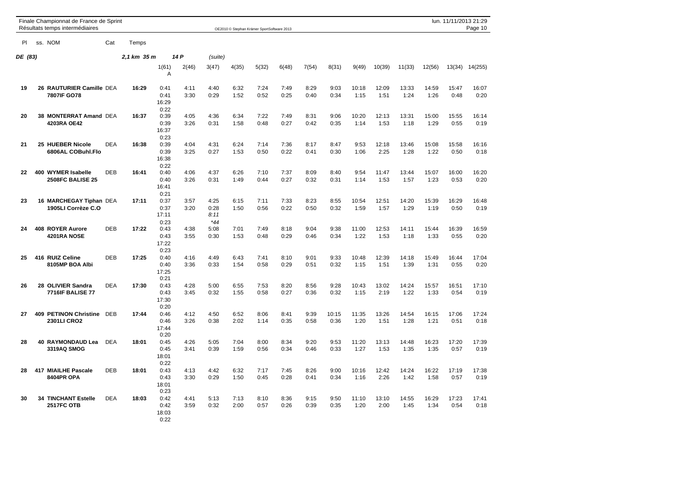|         | Finale Championnat de France de Sprint<br>Résultats temps intermédiaires |            |             |                               |              |                               |              | OE2010 © Stephan Krämer SportSoftware 2013 |              |              |               |               |               |               |               | lun. 11/11/2013 21:29 | Page 10       |
|---------|--------------------------------------------------------------------------|------------|-------------|-------------------------------|--------------|-------------------------------|--------------|--------------------------------------------|--------------|--------------|---------------|---------------|---------------|---------------|---------------|-----------------------|---------------|
| PI      | ss. NOM                                                                  | Cat        | Temps       |                               |              |                               |              |                                            |              |              |               |               |               |               |               |                       |               |
| DE (83) |                                                                          |            | 2,1 km 35 m |                               | 14 P         | (suite)                       |              |                                            |              |              |               |               |               |               |               |                       |               |
|         |                                                                          |            |             | 1(61)<br>Α                    | 2(46)        | 3(47)                         | 4(35)        | 5(32)                                      | 6(48)        | 7(54)        | 8(31)         | 9(49)         | 10(39)        | 11(33)        | 12(56)        | 13(34)                | 14(255)       |
| 19      | 26 RAUTURIER Camille DEA<br>7807IF GO78                                  |            | 16:29       | 0:41<br>0:41<br>16:29<br>0:22 | 4:11<br>3:30 | 4:40<br>0:29                  | 6:32<br>1:52 | 7:24<br>0:52                               | 7:49<br>0:25 | 8:29<br>0:40 | 9:03<br>0:34  | 10:18<br>1:15 | 12:09<br>1:51 | 13:33<br>1:24 | 14:59<br>1:26 | 15:47<br>0:48         | 16:07<br>0:20 |
| 20      | 38 MONTERRAT Amand DEA<br>4203RA OE42                                    |            | 16:37       | 0:39<br>0:39<br>16:37<br>0:23 | 4:05<br>3:26 | 4:36<br>0:31                  | 6:34<br>1:58 | 7:22<br>0:48                               | 7:49<br>0:27 | 8:31<br>0:42 | 9:06<br>0:35  | 10:20<br>1:14 | 12:13<br>1:53 | 13:31<br>1:18 | 15:00<br>1:29 | 15:55<br>0:55         | 16:14<br>0:19 |
| 21      | 25 HUEBER Nicole<br>6806AL COBuhl.Flo                                    | <b>DEA</b> | 16:38       | 0:39<br>0:39<br>16:38<br>0:22 | 4:04<br>3:25 | 4:31<br>0:27                  | 6:24<br>1:53 | 7:14<br>0:50                               | 7:36<br>0:22 | 8:17<br>0:41 | 8:47<br>0:30  | 9:53<br>1:06  | 12:18<br>2:25 | 13:46<br>1:28 | 15:08<br>1:22 | 15:58<br>0:50         | 16:16<br>0:18 |
| 22      | 400 WYMER Isabelle<br><b>2508FC BALISE 25</b>                            | <b>DEB</b> | 16:41       | 0:40<br>0:40<br>16:41<br>0:21 | 4:06<br>3:26 | 4:37<br>0:31                  | 6:26<br>1:49 | 7:10<br>0:44                               | 7:37<br>0:27 | 8:09<br>0:32 | 8:40<br>0:31  | 9:54<br>1:14  | 11:47<br>1:53 | 13:44<br>1:57 | 15:07<br>1:23 | 16:00<br>0:53         | 16:20<br>0:20 |
| 23      | 16 MARCHEGAY Tiphan DEA<br>1905LI Corrèze C.O                            |            | 17:11       | 0:37<br>0:37<br>17:11<br>0:23 | 3:57<br>3:20 | 4:25<br>0:28<br>8:11<br>$*44$ | 6:15<br>1:50 | 7:11<br>0:56                               | 7:33<br>0:22 | 8:23<br>0:50 | 8:55<br>0:32  | 10:54<br>1:59 | 12:51<br>1:57 | 14:20<br>1:29 | 15:39<br>1:19 | 16:29<br>0:50         | 16:48<br>0:19 |
| 24      | 408 ROYER Aurore<br>4201RA NOSE                                          | DEB        | 17:22       | 0:43<br>0:43<br>17:22<br>0:23 | 4:38<br>3:55 | 5:08<br>0:30                  | 7:01<br>1:53 | 7:49<br>0:48                               | 8:18<br>0:29 | 9:04<br>0:46 | 9:38<br>0:34  | 11:00<br>1:22 | 12:53<br>1:53 | 14:11<br>1:18 | 15:44<br>1:33 | 16:39<br>0:55         | 16:59<br>0:20 |
| 25      | 416 RUIZ Celine<br>8105MP BOA Albi                                       | <b>DEB</b> | 17:25       | 0:40<br>0:40<br>17:25<br>0:21 | 4:16<br>3:36 | 4:49<br>0:33                  | 6:43<br>1:54 | 7:41<br>0:58                               | 8:10<br>0:29 | 9:01<br>0:51 | 9:33<br>0:32  | 10:48<br>1:15 | 12:39<br>1:51 | 14:18<br>1:39 | 15:49<br>1:31 | 16:44<br>0:55         | 17:04<br>0:20 |
| 26      | 28 OLIVIER Sandra<br><b>7716IF BALISE 77</b>                             | <b>DEA</b> | 17:30       | 0:43<br>0:43<br>17:30<br>0:20 | 4:28<br>3:45 | 5:00<br>0:32                  | 6:55<br>1:55 | 7:53<br>0:58                               | 8:20<br>0:27 | 8:56<br>0:36 | 9:28<br>0:32  | 10:43<br>1:15 | 13:02<br>2:19 | 14:24<br>1:22 | 15:57<br>1:33 | 16:51<br>0:54         | 17:10<br>0:19 |
| 27      | <b>409 PETINON Christine</b><br>2301LI CRO2                              | DEB        | 17:44       | 0:46<br>0:46<br>17:44<br>0:20 | 4:12<br>3:26 | 4:50<br>0:38                  | 6:52<br>2:02 | 8:06<br>1:14                               | 8:41<br>0:35 | 9:39<br>0:58 | 10:15<br>0:36 | 11:35<br>1:20 | 13:26<br>1:51 | 14:54<br>1:28 | 16:15<br>1:21 | 17:06<br>0:51         | 17:24<br>0:18 |
| 28      | <b>RAYMONDAUD Lea</b><br>40<br>3319AQ SMOG                               | <b>DEA</b> | 18:01       | 0:45<br>0:45<br>18:01<br>0:22 | 4:26<br>3:41 | 5:05<br>0:39                  | 7:04<br>1:59 | 8:00<br>0:56                               | 8:34<br>0:34 | 9:20<br>0:46 | 9:53<br>0:33  | 11:20<br>1:27 | 13:13<br>1:53 | 14:48<br>1:35 | 16:23<br>1:35 | 17:20<br>0:57         | 17:39<br>0:19 |
| 28      | 417 MIAILHE Pascale<br>8404PR OPA                                        | <b>DEB</b> | 18:01       | 0:43<br>0:43<br>18:01<br>0:23 | 4:13<br>3:30 | 4:42<br>0:29                  | 6:32<br>1:50 | 7:17<br>0:45                               | 7:45<br>0:28 | 8:26<br>0:41 | 9:00<br>0:34  | 10:16<br>1:16 | 12:42<br>2:26 | 14:24<br>1:42 | 16:22<br>1:58 | 17:19<br>0:57         | 17:38<br>0:19 |
| 30      | <b>34 TINCHANT Estelle</b><br><b>2517FC OTB</b>                          | <b>DEA</b> | 18:03       | 0:42<br>0:42<br>18:03<br>0:22 | 4:41<br>3:59 | 5:13<br>0:32                  | 7:13<br>2:00 | 8:10<br>0:57                               | 8:36<br>0:26 | 9:15<br>0:39 | 9:50<br>0:35  | 11:10<br>1:20 | 13:10<br>2:00 | 14:55<br>1:45 | 16:29<br>1:34 | 17:23<br>0:54         | 17:41<br>0:18 |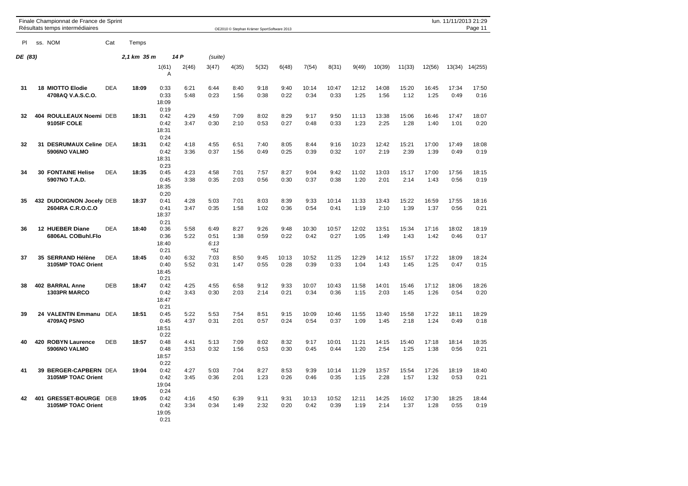|         | Finale Championnat de France de Sprint<br>Résultats temps intermédiaires |            |             |                               |              |                               |              | OE2010 © Stephan Krämer SportSoftware 2013 |               |               |               |               |               |               |               | lun. 11/11/2013 21:29 | Page 11       |
|---------|--------------------------------------------------------------------------|------------|-------------|-------------------------------|--------------|-------------------------------|--------------|--------------------------------------------|---------------|---------------|---------------|---------------|---------------|---------------|---------------|-----------------------|---------------|
| PI      | ss. NOM                                                                  | Cat        | Temps       |                               |              |                               |              |                                            |               |               |               |               |               |               |               |                       |               |
| DE (83) |                                                                          |            | 2,1 km 35 m |                               | 14 P         | (suite)                       |              |                                            |               |               |               |               |               |               |               |                       |               |
|         |                                                                          |            |             | 1(61)<br>Α                    | 2(46)        | 3(47)                         | 4(35)        | 5(32)                                      | 6(48)         | 7(54)         | 8(31)         | 9(49)         | 10(39)        | 11(33)        | 12(56)        | 13(34)                | 14(255)       |
| 31      | <b>18 MIOTTO Elodie</b><br>4708AQ V.A.S.C.O.                             | <b>DEA</b> | 18:09       | 0:33<br>0:33<br>18:09<br>0:19 | 6:21<br>5:48 | 6:44<br>0:23                  | 8:40<br>1:56 | 9:18<br>0:38                               | 9:40<br>0:22  | 10:14<br>0:34 | 10:47<br>0:33 | 12:12<br>1:25 | 14:08<br>1:56 | 15:20<br>1:12 | 16:45<br>1:25 | 17:34<br>0:49         | 17:50<br>0:16 |
| 32      | 404 ROULLEAUX Noemi DEB<br>9105IF COLE                                   |            | 18:31       | 0:42<br>0:42<br>18:31<br>0:24 | 4:29<br>3:47 | 4:59<br>0:30                  | 7:09<br>2:10 | 8:02<br>0:53                               | 8:29<br>0:27  | 9:17<br>0:48  | 9:50<br>0:33  | 11:13<br>1:23 | 13:38<br>2:25 | 15:06<br>1:28 | 16:46<br>1:40 | 17:47<br>1:01         | 18:07<br>0:20 |
| 32      | 31 DESRUMAUX Celine DEA<br>5906NO VALMO                                  |            | 18:31       | 0:42<br>0:42<br>18:31<br>0:23 | 4:18<br>3:36 | 4:55<br>0:37                  | 6:51<br>1:56 | 7:40<br>0:49                               | 8:05<br>0:25  | 8:44<br>0:39  | 9:16<br>0:32  | 10:23<br>1:07 | 12:42<br>2:19 | 15:21<br>2:39 | 17:00<br>1:39 | 17:49<br>0:49         | 18:08<br>0:19 |
| 34      | 30<br><b>FONTAINE Helise</b><br>5907NO T.A.D.                            | <b>DEA</b> | 18:35       | 0:45<br>0:45<br>18:35<br>0:20 | 4:23<br>3:38 | 4:58<br>0:35                  | 7:01<br>2:03 | 7:57<br>0:56                               | 8:27<br>0:30  | 9:04<br>0:37  | 9:42<br>0:38  | 11:02<br>1:20 | 13:03<br>2:01 | 15:17<br>2:14 | 17:00<br>1:43 | 17:56<br>0:56         | 18:15<br>0:19 |
| 35      | 432 DUDOIGNON Jocely DEB<br>2604RA C.R.O.C.O                             |            | 18:37       | 0:41<br>0:41<br>18:37<br>0:21 | 4:28<br>3:47 | 5:03<br>0:35                  | 7:01<br>1:58 | 8:03<br>1:02                               | 8:39<br>0:36  | 9:33<br>0:54  | 10:14<br>0:41 | 11:33<br>1:19 | 13:43<br>2:10 | 15:22<br>1:39 | 16:59<br>1:37 | 17:55<br>0:56         | 18:16<br>0:21 |
| 36      | 12 HUEBER Diane<br>6806AL COBuhl.Flo                                     | <b>DEA</b> | 18:40       | 0:36<br>0:36<br>18:40<br>0:21 | 5:58<br>5:22 | 6:49<br>0:51<br>6:13<br>$*51$ | 8:27<br>1:38 | 9:26<br>0:59                               | 9:48<br>0:22  | 10:30<br>0:42 | 10:57<br>0:27 | 12:02<br>1:05 | 13:51<br>1:49 | 15:34<br>1:43 | 17:16<br>1:42 | 18:02<br>0:46         | 18:19<br>0:17 |
| 37      | 35 SERRAND Hélène<br>3105MP TOAC Orient                                  | <b>DEA</b> | 18:45       | 0:40<br>0:40<br>18:45<br>0:21 | 6:32<br>5:52 | 7:03<br>0:31                  | 8:50<br>1:47 | 9:45<br>0:55                               | 10:13<br>0:28 | 10:52<br>0:39 | 11:25<br>0:33 | 12:29<br>1:04 | 14:12<br>1:43 | 15:57<br>1:45 | 17:22<br>1:25 | 18:09<br>0:47         | 18:24<br>0:15 |
| 38      | 402 BARRAL Anne<br><b>1303PR MARCO</b>                                   | <b>DEB</b> | 18:47       | 0:42<br>0:42<br>18:47<br>0:21 | 4:25<br>3:43 | 4:55<br>0:30                  | 6:58<br>2:03 | 9:12<br>2:14                               | 9:33<br>0:21  | 10:07<br>0:34 | 10:43<br>0:36 | 11:58<br>1:15 | 14:01<br>2:03 | 15:46<br>1:45 | 17:12<br>1:26 | 18:06<br>0:54         | 18:26<br>0:20 |
| 39      | 24 VALENTIN Emmanu<br>4709AQ PSNO                                        | DEA        | 18:51       | 0:45<br>0:45<br>18:51<br>0:22 | 5:22<br>4:37 | 5:53<br>0:31                  | 7:54<br>2:01 | 8:51<br>0:57                               | 9:15<br>0:24  | 10:09<br>0:54 | 10:46<br>0:37 | 11:55<br>1:09 | 13:40<br>1:45 | 15:58<br>2:18 | 17:22<br>1:24 | 18:11<br>0:49         | 18:29<br>0:18 |
| 40      | 420<br><b>ROBYN Laurence</b><br>5906NO VALMO                             | DEB        | 18:57       | 0:48<br>0:48<br>18:57<br>0:22 | 4:41<br>3:53 | 5:13<br>0:32                  | 7:09<br>1:56 | 8:02<br>0:53                               | 8:32<br>0:30  | 9:17<br>0:45  | 10:01<br>0:44 | 11:21<br>1:20 | 14:15<br>2:54 | 15:40<br>1:25 | 17:18<br>1:38 | 18:14<br>0:56         | 18:35<br>0:21 |
| 41      | 39 BERGER-CAPBERN DEA<br>3105MP TOAC Orient                              |            | 19:04       | 0:42<br>0:42<br>19:04<br>0:24 | 4:27<br>3:45 | 5:03<br>0:36                  | 7:04<br>2:01 | 8:27<br>1:23                               | 8:53<br>0:26  | 9:39<br>0:46  | 10:14<br>0:35 | 11:29<br>1:15 | 13:57<br>2:28 | 15:54<br>1:57 | 17:26<br>1:32 | 18:19<br>0:53         | 18:40<br>0:21 |
| 42      | 401<br><b>GRESSET-BOURGE DEB</b><br>3105MP TOAC Orient                   |            | 19:05       | 0:42<br>0:42<br>19:05<br>0:21 | 4:16<br>3:34 | 4:50<br>0:34                  | 6:39<br>1:49 | 9:11<br>2:32                               | 9:31<br>0:20  | 10:13<br>0:42 | 10:52<br>0:39 | 12:11<br>1:19 | 14:25<br>2:14 | 16:02<br>1:37 | 17:30<br>1:28 | 18:25<br>0:55         | 18:44<br>0:19 |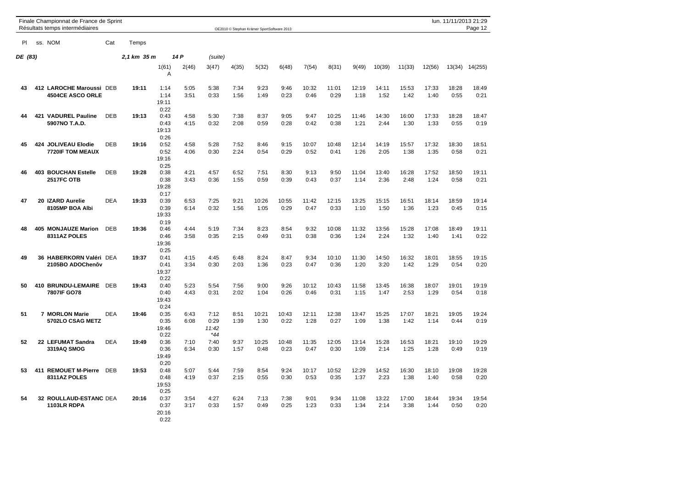|         |         | Finale Championnat de France de Sprint<br>Résultats temps intermédiaires |            |             |                               |              |                              |              | OE2010 © Stephan Krämer SportSoftware 2013 |               |               |               |               |               |               |               |               | lun. 11/11/2013 21:29<br>Page 12 |
|---------|---------|--------------------------------------------------------------------------|------------|-------------|-------------------------------|--------------|------------------------------|--------------|--------------------------------------------|---------------|---------------|---------------|---------------|---------------|---------------|---------------|---------------|----------------------------------|
| PI      | ss. NOM |                                                                          | Cat        | Temps       |                               |              |                              |              |                                            |               |               |               |               |               |               |               |               |                                  |
| DE (83) |         |                                                                          |            | 2,1 km 35 m |                               | 14 P         | (suite)                      |              |                                            |               |               |               |               |               |               |               |               |                                  |
|         |         |                                                                          |            |             | 1(61)<br>Α                    | 2(46)        | 3(47)                        | 4(35)        | 5(32)                                      | 6(48)         | 7(54)         | 8(31)         | 9(49)         | 10(39)        | 11(33)        | 12(56)        | 13(34)        | 14(255)                          |
| 43      |         | 412 LAROCHE Maroussi DEB<br><b>4504CE ASCO ORLE</b>                      |            | 19:11       | 1:14<br>1:14<br>19:11<br>0:22 | 5:05<br>3:51 | 5:38<br>0:33                 | 7:34<br>1:56 | 9:23<br>1:49                               | 9:46<br>0:23  | 10:32<br>0:46 | 11:01<br>0:29 | 12:19<br>1:18 | 14:11<br>1:52 | 15:53<br>1:42 | 17:33<br>1:40 | 18:28<br>0:55 | 18:49<br>0:21                    |
| 44      |         | 421 VADUREL Pauline<br>5907NO T.A.D.                                     | <b>DEB</b> | 19:13       | 0:43<br>0:43<br>19:13<br>0:26 | 4:58<br>4:15 | 5:30<br>0:32                 | 7:38<br>2:08 | 8:37<br>0:59                               | 9:05<br>0:28  | 9:47<br>0:42  | 10:25<br>0:38 | 11:46<br>1:21 | 14:30<br>2:44 | 16:00<br>1:30 | 17:33<br>1:33 | 18:28<br>0:55 | 18:47<br>0:19                    |
| 45      |         | 424 JOLIVEAU Elodie<br>7720IF TOM MEAUX                                  | <b>DEB</b> | 19:16       | 0:52<br>0:52<br>19:16<br>0:25 | 4:58<br>4:06 | 5:28<br>0:30                 | 7:52<br>2:24 | 8:46<br>0:54                               | 9:15<br>0:29  | 10:07<br>0:52 | 10:48<br>0:41 | 12:14<br>1:26 | 14:19<br>2:05 | 15:57<br>1:38 | 17:32<br>1:35 | 18:30<br>0:58 | 18:51<br>0:21                    |
| 46      |         | <b>403 BOUCHAN Estelle</b><br><b>2517FC OTB</b>                          | <b>DEB</b> | 19:28       | 0:38<br>0:38<br>19:28<br>0:17 | 4:21<br>3:43 | 4:57<br>0:36                 | 6:52<br>1:55 | 7:51<br>0:59                               | 8:30<br>0:39  | 9:13<br>0:43  | 9:50<br>0:37  | 11:04<br>1:14 | 13:40<br>2:36 | 16:28<br>2:48 | 17:52<br>1:24 | 18:50<br>0:58 | 19:11<br>0:21                    |
| 47      |         | 20 IZARD Aurelie<br>8105MP BOA Albi                                      | <b>DEA</b> | 19:33       | 0:39<br>0:39<br>19:33<br>0:19 | 6:53<br>6:14 | 7:25<br>0:32                 | 9:21<br>1:56 | 10:26<br>1:05                              | 10:55<br>0:29 | 11:42<br>0:47 | 12:15<br>0:33 | 13:25<br>1:10 | 15:15<br>1:50 | 16:51<br>1:36 | 18:14<br>1:23 | 18:59<br>0:45 | 19:14<br>0:15                    |
| 48      |         | 405 MONJAUZE Marion<br>8311AZ POLES                                      | DEB        | 19:36       | 0:46<br>0:46<br>19:36<br>0:25 | 4:44<br>3:58 | 5:19<br>0:35                 | 7:34<br>2:15 | 8:23<br>0:49                               | 8:54<br>0:31  | 9:32<br>0:38  | 10:08<br>0:36 | 11:32<br>1:24 | 13:56<br>2:24 | 15:28<br>1:32 | 17:08<br>1:40 | 18:49<br>1:41 | 19:11<br>0:22                    |
| 49      |         | 36 HABERKORN Valéri DEA<br>2105BO ADOChenôv                              |            | 19:37       | 0:41<br>0:41<br>19:37<br>0:22 | 4:15<br>3:34 | 4:45<br>0:30                 | 6:48<br>2:03 | 8:24<br>1:36                               | 8:47<br>0:23  | 9:34<br>0:47  | 10:10<br>0:36 | 11:30<br>1:20 | 14:50<br>3:20 | 16:32<br>1:42 | 18:01<br>1:29 | 18:55<br>0:54 | 19:15<br>0:20                    |
| 50      |         | 410 BRUNDU-LEMAIRE DEB<br>7807IF GO78                                    |            | 19:43       | 0:40<br>0:40<br>19:43<br>0:24 | 5:23<br>4:43 | 5:54<br>0:31                 | 7:56<br>2:02 | 9:00<br>1:04                               | 9:26<br>0:26  | 10:12<br>0:46 | 10:43<br>0:31 | 11:58<br>1:15 | 13:45<br>1:47 | 16:38<br>2:53 | 18:07<br>1:29 | 19:01<br>0:54 | 19:19<br>0:18                    |
| 51      |         | <b>7 MORLON Marie</b><br>5702LO CSAG METZ                                | <b>DEA</b> | 19:46       | 0:35<br>0:35<br>19:46<br>0:22 | 6:43<br>6:08 | 7:12<br>0:29<br>11:42<br>*44 | 8:51<br>1:39 | 10:21<br>1:30                              | 10:43<br>0:22 | 12:11<br>1:28 | 12:38<br>0:27 | 13:47<br>1:09 | 15:25<br>1:38 | 17:07<br>1:42 | 18:21<br>1:14 | 19:05<br>0:44 | 19:24<br>0:19                    |
| 52      |         | 22 LEFUMAT Sandra<br>3319AQ SMOG                                         | <b>DEA</b> | 19:49       | 0:36<br>0:36<br>19:49<br>0:20 | 7:10<br>6:34 | 7:40<br>0:30                 | 9:37<br>1:57 | 10:25<br>0:48                              | 10:48<br>0:23 | 11:35<br>0:47 | 12:05<br>0:30 | 13:14<br>1:09 | 15:28<br>2:14 | 16:53<br>1:25 | 18:21<br>1:28 | 19:10<br>0:49 | 19:29<br>0:19                    |
| 53      |         | 411 REMOUET M-Pierre<br>8311AZ POLES                                     | <b>DEB</b> | 19:53       | 0:48<br>0:48<br>19:53<br>0:25 | 5:07<br>4:19 | 5:44<br>0:37                 | 7:59<br>2:15 | 8:54<br>0:55                               | 9:24<br>0:30  | 10:17<br>0:53 | 10:52<br>0:35 | 12:29<br>1:37 | 14:52<br>2:23 | 16:30<br>1:38 | 18:10<br>1:40 | 19:08<br>0:58 | 19:28<br>0:20                    |
| 54      |         | 32 ROULLAUD-ESTANC DEA<br>1103LR RDPA                                    |            | 20:16       | 0:37<br>0:37<br>20:16<br>0:22 | 3:54<br>3:17 | 4:27<br>0:33                 | 6:24<br>1:57 | 7:13<br>0:49                               | 7:38<br>0:25  | 9:01<br>1:23  | 9:34<br>0:33  | 11:08<br>1:34 | 13:22<br>2:14 | 17:00<br>3:38 | 18:44<br>1:44 | 19:34<br>0:50 | 19:54<br>0:20                    |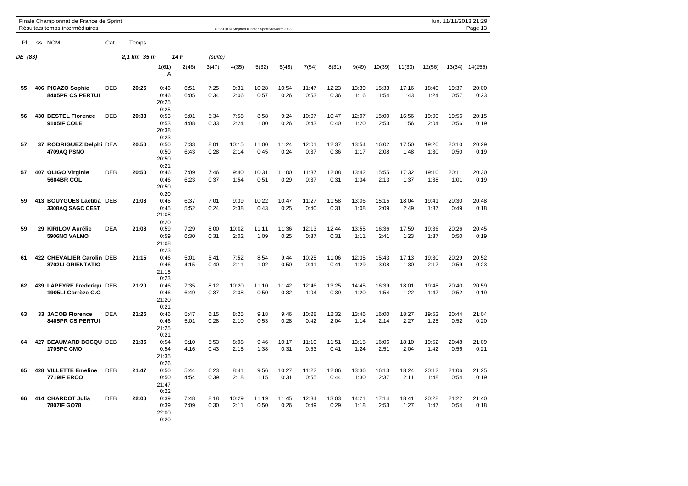|         |     | Finale Championnat de France de Sprint<br>Résultats temps intermédiaires |            |             |                               |              |              |               | OE2010 © Stephan Krämer SportSoftware 2013 |               |               |               |               |               |               |               |               | lun. 11/11/2013 21:29<br>Page 13 |
|---------|-----|--------------------------------------------------------------------------|------------|-------------|-------------------------------|--------------|--------------|---------------|--------------------------------------------|---------------|---------------|---------------|---------------|---------------|---------------|---------------|---------------|----------------------------------|
| PI      |     | ss. NOM                                                                  | Cat        | Temps       |                               |              |              |               |                                            |               |               |               |               |               |               |               |               |                                  |
| DE (83) |     |                                                                          |            | 2,1 km 35 m |                               | 14 P         | (suite)      |               |                                            |               |               |               |               |               |               |               |               |                                  |
|         |     |                                                                          |            |             | 1(61)<br>Α                    | 2(46)        | 3(47)        | 4(35)         | 5(32)                                      | 6(48)         | 7(54)         | 8(31)         | 9(49)         | 10(39)        | 11(33)        | 12(56)        | 13(34)        | 14(255)                          |
| 55      |     | 406 PICAZO Sophie<br><b>8405PR CS PERTUI</b>                             | DEB        | 20:25       | 0:46<br>0:46<br>20:25<br>0:25 | 6:51<br>6:05 | 7:25<br>0:34 | 9:31<br>2:06  | 10:28<br>0:57                              | 10:54<br>0:26 | 11:47<br>0:53 | 12:23<br>0:36 | 13:39<br>1:16 | 15:33<br>1:54 | 17:16<br>1:43 | 18:40<br>1:24 | 19:37<br>0:57 | 20:00<br>0:23                    |
| 56      |     | 430 BESTEL Florence<br>9105IF COLE                                       | DEB        | 20:38       | 0:53<br>0:53<br>20:38<br>0:23 | 5:01<br>4:08 | 5:34<br>0:33 | 7:58<br>2:24  | 8:58<br>1:00                               | 9:24<br>0:26  | 10:07<br>0:43 | 10:47<br>0:40 | 12:07<br>1:20 | 15:00<br>2:53 | 16:56<br>1:56 | 19:00<br>2:04 | 19:56<br>0:56 | 20:15<br>0:19                    |
| 57      |     | 37 RODRIGUEZ Delphi DEA<br>4709AQ PSNO                                   |            | 20:50       | 0:50<br>0:50<br>20:50<br>0:21 | 7:33<br>6:43 | 8:01<br>0:28 | 10:15<br>2:14 | 11:00<br>0:45                              | 11:24<br>0:24 | 12:01<br>0:37 | 12:37<br>0:36 | 13:54<br>1:17 | 16:02<br>2:08 | 17:50<br>1:48 | 19:20<br>1:30 | 20:10<br>0:50 | 20:29<br>0:19                    |
| 57      | 407 | <b>OLIGO Virginie</b><br><b>5604BR COL</b>                               | <b>DEB</b> | 20:50       | 0:46<br>0:46<br>20:50<br>0:20 | 7:09<br>6:23 | 7:46<br>0:37 | 9:40<br>1:54  | 10:31<br>0:51                              | 11:00<br>0:29 | 11:37<br>0:37 | 12:08<br>0:31 | 13:42<br>1:34 | 15:55<br>2:13 | 17:32<br>1:37 | 19:10<br>1:38 | 20:11<br>1:01 | 20:30<br>0:19                    |
| 59      |     | 413 BOUYGUES Laetitia DEB<br>3308AQ SAGC CEST                            |            | 21:08       | 0:45<br>0:45<br>21:08<br>0:20 | 6:37<br>5:52 | 7:01<br>0:24 | 9:39<br>2:38  | 10:22<br>0:43                              | 10:47<br>0:25 | 11:27<br>0:40 | 11:58<br>0:31 | 13:06<br>1:08 | 15:15<br>2:09 | 18:04<br>2:49 | 19:41<br>1:37 | 20:30<br>0:49 | 20:48<br>0:18                    |
| 59      |     | 29 KIRILOV Aurélie<br>5906NO VALMO                                       | <b>DEA</b> | 21:08       | 0:59<br>0:59<br>21:08<br>0:23 | 7:29<br>6:30 | 8:00<br>0:31 | 10:02<br>2:02 | 11:11<br>1:09                              | 11:36<br>0:25 | 12:13<br>0:37 | 12:44<br>0:31 | 13:55<br>1:11 | 16:36<br>2:41 | 17:59<br>1:23 | 19:36<br>1:37 | 20:26<br>0:50 | 20:45<br>0:19                    |
| 61      |     | 422 CHEVALIER Carolin DEB<br>8702LI ORIENTATIO                           |            | 21:15       | 0:46<br>0:46<br>21:15<br>0:23 | 5:01<br>4:15 | 5:41<br>0:40 | 7:52<br>2:11  | 8:54<br>1:02                               | 9:44<br>0:50  | 10:25<br>0:41 | 11:06<br>0:41 | 12:35<br>1:29 | 15:43<br>3:08 | 17:13<br>1:30 | 19:30<br>2:17 | 20:29<br>0:59 | 20:52<br>0:23                    |
| 62      |     | 439 LAPEYRE Frederiqu DEB<br>1905LI Corrèze C.O                          |            | 21:20       | 0:46<br>0:46<br>21:20<br>0:21 | 7:35<br>6:49 | 8:12<br>0:37 | 10:20<br>2:08 | 11:10<br>0:50                              | 11:42<br>0:32 | 12:46<br>1:04 | 13:25<br>0:39 | 14:45<br>1:20 | 16:39<br>1:54 | 18:01<br>1:22 | 19:48<br>1:47 | 20:40<br>0:52 | 20:59<br>0:19                    |
| 63      | 33  | <b>JACOB Florence</b><br>8405PR CS PERTUI                                | <b>DEA</b> | 21:25       | 0:46<br>0:46<br>21:25<br>0:21 | 5:47<br>5:01 | 6:15<br>0:28 | 8:25<br>2:10  | 9:18<br>0:53                               | 9:46<br>0:28  | 10:28<br>0:42 | 12:32<br>2:04 | 13:46<br>1:14 | 16:00<br>2:14 | 18:27<br>2:27 | 19:52<br>1:25 | 20:44<br>0:52 | 21:04<br>0:20                    |
| 64      | 427 | <b>BEAUMARD BOCQU DEB</b><br><b>1705PC CMO</b>                           |            | 21:35       | 0:54<br>0:54<br>21:35<br>0:26 | 5:10<br>4:16 | 5:53<br>0:43 | 8:08<br>2:15  | 9:46<br>1:38                               | 10:17<br>0:31 | 11:10<br>0:53 | 11:51<br>0:41 | 13:15<br>1:24 | 16:06<br>2:51 | 18:10<br>2:04 | 19:52<br>1:42 | 20:48<br>0:56 | 21:09<br>0:21                    |
| 65      |     | 428 VILLETTE Emeline<br>7719IF ERCO                                      | <b>DEB</b> | 21:47       | 0:50<br>0:50<br>21:47<br>0:22 | 5:44<br>4:54 | 6:23<br>0:39 | 8:41<br>2:18  | 9:56<br>1:15                               | 10:27<br>0:31 | 11:22<br>0:55 | 12:06<br>0:44 | 13:36<br>1:30 | 16:13<br>2:37 | 18:24<br>2:11 | 20:12<br>1:48 | 21:06<br>0:54 | 21:25<br>0:19                    |
| 66      |     | 414 CHARDOT Julia<br>7807IF GO78                                         | DEB        | 22:00       | 0:39<br>0:39<br>22:00<br>0:20 | 7:48<br>7:09 | 8:18<br>0:30 | 10:29<br>2:11 | 11:19<br>0:50                              | 11:45<br>0:26 | 12:34<br>0:49 | 13:03<br>0:29 | 14:21<br>1:18 | 17:14<br>2:53 | 18:41<br>1:27 | 20:28<br>1:47 | 21:22<br>0:54 | 21:40<br>0:18                    |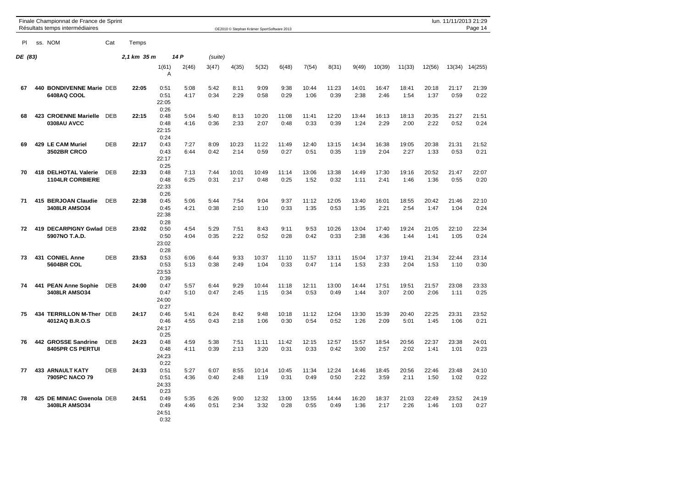|         |     | Finale Championnat de France de Sprint<br>Résultats temps intermédiaires |            |             |                               |              |              |               | OE2010 © Stephan Krämer SportSoftware 2013 |               |               |               |               |               |               |               |               | lun. 11/11/2013 21:29<br>Page 14 |
|---------|-----|--------------------------------------------------------------------------|------------|-------------|-------------------------------|--------------|--------------|---------------|--------------------------------------------|---------------|---------------|---------------|---------------|---------------|---------------|---------------|---------------|----------------------------------|
| PI      |     | ss. NOM                                                                  | Cat        | Temps       |                               |              |              |               |                                            |               |               |               |               |               |               |               |               |                                  |
| DE (83) |     |                                                                          |            | 2,1 km 35 m |                               | 14 P         | (suite)      |               |                                            |               |               |               |               |               |               |               |               |                                  |
|         |     |                                                                          |            |             | 1(61)<br>A                    | 2(46)        | 3(47)        | 4(35)         | 5(32)                                      | 6(48)         | 7(54)         | 8(31)         | 9(49)         | 10(39)        | 11(33)        | 12(56)        | 13(34)        | 14(255)                          |
| 67      |     | 440 BONDIVENNE Marie DEB<br>6408AQ COOL                                  |            | 22:05       | 0:51<br>0:51<br>22:05<br>0:26 | 5:08<br>4:17 | 5:42<br>0:34 | 8:11<br>2:29  | 9:09<br>0:58                               | 9:38<br>0:29  | 10:44<br>1:06 | 11:23<br>0:39 | 14:01<br>2:38 | 16:47<br>2:46 | 18:41<br>1:54 | 20:18<br>1:37 | 21:17<br>0:59 | 21:39<br>0:22                    |
| 68      |     | 423 CROENNE Marielle<br>0308AU AVCC                                      | <b>DEB</b> | 22:15       | 0:48<br>0:48<br>22:15<br>0:24 | 5:04<br>4:16 | 5:40<br>0:36 | 8:13<br>2:33  | 10:20<br>2:07                              | 11:08<br>0:48 | 11:41<br>0:33 | 12:20<br>0:39 | 13:44<br>1:24 | 16:13<br>2:29 | 18:13<br>2:00 | 20:35<br>2:22 | 21:27<br>0:52 | 21:51<br>0:24                    |
| 69      |     | 429 LE CAM Muriel<br><b>3502BR CRCO</b>                                  | <b>DEB</b> | 22:17       | 0:43<br>0:43<br>22:17<br>0:25 | 7:27<br>6:44 | 8:09<br>0:42 | 10:23<br>2:14 | 11:22<br>0:59                              | 11:49<br>0:27 | 12:40<br>0:51 | 13:15<br>0:35 | 14:34<br>1:19 | 16:38<br>2:04 | 19:05<br>2:27 | 20:38<br>1:33 | 21:31<br>0:53 | 21:52<br>0:21                    |
| 70      | 418 | <b>DELHOTAL Valerie</b><br><b>1104LR CORBIERE</b>                        | <b>DEB</b> | 22:33       | 0:48<br>0:48<br>22:33<br>0:26 | 7:13<br>6:25 | 7:44<br>0:31 | 10:01<br>2:17 | 10:49<br>0:48                              | 11:14<br>0:25 | 13:06<br>1:52 | 13:38<br>0:32 | 14:49<br>1:11 | 17:30<br>2:41 | 19:16<br>1:46 | 20:52<br>1:36 | 21:47<br>0:55 | 22:07<br>0:20                    |
| 71      |     | 415 BERJOAN Claudie<br><b>3408LR AMSO34</b>                              | <b>DEB</b> | 22:38       | 0:45<br>0:45<br>22:38<br>0:28 | 5:06<br>4:21 | 5:44<br>0:38 | 7:54<br>2:10  | 9:04<br>1:10                               | 9:37<br>0:33  | 11:12<br>1:35 | 12:05<br>0:53 | 13:40<br>1:35 | 16:01<br>2:21 | 18:55<br>2:54 | 20:42<br>1:47 | 21:46<br>1:04 | 22:10<br>0:24                    |
| 72      |     | 419 DECARPIGNY Gwlad DEB<br>5907NO T.A.D.                                |            | 23:02       | 0:50<br>0:50<br>23:02<br>0:28 | 4:54<br>4:04 | 5:29<br>0:35 | 7:51<br>2:22  | 8:43<br>0:52                               | 9:11<br>0:28  | 9:53<br>0:42  | 10:26<br>0:33 | 13:04<br>2:38 | 17:40<br>4:36 | 19:24<br>1:44 | 21:05<br>1:41 | 22:10<br>1:05 | 22:34<br>0:24                    |
| 73      | 431 | <b>CONIEL Anne</b><br><b>5604BR COL</b>                                  | <b>DEB</b> | 23:53       | 0:53<br>0:53<br>23:53<br>0:39 | 6:06<br>5:13 | 6:44<br>0:38 | 9:33<br>2:49  | 10:37<br>1:04                              | 11:10<br>0:33 | 11:57<br>0:47 | 13:11<br>1:14 | 15:04<br>1:53 | 17:37<br>2:33 | 19:41<br>2:04 | 21:34<br>1:53 | 22:44<br>1:10 | 23:14<br>0:30                    |
| 74      |     | 441 PEAN Anne Sophie<br><b>3408LR AMSO34</b>                             | <b>DEB</b> | 24:00       | 0:47<br>0:47<br>24:00<br>0:27 | 5:57<br>5:10 | 6:44<br>0:47 | 9:29<br>2:45  | 10:44<br>1:15                              | 11:18<br>0:34 | 12:11<br>0:53 | 13:00<br>0:49 | 14:44<br>1:44 | 17:51<br>3:07 | 19:51<br>2:00 | 21:57<br>2:06 | 23:08<br>1:11 | 23:33<br>0:25                    |
| 75      |     | 434 TERRILLON M-Ther DEB<br>4012AQ B.R.O.S                               |            | 24:17       | 0:46<br>0:46<br>24:17<br>0:25 | 5:41<br>4:55 | 6:24<br>0:43 | 8:42<br>2:18  | 9:48<br>1:06                               | 10:18<br>0:30 | 11:12<br>0:54 | 12:04<br>0:52 | 13:30<br>1:26 | 15:39<br>2:09 | 20:40<br>5:01 | 22:25<br>1:45 | 23:31<br>1:06 | 23:52<br>0:21                    |
| 76      |     | 442 GROSSE Sandrine<br>8405PR CS PERTUI                                  | <b>DEB</b> | 24:23       | 0:48<br>0:48<br>24:23<br>0:22 | 4:59<br>4:11 | 5:38<br>0:39 | 7:51<br>2:13  | 11:11<br>3:20                              | 11:42<br>0:31 | 12:15<br>0:33 | 12:57<br>0:42 | 15:57<br>3:00 | 18:54<br>2:57 | 20:56<br>2:02 | 22:37<br>1:41 | 23:38<br>1:01 | 24:01<br>0:23                    |
| 77      |     | <b>433 ARNAULT KATY</b><br>7905PC NACO 79                                | DEB        | 24:33       | 0:51<br>0:51<br>24:33<br>0:23 | 5:27<br>4:36 | 6:07<br>0:40 | 8:55<br>2:48  | 10:14<br>1:19                              | 10:45<br>0:31 | 11:34<br>0:49 | 12:24<br>0:50 | 14:46<br>2:22 | 18:45<br>3:59 | 20:56<br>2:11 | 22:46<br>1:50 | 23:48<br>1:02 | 24:10<br>0:22                    |
| 78      | 425 | DE MINIAC Gwenola DEB<br>3408LR AMSO34                                   |            | 24:51       | 0:49<br>0:49<br>24:51<br>0:32 | 5:35<br>4:46 | 6:26<br>0:51 | 9:00<br>2:34  | 12:32<br>3:32                              | 13:00<br>0:28 | 13:55<br>0:55 | 14:44<br>0:49 | 16:20<br>1:36 | 18:37<br>2:17 | 21:03<br>2:26 | 22:49<br>1:46 | 23:52<br>1:03 | 24:19<br>0:27                    |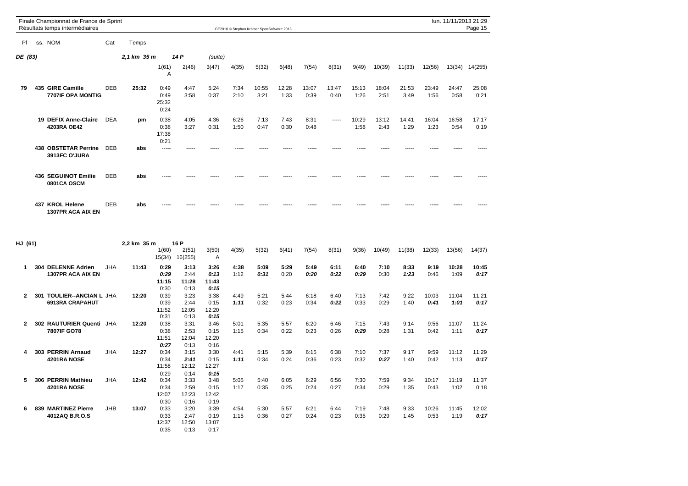|           |     | Finale Championnat de France de Sprint<br>Résultats temps intermédiaires |            |             |                               |              |              | OE2010 © Stephan Krämer SportSoftware 2013 |               |               |               |               |               |               |               |               | lun. 11/11/2013 21:29 | Page 15       |
|-----------|-----|--------------------------------------------------------------------------|------------|-------------|-------------------------------|--------------|--------------|--------------------------------------------|---------------|---------------|---------------|---------------|---------------|---------------|---------------|---------------|-----------------------|---------------|
| <b>PI</b> | SS. | <b>NOM</b>                                                               | Cat        | Temps       |                               |              |              |                                            |               |               |               |               |               |               |               |               |                       |               |
| DE (83)   |     |                                                                          |            | 2,1 km 35 m |                               | 14 P         | (suite)      |                                            |               |               |               |               |               |               |               |               |                       |               |
|           |     |                                                                          |            |             | 1(61)<br>A                    | 2(46)        | 3(47)        | 4(35)                                      | 5(32)         | 6(48)         | 7(54)         | 8(31)         | 9(49)         | 10(39)        | 11(33)        | 12(56)        | 13(34)                | 14(255)       |
| 79        |     | 435 GIRE Camille<br>7707IF OPA MONTIG                                    | <b>DEB</b> | 25:32       | 0:49<br>0:49<br>25:32<br>0:24 | 4:47<br>3:58 | 5:24<br>0:37 | 7:34<br>2:10                               | 10:55<br>3:21 | 12:28<br>1:33 | 13:07<br>0:39 | 13:47<br>0:40 | 15:13<br>1:26 | 18:04<br>2:51 | 21:53<br>3:49 | 23:49<br>1:56 | 24:47<br>0:58         | 25:08<br>0:21 |
|           |     | 19 DEFIX Anne-Claire<br>4203RA OE42                                      | <b>DEA</b> | pm          | 0:38<br>0:38<br>17:38<br>0:21 | 4:05<br>3:27 | 4:36<br>0:31 | 6:26<br>1:50                               | 7:13<br>0:47  | 7:43<br>0:30  | 8:31<br>0:48  | $- - - - -$   | 10:29<br>1:58 | 13:12<br>2:43 | 14:41<br>1:29 | 16:04<br>1:23 | 16:58<br>0:54         | 17:17<br>0:19 |
|           |     | <b>438 OBSTETAR Perrine</b><br>3913FC O'JURA                             | <b>DEB</b> | abs         | -----                         |              |              |                                            |               |               |               |               |               |               |               |               |                       |               |
|           |     | 436 SEGUINOT Emilie<br>0801CA OSCM                                       | <b>DEB</b> | abs         | -----                         |              |              |                                            |               |               |               |               |               |               |               |               |                       |               |
|           |     | 437 KROL Helene<br>1307PR ACA AIX EN                                     | <b>DEB</b> | abs         |                               |              |              |                                            |               |               |               |               |               |               |               |               |                       |               |

| HJ (61) |                                                               |            | 2,2 km 35 m |                       | 16 P                  |                       |              |              |              |              |              |              |              |              |               |               |               |
|---------|---------------------------------------------------------------|------------|-------------|-----------------------|-----------------------|-----------------------|--------------|--------------|--------------|--------------|--------------|--------------|--------------|--------------|---------------|---------------|---------------|
|         |                                                               |            |             | 1(60)<br>15(34)       | 2(51)<br>16(255)      | 3(50)<br>A            | 4(35)        | 5(32)        | 6(41)        | 7(54)        | 8(31)        | 9(36)        | 10(49)       | 11(38)       | 12(33)        | 13(56)        | 14(37)        |
| 1       | <b>DELENNE Adrien</b><br>304<br>1307PR ACA AIX EN             | <b>JHA</b> | 11:43       | 0:29<br>0:29          | 3:13<br>2:44          | 3:26<br>0:13          | 4:38<br>1:12 | 5:09<br>0:31 | 5:29<br>0:20 | 5:49<br>0:20 | 6:11<br>0:22 | 6:40<br>0:29 | 7:10<br>0:30 | 8:33<br>1:23 | 9:19<br>0:46  | 10:28<br>1:09 | 10:45<br>0:17 |
|         |                                                               |            |             | 11:15<br>0:30         | 11:28<br>0:13         | 11:43<br>0:15         |              |              |              |              |              |              |              |              |               |               |               |
| 2       | <b>TOULIER--ANCIAN L JHA</b><br>301<br><b>6913RA CRAPAHUT</b> |            | 12:20       | 0:39<br>0:39          | 3:23<br>2:44          | 3:38<br>0:15          | 4:49<br>1:11 | 5:21<br>0:32 | 5:44<br>0:23 | 6:18<br>0:34 | 6:40<br>0:22 | 7:13<br>0:33 | 7:42<br>0:29 | 9:22<br>1:40 | 10:03<br>0:41 | 11:04<br>1:01 | 11:21<br>0:17 |
|         |                                                               |            |             | 11:52<br>0:31         | 12:05<br>0:13         | 12:20<br>0:15         |              |              |              |              |              |              |              |              |               |               |               |
| 2       | <b>302 RAUTURIER Quenti</b>                                   | JHA        | 12:20       | 0:38                  | 3:31                  | 3:46                  | 5:01         | 5:35         | 5:57         | 6:20         | 6:46         | 7:15         | 7:43         | 9:14         | 9:56          | 11:07         | 11:24         |
|         | 7807IF GO78                                                   |            |             | 0:38<br>11:51<br>0:27 | 2:53<br>12:04<br>0:13 | 0:15<br>12:20<br>0:16 | 1:15         | 0:34         | 0:22         | 0:23         | 0:26         | 0:29         | 0:28         | 1:31         | 0:42          | 1:11          | 0:17          |
| 4       | 303 PERRIN Arnaud                                             | <b>JHA</b> | 12:27       | 0:34                  | 3:15                  | 3:30                  | 4:41         | 5:15         | 5:39         | 6:15         | 6:38         | 7:10         | 7:37         | 9:17         | 9:59          | 11:12         | 11:29         |
|         | 4201RA NOSE                                                   |            |             | 0:34<br>11:58<br>0:29 | 2:41<br>12:12<br>0:14 | 0:15<br>12:27<br>0:15 | 1:11         | 0:34         | 0:24         | 0:36         | 0:23         | 0:32         | 0:27         | 1:40         | 0:42          | 1:13          | 0:17          |
|         | 306 PERRIN Mathieu                                            | <b>JHA</b> | 12:42       | 0:34                  | 3:33                  | 3:48                  | 5:05         | 5:40         | 6:05         | 6:29         | 6:56         | 7:30         | 7:59         | 9:34         | 10:17         | 11:19         | 11:37         |
| 5       | 4201RA NOSE                                                   |            |             | 0:34<br>12:07         | 2:59<br>12:23         | 0:15<br>12:42         | 1:17         | 0:35         | 0:25         | 0:24         | 0:27         | 0:34         | 0:29         | 1:35         | 0:43          | 1:02          | 0:18          |
| 6       | <b>MARTINEZ Pierre</b><br>839                                 | <b>JHB</b> | 13:07       | 0:30<br>0:33          | 0:16<br>3:20          | 0:19<br>3:39          | 4:54         | 5:30         | 5:57         | 6:21         | 6:44         | 7:19         | 7:48         | 9:33         | 10:26         | 11:45         | 12:02         |
|         | 4012AQ B.R.O.S                                                |            |             | 0:33<br>12:37         | 2:47<br>12:50         | 0:19<br>13:07         | 1:15         | 0:36         | 0:27         | 0:24         | 0:23         | 0:35         | 0:29         | 1:45         | 0:53          | 1:19          | 0:17          |
|         |                                                               |            |             | 0:35                  | 0:13                  | 0:17                  |              |              |              |              |              |              |              |              |               |               |               |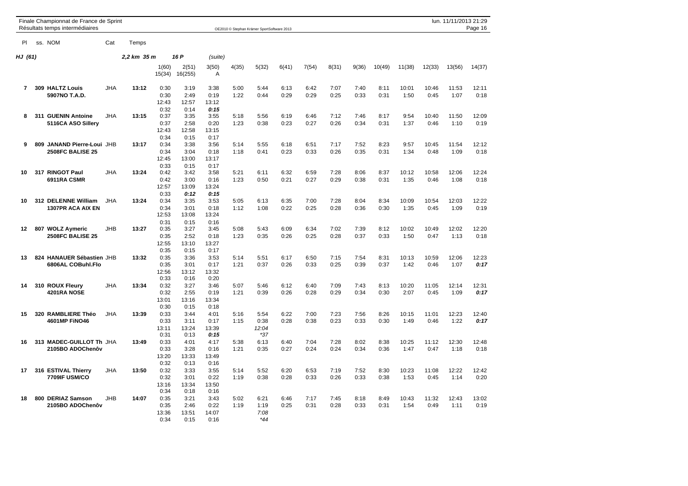|                | Finale Championnat de France de Sprint<br>Résultats temps intermédiaires |            |             |                               |                               |                               |              | OE2010 © Stephan Krämer SportSoftware 2013 |              |              |              |              |              |               |               | lun. 11/11/2013 21:29 | Page 16       |
|----------------|--------------------------------------------------------------------------|------------|-------------|-------------------------------|-------------------------------|-------------------------------|--------------|--------------------------------------------|--------------|--------------|--------------|--------------|--------------|---------------|---------------|-----------------------|---------------|
| <b>PI</b>      | ss. NOM                                                                  | Cat        | Temps       |                               |                               |                               |              |                                            |              |              |              |              |              |               |               |                       |               |
| HJ (61)        |                                                                          |            | 2,2 km 35 m |                               | 16 P                          | (suite)                       |              |                                            |              |              |              |              |              |               |               |                       |               |
|                |                                                                          |            |             | 1(60)<br>15(34)               | 2(51)<br>16(255)              | 3(50)<br>Α                    | 4(35)        | 5(32)                                      | 6(41)        | 7(54)        | 8(31)        | 9(36)        | 10(49)       | 11(38)        | 12(33)        | 13(56)                | 14(37)        |
| $\overline{7}$ | 309 HALTZ Louis<br>5907NO T.A.D.                                         | <b>JHA</b> | 13:12       | 0:30<br>0:30<br>12:43<br>0:32 | 3:19<br>2:49<br>12:57<br>0:14 | 3:38<br>0:19<br>13:12<br>0:15 | 5:00<br>1:22 | 5:44<br>0:44                               | 6:13<br>0:29 | 6:42<br>0:29 | 7:07<br>0:25 | 7:40<br>0:33 | 8:11<br>0:31 | 10:01<br>1:50 | 10:46<br>0:45 | 11:53<br>1:07         | 12:11<br>0:18 |
| 8              | 311 GUENIN Antoine<br>5116CA ASO Sillery                                 | <b>JHA</b> | 13:15       | 0:37<br>0:37<br>12:43<br>0:34 | 3:35<br>2:58<br>12:58<br>0:15 | 3:55<br>0:20<br>13:15<br>0:17 | 5:18<br>1:23 | 5:56<br>0:38                               | 6:19<br>0:23 | 6:46<br>0:27 | 7:12<br>0:26 | 7:46<br>0:34 | 8:17<br>0:31 | 9:54<br>1:37  | 10:40<br>0:46 | 11:50<br>1:10         | 12:09<br>0:19 |
| 9              | 809 JANAND Pierre-Loui JHB<br>2508FC BALISE 25                           |            | 13:17       | 0:34<br>0:34<br>12:45<br>0:33 | 3:38<br>3:04<br>13:00<br>0:15 | 3:56<br>0:18<br>13:17<br>0:17 | 5:14<br>1:18 | 5:55<br>0:41                               | 6:18<br>0:23 | 6:51<br>0:33 | 7:17<br>0:26 | 7:52<br>0:35 | 8:23<br>0:31 | 9:57<br>1:34  | 10:45<br>0:48 | 11:54<br>1:09         | 12:12<br>0:18 |
| 10             | 317 RINGOT Paul<br>6911RA CSMR                                           | <b>JHA</b> | 13:24       | 0:42<br>0:42<br>12:57<br>0:33 | 3:42<br>3:00<br>13:09<br>0:12 | 3:58<br>0:16<br>13:24<br>0:15 | 5:21<br>1:23 | 6:11<br>0:50                               | 6:32<br>0:21 | 6:59<br>0:27 | 7:28<br>0:29 | 8:06<br>0:38 | 8:37<br>0:31 | 10:12<br>1:35 | 10:58<br>0:46 | 12:06<br>1:08         | 12:24<br>0:18 |
| 10             | 312 DELENNE William<br>1307PR ACA AIX EN                                 | JHA        | 13:24       | 0:34<br>0:34<br>12:53<br>0:31 | 3:35<br>3:01<br>13:08<br>0:15 | 3:53<br>0:18<br>13:24<br>0:16 | 5:05<br>1:12 | 6:13<br>1:08                               | 6:35<br>0:22 | 7:00<br>0:25 | 7:28<br>0:28 | 8:04<br>0:36 | 8:34<br>0:30 | 10:09<br>1:35 | 10:54<br>0:45 | 12:03<br>1:09         | 12:22<br>0:19 |
| 12             | 807 WOLZ Aymeric<br><b>2508FC BALISE 25</b>                              | JHB        | 13:27       | 0:35<br>0:35<br>12:55<br>0:35 | 3:27<br>2:52<br>13:10<br>0:15 | 3:45<br>0:18<br>13:27<br>0:17 | 5:08<br>1:23 | 5:43<br>0:35                               | 6:09<br>0:26 | 6:34<br>0:25 | 7:02<br>0:28 | 7:39<br>0:37 | 8:12<br>0:33 | 10:02<br>1:50 | 10:49<br>0:47 | 12:02<br>1:13         | 12:20<br>0:18 |
| 13             | 824 HANAUER Sébastien JHB<br>6806AL COBuhl.Flo                           |            | 13:32       | 0:35<br>0:35<br>12:56<br>0:33 | 3:36<br>3:01<br>13:12<br>0:16 | 3:53<br>0:17<br>13:32<br>0:20 | 5:14<br>1:21 | 5:51<br>0:37                               | 6:17<br>0:26 | 6:50<br>0:33 | 7:15<br>0:25 | 7:54<br>0:39 | 8:31<br>0:37 | 10:13<br>1:42 | 10:59<br>0:46 | 12:06<br>1:07         | 12:23<br>0:17 |
| 14             | 310 ROUX Fleury<br>4201RA NOSE                                           | <b>JHA</b> | 13:34       | 0:32<br>0:32<br>13:01<br>0:30 | 3:27<br>2:55<br>13:16<br>0:15 | 3:46<br>0:19<br>13:34<br>0:18 | 5:07<br>1:21 | 5:46<br>0:39                               | 6:12<br>0:26 | 6:40<br>0:28 | 7:09<br>0:29 | 7:43<br>0:34 | 8:13<br>0:30 | 10:20<br>2:07 | 11:05<br>0:45 | 12:14<br>1:09         | 12:31<br>0:17 |
| 15             | 320 RAMBLIERE Théo<br>4601MP FINO46                                      | JHA        | 13:39       | 0:33<br>0:33<br>13:11<br>0:31 | 3:44<br>3:11<br>13:24<br>0:13 | 4:01<br>0:17<br>13:39<br>0:15 | 5:16<br>1:15 | 5:54<br>0:38<br>12:04<br>$*37$             | 6:22<br>0:28 | 7:00<br>0:38 | 7:23<br>0:23 | 7:56<br>0:33 | 8:26<br>0:30 | 10:15<br>1:49 | 11:01<br>0:46 | 12:23<br>1:22         | 12:40<br>0:17 |
| 16             | 313 MADEC-GUILLOT Th JHA<br>2105BO ADOChenôv                             |            | 13:49       | 0:33<br>0:33<br>13:20<br>0:32 | 4:01<br>3:28<br>13:33<br>0:13 | 4:17<br>0:16<br>13:49<br>0:16 | 5:38<br>1:21 | 6:13<br>0:35                               | 6:40<br>0:27 | 7:04<br>0:24 | 7:28<br>0:24 | 8:02<br>0:34 | 8:38<br>0:36 | 10:25<br>1:47 | 11:12<br>0:47 | 12:30<br>1:18         | 12:48<br>0:18 |
| 17             | 316 ESTIVAL Thierry<br><b>7709IF USM/CO</b>                              | <b>JHA</b> | 13:50       | 0:32<br>0:32<br>13:16<br>0:34 | 3:33<br>3:01<br>13:34<br>0:18 | 3:55<br>0:22<br>13:50<br>0:16 | 5:14<br>1:19 | 5:52<br>0:38                               | 6:20<br>0:28 | 6:53<br>0:33 | 7:19<br>0:26 | 7:52<br>0:33 | 8:30<br>0:38 | 10:23<br>1:53 | 11:08<br>0:45 | 12:22<br>1:14         | 12:42<br>0:20 |
| 18             | 800 DERIAZ Samson<br>2105BO ADOChenôv                                    | JHB        | 14:07       | 0:35<br>0:35<br>13:36<br>0:34 | 3:21<br>2:46<br>13:51<br>0:15 | 3:43<br>0:22<br>14:07<br>0:16 | 5:02<br>1:19 | 6:21<br>1:19<br>7:08<br>*44                | 6:46<br>0:25 | 7:17<br>0:31 | 7:45<br>0:28 | 8:18<br>0:33 | 8:49<br>0:31 | 10:43<br>1:54 | 11:32<br>0:49 | 12:43<br>1:11         | 13:02<br>0:19 |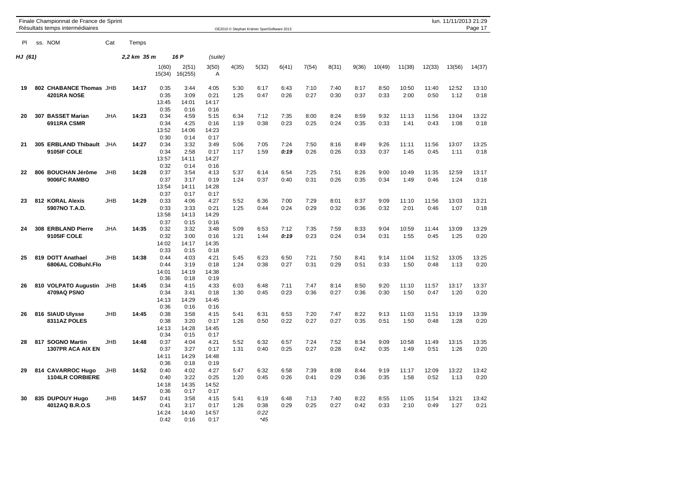|         | Finale Championnat de France de Sprint<br>Résultats temps intermédiaires |            |             |                               |                               |                               |              | OE2010 @ Stephan Krämer SportSoftware 2013 |              |              |              |              |              |               |               | lun. 11/11/2013 21:29 | Page 17       |
|---------|--------------------------------------------------------------------------|------------|-------------|-------------------------------|-------------------------------|-------------------------------|--------------|--------------------------------------------|--------------|--------------|--------------|--------------|--------------|---------------|---------------|-----------------------|---------------|
| PI.     | ss. NOM                                                                  | Cat        | Temps       |                               |                               |                               |              |                                            |              |              |              |              |              |               |               |                       |               |
| HJ (61) |                                                                          |            | 2,2 km 35 m |                               | 16 P                          | (suite)                       |              |                                            |              |              |              |              |              |               |               |                       |               |
|         |                                                                          |            |             | 1(60)<br>15(34)               | 2(51)<br>16(255)              | 3(50)<br>Α                    | 4(35)        | 5(32)                                      | 6(41)        | 7(54)        | 8(31)        | 9(36)        | 10(49)       | 11(38)        | 12(33)        | 13(56)                | 14(37)        |
| 19      | 802 CHABANCE Thomas JHB<br>4201RA NOSE                                   |            | 14:17       | 0:35<br>0:35<br>13:45<br>0:35 | 3:44<br>3:09<br>14:01<br>0:16 | 4:05<br>0:21<br>14:17<br>0:16 | 5:30<br>1:25 | 6:17<br>0:47                               | 6:43<br>0:26 | 7:10<br>0:27 | 7:40<br>0:30 | 8:17<br>0:37 | 8:50<br>0:33 | 10:50<br>2:00 | 11:40<br>0:50 | 12:52<br>1:12         | 13:10<br>0:18 |
| 20      | 307 BASSET Marian<br>6911RA CSMR                                         | <b>JHA</b> | 14:23       | 0:34<br>0:34<br>13:52<br>0:30 | 4:59<br>4:25<br>14:06<br>0:14 | 5:15<br>0:16<br>14:23<br>0:17 | 6:34<br>1:19 | 7:12<br>0:38                               | 7:35<br>0:23 | 8:00<br>0:25 | 8:24<br>0:24 | 8:59<br>0:35 | 9:32<br>0:33 | 11:13<br>1:41 | 11:56<br>0:43 | 13:04<br>1:08         | 13:22<br>0:18 |
| 21      | 305 ERBLAND Thibault<br>9105IF COLE                                      | JHA        | 14:27       | 0:34<br>0:34<br>13:57<br>0:32 | 3:32<br>2:58<br>14:11<br>0:14 | 3:49<br>0:17<br>14:27<br>0:16 | 5:06<br>1:17 | 7:05<br>1:59                               | 7:24<br>0:19 | 7:50<br>0:26 | 8:16<br>0:26 | 8:49<br>0:33 | 9:26<br>0:37 | 11:11<br>1:45 | 11:56<br>0:45 | 13:07<br>1:11         | 13:25<br>0:18 |
| 22      | 806 BOUCHAN Jérôme<br>9006FC RAMBO                                       | JHB        | 14:28       | 0:37<br>0:37<br>13:54<br>0:37 | 3:54<br>3:17<br>14:11<br>0:17 | 4:13<br>0:19<br>14:28<br>0:17 | 5:37<br>1:24 | 6:14<br>0:37                               | 6:54<br>0:40 | 7:25<br>0:31 | 7:51<br>0:26 | 8:26<br>0:35 | 9:00<br>0:34 | 10:49<br>1:49 | 11:35<br>0:46 | 12:59<br>1:24         | 13:17<br>0:18 |
| 23      | 812 KORAL Alexis<br>5907NO T.A.D.                                        | <b>JHB</b> | 14:29       | 0:33<br>0:33<br>13:58<br>0:37 | 4:06<br>3:33<br>14:13<br>0:15 | 4:27<br>0:21<br>14:29<br>0:16 | 5:52<br>1:25 | 6:36<br>0:44                               | 7:00<br>0:24 | 7:29<br>0:29 | 8:01<br>0:32 | 8:37<br>0:36 | 9:09<br>0:32 | 11:10<br>2:01 | 11:56<br>0:46 | 13:03<br>1:07         | 13:21<br>0:18 |
| 24      | 308 ERBLAND Pierre<br>9105IF COLE                                        | JHA        | 14:35       | 0:32<br>0:32<br>14:02<br>0:33 | 3:32<br>3:00<br>14:17<br>0:15 | 3:48<br>0:16<br>14:35<br>0:18 | 5:09<br>1:21 | 6:53<br>1:44                               | 7:12<br>0:19 | 7:35<br>0:23 | 7:59<br>0:24 | 8:33<br>0:34 | 9:04<br>0:31 | 10:59<br>1:55 | 11:44<br>0:45 | 13:09<br>1:25         | 13:29<br>0:20 |
| 25      | 819 DOTT Anathael<br>6806AL COBuhl.Flo                                   | JHB        | 14:38       | 0:44<br>0:44<br>14:01<br>0:36 | 4:03<br>3:19<br>14:19<br>0:18 | 4:21<br>0:18<br>14:38<br>0:19 | 5:45<br>1:24 | 6:23<br>0:38                               | 6:50<br>0:27 | 7:21<br>0:31 | 7:50<br>0:29 | 8:41<br>0:51 | 9:14<br>0:33 | 11:04<br>1:50 | 11:52<br>0:48 | 13:05<br>1:13         | 13:25<br>0:20 |
| 26      | 810 VOLPATO Augustin<br>4709AQ PSNO                                      | JHB        | 14:45       | 0:34<br>0:34<br>14:13<br>0:36 | 4:15<br>3:41<br>14:29<br>0:16 | 4:33<br>0:18<br>14:45<br>0:16 | 6:03<br>1:30 | 6:48<br>0:45                               | 7:11<br>0:23 | 7:47<br>0:36 | 8:14<br>0:27 | 8:50<br>0:36 | 9:20<br>0:30 | 11:10<br>1:50 | 11:57<br>0:47 | 13:17<br>1:20         | 13:37<br>0:20 |
| 26      | 816 SIAUD Ulysse<br>8311AZ POLES                                         | <b>JHB</b> | 14:45       | 0:38<br>0:38<br>14:13<br>0:34 | 3:58<br>3:20<br>14:28<br>0:15 | 4:15<br>0:17<br>14:45<br>0:17 | 5:41<br>1:26 | 6:31<br>0:50                               | 6:53<br>0:22 | 7:20<br>0:27 | 7:47<br>0:27 | 8:22<br>0:35 | 9:13<br>0:51 | 11:03<br>1:50 | 11:51<br>0:48 | 13:19<br>1:28         | 13:39<br>0:20 |
| 28      | 817 SOGNO Martin<br><b>1307PR ACA AIX EN</b>                             | <b>JHB</b> | 14:48       | 0:37<br>0:37<br>14:11<br>0:36 | 4:04<br>3:27<br>14:29<br>0:18 | 4:21<br>0:17<br>14:48<br>0:19 | 5:52<br>1:31 | 6:32<br>0:40                               | 6:57<br>0:25 | 7:24<br>0:27 | 7:52<br>0:28 | 8:34<br>0:42 | 9:09<br>0:35 | 10:58<br>1:49 | 11:49<br>0:51 | 13:15<br>1:26         | 13:35<br>0:20 |
| 29      | 814 CAVARROC Hugo<br><b>1104LR CORBIERE</b>                              | JHB        | 14:52       | 0:40<br>0:40<br>14:18<br>0:36 | 4:02<br>3:22<br>14:35<br>0:17 | 4:27<br>0:25<br>14:52<br>0:17 | 5:47<br>1:20 | 6:32<br>0:45                               | 6:58<br>0:26 | 7:39<br>0:41 | 8:08<br>0:29 | 8:44<br>0:36 | 9:19<br>0:35 | 11:17<br>1:58 | 12:09<br>0:52 | 13:22<br>1:13         | 13:42<br>0:20 |
| 30      | 835 DUPOUY Hugo<br>4012AQ B.R.O.S                                        | JHB        | 14:57       | 0:41<br>0:41<br>14:24<br>0:42 | 3:58<br>3:17<br>14:40<br>0:16 | 4:15<br>0:17<br>14:57<br>0:17 | 5:41<br>1:26 | 6:19<br>0:38<br>0:22<br>$*45$              | 6:48<br>0:29 | 7:13<br>0:25 | 7:40<br>0:27 | 8:22<br>0:42 | 8:55<br>0:33 | 11:05<br>2:10 | 11:54<br>0:49 | 13:21<br>1:27         | 13:42<br>0:21 |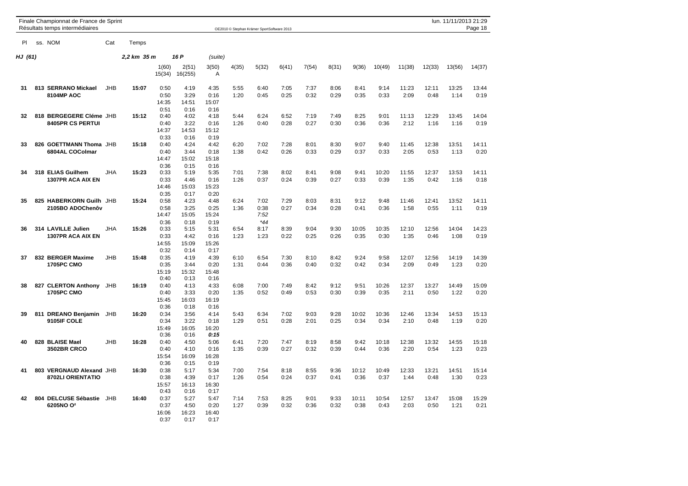|         | Finale Championnat de France de Sprint<br>Résultats temps intermédiaires |            |             |                               |                               |                               |              | OE2010 C Stephan Krämer SportSoftware 2013 |              |              |              |               |               |               |               | lun. 11/11/2013 21:29 | Page 18       |
|---------|--------------------------------------------------------------------------|------------|-------------|-------------------------------|-------------------------------|-------------------------------|--------------|--------------------------------------------|--------------|--------------|--------------|---------------|---------------|---------------|---------------|-----------------------|---------------|
| PI.     | ss. NOM                                                                  | Cat        | Temps       |                               |                               |                               |              |                                            |              |              |              |               |               |               |               |                       |               |
| HJ (61) |                                                                          |            | 2,2 km 35 m |                               | 16 P                          | (suite)                       |              |                                            |              |              |              |               |               |               |               |                       |               |
|         |                                                                          |            |             | 1(60)<br>15(34)               | 2(51)<br>16(255)              | 3(50)<br>Α                    | 4(35)        | 5(32)                                      | 6(41)        | 7(54)        | 8(31)        | 9(36)         | 10(49)        | 11(38)        | 12(33)        | 13(56)                | 14(37)        |
| 31      | 813 SERRANO Mickael<br>8104MP AOC                                        | <b>JHB</b> | 15:07       | 0:50<br>0:50<br>14:35<br>0:51 | 4:19<br>3:29<br>14:51<br>0:16 | 4:35<br>0:16<br>15:07<br>0:16 | 5:55<br>1:20 | 6:40<br>0:45                               | 7:05<br>0:25 | 7:37<br>0:32 | 8:06<br>0:29 | 8:41<br>0:35  | 9:14<br>0:33  | 11:23<br>2:09 | 12:11<br>0:48 | 13:25<br>1:14         | 13:44<br>0:19 |
| 32      | 818 BERGEGERE Cléme JHB<br>8405PR CS PERTUI                              |            | 15:12       | 0:40<br>0:40<br>14:37<br>0:33 | 4:02<br>3:22<br>14:53<br>0:16 | 4:18<br>0:16<br>15:12<br>0:19 | 5:44<br>1:26 | 6:24<br>0:40                               | 6:52<br>0:28 | 7:19<br>0:27 | 7:49<br>0:30 | 8:25<br>0:36  | 9:01<br>0:36  | 11:13<br>2:12 | 12:29<br>1:16 | 13:45<br>1:16         | 14:04<br>0:19 |
| 33      | 826 GOETTMANN Thoma JHB<br>6804AL COColmar                               |            | 15:18       | 0:40<br>0:40<br>14:47<br>0:36 | 4:24<br>3:44<br>15:02<br>0:15 | 4:42<br>0:18<br>15:18<br>0:16 | 6:20<br>1:38 | 7:02<br>0:42                               | 7:28<br>0:26 | 8:01<br>0:33 | 8:30<br>0:29 | 9:07<br>0:37  | 9:40<br>0:33  | 11:45<br>2:05 | 12:38<br>0:53 | 13:51<br>1:13         | 14:11<br>0:20 |
| 34      | 318 ELIAS Guilhem<br>1307PR ACA AIX EN                                   | JHA        | 15:23       | 0:33<br>0:33<br>14:46<br>0:35 | 5:19<br>4:46<br>15:03<br>0:17 | 5:35<br>0:16<br>15:23<br>0:20 | 7:01<br>1:26 | 7:38<br>0:37                               | 8:02<br>0:24 | 8:41<br>0:39 | 9:08<br>0:27 | 9:41<br>0:33  | 10:20<br>0:39 | 11:55<br>1:35 | 12:37<br>0:42 | 13:53<br>1:16         | 14:11<br>0:18 |
| 35      | 825 HABERKORN Guilh<br>2105BO ADOChenôv                                  | JHB        | 15:24       | 0:58<br>0:58<br>14:47<br>0:36 | 4:23<br>3:25<br>15:05<br>0:18 | 4:48<br>0:25<br>15:24<br>0:19 | 6:24<br>1:36 | 7:02<br>0:38<br>7:52<br>$*44$              | 7:29<br>0:27 | 8:03<br>0:34 | 8:31<br>0:28 | 9:12<br>0:41  | 9:48<br>0:36  | 11:46<br>1:58 | 12:41<br>0:55 | 13:52<br>1:11         | 14:11<br>0:19 |
| 36      | 314 LAVILLE Julien<br>1307PR ACA AIX EN                                  | <b>JHA</b> | 15:26       | 0:33<br>0:33<br>14:55<br>0:32 | 5:15<br>4:42<br>15:09<br>0:14 | 5:31<br>0:16<br>15:26<br>0:17 | 6:54<br>1:23 | 8:17<br>1:23                               | 8:39<br>0:22 | 9:04<br>0:25 | 9:30<br>0:26 | 10:05<br>0:35 | 10:35<br>0:30 | 12:10<br>1:35 | 12:56<br>0:46 | 14:04<br>1:08         | 14:23<br>0:19 |
| 37      | 832 BERGER Maxime<br><b>1705PC CMO</b>                                   | JHB        | 15:48       | 0:35<br>0:35<br>15:19<br>0:40 | 4:19<br>3:44<br>15:32<br>0:13 | 4:39<br>0:20<br>15:48<br>0:16 | 6:10<br>1:31 | 6:54<br>0:44                               | 7:30<br>0:36 | 8:10<br>0:40 | 8:42<br>0:32 | 9:24<br>0:42  | 9:58<br>0:34  | 12:07<br>2:09 | 12:56<br>0:49 | 14:19<br>1:23         | 14:39<br>0:20 |
| 38      | 827 CLERTON Anthony<br><b>1705PC CMO</b>                                 | JHB        | 16:19       | 0:40<br>0:40<br>15:45<br>0:36 | 4:13<br>3:33<br>16:03<br>0:18 | 4:33<br>0:20<br>16:19<br>0:16 | 6:08<br>1:35 | 7:00<br>0:52                               | 7:49<br>0:49 | 8:42<br>0:53 | 9:12<br>0:30 | 9:51<br>0:39  | 10:26<br>0:35 | 12:37<br>2:11 | 13:27<br>0:50 | 14:49<br>1:22         | 15:09<br>0:20 |
| 39      | 811 DREANO Benjamin<br>9105IF COLE                                       | <b>JHB</b> | 16:20       | 0:34<br>0:34<br>15:49<br>0:36 | 3:56<br>3:22<br>16:05<br>0:16 | 4:14<br>0:18<br>16:20<br>0:15 | 5:43<br>1:29 | 6:34<br>0:51                               | 7:02<br>0:28 | 9:03<br>2:01 | 9:28<br>0:25 | 10:02<br>0:34 | 10:36<br>0:34 | 12:46<br>2:10 | 13:34<br>0:48 | 14:53<br>1:19         | 15:13<br>0:20 |
| 40      | 828 BLAISE Mael<br><b>3502BR CRCO</b>                                    | <b>JHB</b> | 16:28       | 0:40<br>0:40<br>15:54<br>0:36 | 4:50<br>4:10<br>16:09<br>0:15 | 5:06<br>0:16<br>16:28<br>0:19 | 6:41<br>1:35 | 7:20<br>0:39                               | 7:47<br>0:27 | 8:19<br>0:32 | 8:58<br>0:39 | 9:42<br>0:44  | 10:18<br>0:36 | 12:38<br>2:20 | 13:32<br>0:54 | 14:55<br>1:23         | 15:18<br>0:23 |
| 41      | 803 VERGNAUD Alexand JHB<br>8702LI ORIENTATIO                            |            | 16:30       | 0:38<br>0:38<br>15:57<br>0:43 | 5:17<br>4:39<br>16:13<br>0:16 | 5:34<br>0:17<br>16:30<br>0:17 | 7:00<br>1:26 | 7:54<br>0:54                               | 8:18<br>0:24 | 8:55<br>0:37 | 9:36<br>0:41 | 10:12<br>0:36 | 10:49<br>0:37 | 12:33<br>1:44 | 13:21<br>0:48 | 14:51<br>1:30         | 15:14<br>0:23 |
| 42      | 804 DELCUSE Sébastie<br>6205NO O <sup>2</sup>                            | JHB        | 16:40       | 0:37<br>0:37<br>16:06<br>0:37 | 5:27<br>4:50<br>16:23<br>0:17 | 5:47<br>0:20<br>16:40<br>0:17 | 7:14<br>1:27 | 7:53<br>0:39                               | 8:25<br>0:32 | 9:01<br>0:36 | 9:33<br>0:32 | 10:11<br>0:38 | 10:54<br>0:43 | 12:57<br>2:03 | 13:47<br>0:50 | 15:08<br>1:21         | 15:29<br>0:21 |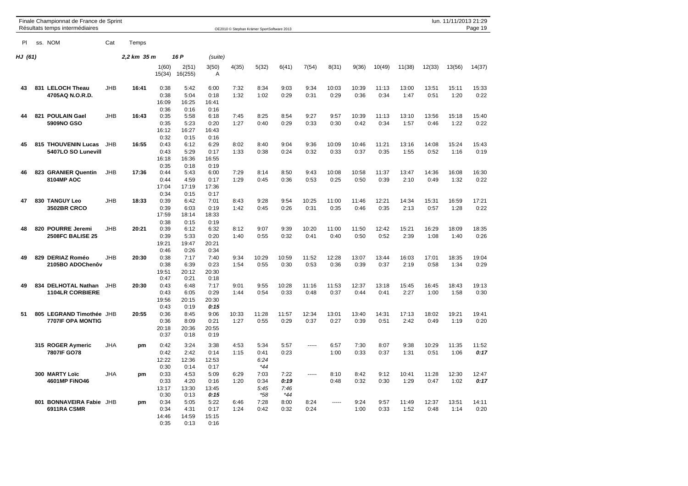|         | Finale Championnat de France de Sprint<br>Résultats temps intermédiaires |            |             |                                       |                                       |                                       |               | OE2010 © Stephan Krämer SportSoftware 2013 |                               |               |               |               |               |               |               | lun. 11/11/2013 21:29 | Page 19       |
|---------|--------------------------------------------------------------------------|------------|-------------|---------------------------------------|---------------------------------------|---------------------------------------|---------------|--------------------------------------------|-------------------------------|---------------|---------------|---------------|---------------|---------------|---------------|-----------------------|---------------|
| PI.     | ss. NOM                                                                  | Cat        | Temps       |                                       |                                       |                                       |               |                                            |                               |               |               |               |               |               |               |                       |               |
| HJ (61) |                                                                          |            | 2,2 km 35 m |                                       | 16 P                                  | (suite)                               |               |                                            |                               |               |               |               |               |               |               |                       |               |
|         |                                                                          |            |             | 1(60)<br>15(34)                       | 2(51)<br>16(255)                      | 3(50)<br>$\overline{A}$               | 4(35)         | 5(32)                                      | 6(41)                         | 7(54)         | 8(31)         | 9(36)         | 10(49)        | 11(38)        | 12(33)        | 13(56)                | 14(37)        |
| 43      | 831 LELOCH Theau<br>4705AQ N.O.R.D.                                      | JHB        | 16:41       | 0:38<br>0:38<br>16:09                 | 5:42<br>5:04<br>16:25                 | 6:00<br>0:18<br>16:41                 | 7:32<br>1:32  | 8:34<br>1:02                               | 9:03<br>0:29                  | 9:34<br>0:31  | 10:03<br>0:29 | 10:39<br>0:36 | 11:13<br>0:34 | 13:00<br>1:47 | 13:51<br>0:51 | 15:11<br>1:20         | 15:33<br>0:22 |
| 44      | 821 POULAIN Gael<br>5909NO GSO                                           | JHB        | 16:43       | 0:36<br>0:35<br>0:35<br>16:12         | 0:16<br>5:58<br>5:23<br>16:27         | 0:16<br>6:18<br>0:20<br>16:43         | 7:45<br>1:27  | 8:25<br>0:40                               | 8:54<br>0:29                  | 9:27<br>0:33  | 9:57<br>0:30  | 10:39<br>0:42 | 11:13<br>0:34 | 13:10<br>1:57 | 13:56<br>0:46 | 15:18<br>1:22         | 15:40<br>0:22 |
| 45      | 815 THOUVENIN Lucas<br>5407LO SO Lunevill                                | <b>JHB</b> | 16:55       | 0:32<br>0:43<br>0:43<br>16:18         | 0:15<br>6:12<br>5:29<br>16:36         | 0:16<br>6:29<br>0:17<br>16:55         | 8:02<br>1:33  | 8:40<br>0:38                               | 9:04<br>0:24                  | 9:36<br>0:32  | 10:09<br>0:33 | 10:46<br>0:37 | 11:21<br>0:35 | 13:16<br>1:55 | 14:08<br>0:52 | 15:24<br>1:16         | 15:43<br>0:19 |
| 46      | 823 GRANIER Quentin<br>8104MP AOC                                        | <b>JHB</b> | 17:36       | 0:35<br>0:44<br>0:44<br>17:04         | 0:18<br>5:43<br>4:59<br>17:19         | 0:19<br>6:00<br>0:17<br>17:36         | 7:29<br>1:29  | 8:14<br>0:45                               | 8:50<br>0:36                  | 9:43<br>0:53  | 10:08<br>0:25 | 10:58<br>0:50 | 11:37<br>0:39 | 13:47<br>2:10 | 14:36<br>0:49 | 16:08<br>1:32         | 16:30<br>0:22 |
| 47      | 830 TANGUY Leo<br><b>3502BR CRCO</b>                                     | JHB        | 18:33       | 0:34<br>0:39<br>0:39<br>17:59         | 0:15<br>6:42<br>6:03<br>18:14         | 0:17<br>7:01<br>0:19<br>18:33         | 8:43<br>1:42  | 9:28<br>0:45                               | 9:54<br>0:26                  | 10:25<br>0:31 | 11:00<br>0:35 | 11:46<br>0:46 | 12:21<br>0:35 | 14:34<br>2:13 | 15:31<br>0:57 | 16:59<br>1:28         | 17:21<br>0:22 |
| 48      | 820 POURRE Jeremi<br><b>2508FC BALISE 25</b>                             | JHB        | 20:21       | 0:38<br>0:39<br>0:39<br>19:21<br>0:46 | 0:15<br>6:12<br>5:33<br>19:47         | 0:19<br>6:32<br>0:20<br>20:21<br>0:34 | 8:12<br>1:40  | 9:07<br>0:55                               | 9:39<br>0:32                  | 10:20<br>0:41 | 11:00<br>0:40 | 11:50<br>0:50 | 12:42<br>0:52 | 15:21<br>2:39 | 16:29<br>1:08 | 18:09<br>1:40         | 18:35<br>0:26 |
| 49      | 829 DERIAZ Roméo<br>2105BO ADOChenôv                                     | JHB        | 20:30       | 0:38<br>0:38<br>19:51<br>0:47         | 0:26<br>7:17<br>6:39<br>20:12<br>0:21 | 7:40<br>0:23<br>20:30<br>0:18         | 9:34<br>1:54  | 10:29<br>0:55                              | 10:59<br>0:30                 | 11:52<br>0:53 | 12:28<br>0:36 | 13:07<br>0:39 | 13:44<br>0:37 | 16:03<br>2:19 | 17:01<br>0:58 | 18:35<br>1:34         | 19:04<br>0:29 |
| 49      | 834 DELHOTAL Nathan<br><b>1104LR CORBIERE</b>                            | JHB        | 20:30       | 0:43<br>0:43<br>19:56<br>0:43         | 6:48<br>6:05<br>20:15<br>0:19         | 7:17<br>0:29<br>20:30<br>0:15         | 9:01<br>1:44  | 9:55<br>0:54                               | 10:28<br>0:33                 | 11:16<br>0:48 | 11:53<br>0:37 | 12:37<br>0:44 | 13:18<br>0:41 | 15:45<br>2:27 | 16:45<br>1:00 | 18:43<br>1:58         | 19:13<br>0:30 |
| 51      | 805 LEGRAND Timothée JHB<br><b>7707IF OPA MONTIG</b>                     |            | 20:55       | 0:36<br>0:36<br>20:18<br>0:37         | 8:45<br>8:09<br>20:36<br>0:18         | 9:06<br>0:21<br>20:55<br>0:19         | 10:33<br>1:27 | 11:28<br>0:55                              | 11:57<br>0:29                 | 12:34<br>0:37 | 13:01<br>0:27 | 13:40<br>0:39 | 14:31<br>0:51 | 17:13<br>2:42 | 18:02<br>0:49 | 19:21<br>1:19         | 19:41<br>0:20 |
|         | 315 ROGER Aymeric<br>7807IF GO78                                         | JHA        | pm          | 0:42<br>0:42<br>12:22<br>0:30         | 3:24<br>2:42<br>12:36<br>0:14         | 3:38<br>0:14<br>12:53<br>0:17         | 4:53<br>1:15  | 5:34<br>0:41<br>6:24<br>$*44$              | 5:57<br>0:23                  | -----         | 6:57<br>1:00  | 7:30<br>0:33  | 8:07<br>0:37  | 9:38<br>1:31  | 10:29<br>0:51 | 11:35<br>1:06         | 11:52<br>0:17 |
|         | 300 MARTY Loïc<br>4601MP FINO46                                          | <b>JHA</b> | pm          | 0:33<br>0:33<br>13:17<br>0:30         | 4:53<br>4:20<br>13:30<br>0:13         | 5:09<br>0:16<br>13:45<br>0:15         | 6:29<br>1:20  | 7:03<br>0:34<br>5:45<br>*58                | 7:22<br>0:19<br>7:46<br>$*44$ | -----         | 8:10<br>0:48  | 8:42<br>0:32  | 9:12<br>0:30  | 10:41<br>1:29 | 11:28<br>0:47 | 12:30<br>1:02         | 12:47<br>0:17 |
|         | 801 BONNAVEIRA Fabie JHB<br>6911RA CSMR                                  |            | pm          | 0:34<br>0:34<br>14:46<br>0:35         | 5:05<br>4:31<br>14:59<br>0:13         | 5:22<br>0:17<br>15:15<br>0:16         | 6:46<br>1:24  | 7:28<br>0:42                               | 8:00<br>0:32                  | 8:24<br>0:24  | 1.1.1.1       | 9:24<br>1:00  | 9:57<br>0:33  | 11:49<br>1:52 | 12:37<br>0:48 | 13:51<br>1:14         | 14:11<br>0:20 |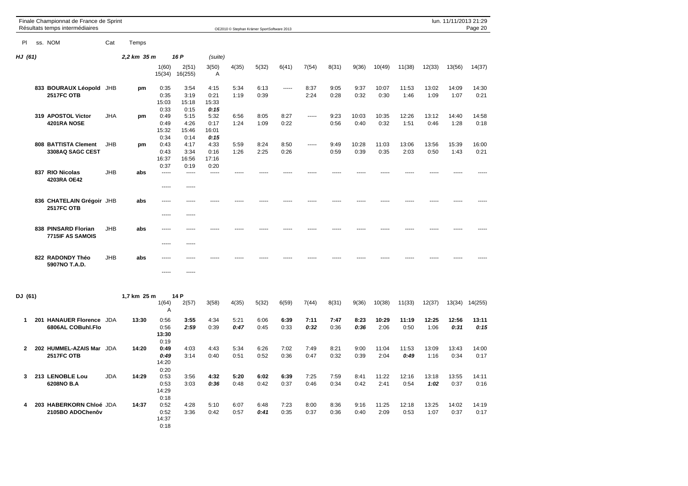|              | Finale Championnat de France de Sprint<br>Résultats temps intermédiaires |            |             |                               |                               |                               |              | OE2010 © Stephan Krämer SportSoftware 2013 |              |              |              |               |               |               |               | lun. 11/11/2013 21:29 | Page 20       |
|--------------|--------------------------------------------------------------------------|------------|-------------|-------------------------------|-------------------------------|-------------------------------|--------------|--------------------------------------------|--------------|--------------|--------------|---------------|---------------|---------------|---------------|-----------------------|---------------|
| PI           | ss. NOM                                                                  | Cat        | Temps       |                               |                               |                               |              |                                            |              |              |              |               |               |               |               |                       |               |
| HJ (61)      |                                                                          |            | 2,2 km 35 m |                               | 16 P                          | (suite)                       |              |                                            |              |              |              |               |               |               |               |                       |               |
|              |                                                                          |            |             | 1(60)<br>15(34)               | 2(51)<br>16(255)              | 3(50)<br>Α                    | 4(35)        | 5(32)                                      | 6(41)        | 7(54)        | 8(31)        | 9(36)         | 10(49)        | 11(38)        | 12(33)        | 13(56)                | 14(37)        |
|              | 833 BOURAUX Léopold JHB<br><b>2517FC OTB</b>                             |            | pm          | 0:35<br>0:35<br>15:03<br>0:33 | 3:54<br>3:19<br>15:18<br>0:15 | 4:15<br>0:21<br>15:33<br>0:15 | 5:34<br>1:19 | 6:13<br>0:39                               | -----        | 8:37<br>2:24 | 9:05<br>0:28 | 9:37<br>0:32  | 10:07<br>0:30 | 11:53<br>1:46 | 13:02<br>1:09 | 14:09<br>1:07         | 14:30<br>0:21 |
|              | 319 APOSTOL Victor<br>4201RA NOSE                                        | JHA        | pm          | 0:49<br>0:49<br>15:32<br>0:34 | 5:15<br>4:26<br>15:46<br>0:14 | 5:32<br>0:17<br>16:01<br>0:15 | 6:56<br>1:24 | 8:05<br>1:09                               | 8:27<br>0:22 | -----        | 9:23<br>0:56 | 10:03<br>0:40 | 10:35<br>0:32 | 12:26<br>1:51 | 13:12<br>0:46 | 14:40<br>1:28         | 14:58<br>0:18 |
|              | 808 BATTISTA Clement<br>3308AQ SAGC CEST                                 | <b>JHB</b> | pm          | 0:43<br>0:43<br>16:37<br>0:37 | 4:17<br>3:34<br>16:56<br>0:19 | 4:33<br>0:16<br>17:16<br>0:20 | 5:59<br>1:26 | 8:24<br>2:25                               | 8:50<br>0:26 | -----        | 9:49<br>0:59 | 10:28<br>0:39 | 11:03<br>0:35 | 13:06<br>2:03 | 13:56<br>0:50 | 15:39<br>1:43         | 16:00<br>0:21 |
|              | 837 RIO Nicolas<br>4203RA OE42                                           | JHB        | abs         | -----<br>                     | -----<br>-----                | 1.1.1.1                       | -----        |                                            |              |              |              |               | ----          | ----          | $- - - -$     |                       |               |
|              | 836 CHATELAIN Grégoir JHB<br><b>2517FC OTB</b>                           |            | abs         | -----<br>-----                | -----<br>-----                |                               |              |                                            |              |              |              |               |               |               |               |                       |               |
|              | 838 PINSARD Florian<br>7715IF AS SAMOIS                                  | <b>JHB</b> | abs         | -----<br>-----                | -----                         |                               |              |                                            |              |              |              |               |               |               |               |                       |               |
|              | 822 RADONDY Théo<br>5907NO T.A.D.                                        | JHB        | abs         | -----                         | -----                         |                               |              |                                            |              |              |              |               |               |               |               |                       |               |
|              |                                                                          |            |             | -----                         | -----                         |                               |              |                                            |              |              |              |               |               |               |               |                       |               |
| DJ (61)      |                                                                          |            | 1,7 km 25 m | 1(64)<br>Α                    | 14 P<br>2(57)                 | 3(58)                         | 4(35)        | 5(32)                                      | 6(59)        | 7(44)        | 8(31)        | 9(36)         | 10(38)        | 11(33)        | 12(37)        | 13(34)                | 14(255)       |
| 1            | 201 HANAUER Florence JDA<br>6806AL COBuhl.Flo                            |            | 13:30       | 0:56<br>0:56<br>13:30<br>0:19 | 3:55<br>2:59                  | 4:34<br>0:39                  | 5:21<br>0:47 | 6:06<br>0:45                               | 6:39<br>0:33 | 7:11<br>0:32 | 7:47<br>0:36 | 8:23<br>0:36  | 10:29<br>2:06 | 11:19<br>0:50 | 12:25<br>1:06 | 12:56<br>0:31         | 13:11<br>0:15 |
| $\mathbf{2}$ | 202 HUMMEL-AZAIS Mar JDA<br><b>2517FC OTB</b>                            |            | 14:20       | 0:49<br>0:49<br>14:20         | 4:03<br>3:14                  | 4:43<br>0:40                  | 5:34<br>0:51 | 6:26<br>0:52                               | 7:02<br>0:36 | 7:49<br>0:47 | 8:21<br>0:32 | 9:00<br>0:39  | 11:04<br>2:04 | 11:53<br>0:49 | 13:09<br>1:16 | 13:43<br>0:34         | 14:00<br>0:17 |
| 3            | 213 LENOBLE Lou<br>6208NO B.A                                            | <b>JDA</b> | 14:29       | 0:20<br>0:53<br>0:53<br>14:29 | 3:56<br>3:03                  | 4:32<br>0:36                  | 5:20<br>0:48 | 6:02<br>0:42                               | 6:39<br>0:37 | 7:25<br>0:46 | 7:59<br>0:34 | 8:41<br>0:42  | 11:22<br>2:41 | 12:16<br>0:54 | 13:18<br>1:02 | 13:55<br>0:37         | 14:11<br>0:16 |
| 4            | 203 HABERKORN Chloé JDA<br>2105BO ADOChenôv                              |            | 14:37       | 0:18<br>0:52<br>0:52<br>14:37 | 4:28<br>3:36                  | 5:10<br>0:42                  | 6:07<br>0:57 | 6:48<br>0:41                               | 7:23<br>0:35 | 8:00<br>0:37 | 8:36<br>0:36 | 9:16<br>0:40  | 11:25<br>2:09 | 12:18<br>0:53 | 13:25<br>1:07 | 14:02<br>0:37         | 14:19<br>0:17 |

0:18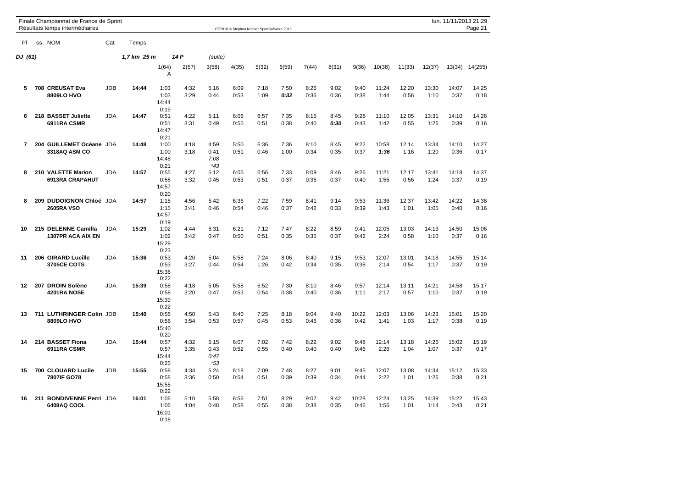|                | Finale Championnat de France de Sprint<br>Résultats temps intermédiaires |            |             |                               |              |                               |              | OE2010 © Stephan Krämer SportSoftware 2013 |              |              |              |               |               |               |               | lun. 11/11/2013 21:29 | Page 21       |
|----------------|--------------------------------------------------------------------------|------------|-------------|-------------------------------|--------------|-------------------------------|--------------|--------------------------------------------|--------------|--------------|--------------|---------------|---------------|---------------|---------------|-----------------------|---------------|
| <b>PI</b>      | ss. NOM                                                                  | Cat        | Temps       |                               |              |                               |              |                                            |              |              |              |               |               |               |               |                       |               |
| DJ (61)        |                                                                          |            | 1,7 km 25 m |                               | 14 P         | (suite)                       |              |                                            |              |              |              |               |               |               |               |                       |               |
|                |                                                                          |            |             | 1(64)<br>Α                    | 2(57)        | 3(58)                         | 4(35)        | 5(32)                                      | 6(59)        | 7(44)        | 8(31)        | 9(36)         | 10(38)        | 11(33)        | 12(37)        | 13(34)                | 14(255)       |
| 5              | 708 CREUSAT Eva<br>8809LO HVO                                            | <b>JDB</b> | 14:44       | 1:03<br>1:03<br>14:44<br>0:19 | 4:32<br>3:29 | 5:16<br>0:44                  | 6:09<br>0:53 | 7:18<br>1:09                               | 7:50<br>0:32 | 8:26<br>0:36 | 9:02<br>0:36 | 9:40<br>0:38  | 11:24<br>1:44 | 12:20<br>0:56 | 13:30<br>1:10 | 14:07<br>0:37         | 14:25<br>0:18 |
| 6              | 218 BASSET Juliette<br>6911RA CSMR                                       | <b>JDA</b> | 14:47       | 0:51<br>0:51<br>14:47<br>0:21 | 4:22<br>3:31 | 5:11<br>0:49                  | 6:06<br>0:55 | 6:57<br>0:51                               | 7:35<br>0:38 | 8:15<br>0:40 | 8:45<br>0:30 | 9:28<br>0:43  | 11:10<br>1:42 | 12:05<br>0:55 | 13:31<br>1:26 | 14:10<br>0:39         | 14:26<br>0:16 |
| $\overline{7}$ | 204 GUILLEMET Océane JDA<br>3318AQ ASM CO                                |            | 14:48       | 1:00<br>1:00<br>14:48<br>0:21 | 4:18<br>3:18 | 4:59<br>0:41<br>7:08<br>$*43$ | 5:50<br>0:51 | 6:36<br>0:46                               | 7:36<br>1:00 | 8:10<br>0:34 | 8:45<br>0:35 | 9:22<br>0:37  | 10:58<br>1:36 | 12:14<br>1:16 | 13:34<br>1:20 | 14:10<br>0:36         | 14:27<br>0:17 |
| 8              | 210 VALETTE Marion<br><b>6913RA CRAPAHUT</b>                             | <b>JDA</b> | 14:57       | 0:55<br>0:55<br>14:57<br>0:20 | 4:27<br>3:32 | 5:12<br>0:45                  | 6:05<br>0:53 | 6:56<br>0:51                               | 7:33<br>0:37 | 8:09<br>0:36 | 8:46<br>0:37 | 9:26<br>0:40  | 11:21<br>1:55 | 12:17<br>0:56 | 13:41<br>1:24 | 14:18<br>0:37         | 14:37<br>0:19 |
| 8              | 209 DUDOIGNON Chloé JDA<br><b>2605RA VSO</b>                             |            | 14:57       | 1:15<br>1:15<br>14:57<br>0:19 | 4:56<br>3:41 | 5:42<br>0:46                  | 6:36<br>0:54 | 7:22<br>0:46                               | 7:59<br>0:37 | 8:41<br>0:42 | 9:14<br>0:33 | 9:53<br>0:39  | 11:36<br>1:43 | 12:37<br>1:01 | 13:42<br>1:05 | 14:22<br>0:40         | 14:38<br>0:16 |
| 10             | 215 DELENNE Camilla<br><b>1307PR ACA AIX EN</b>                          | <b>JDA</b> | 15:29       | 1:02<br>1:02<br>15:29<br>0:23 | 4:44<br>3:42 | 5:31<br>0:47                  | 6:21<br>0:50 | 7:12<br>0:51                               | 7:47<br>0:35 | 8:22<br>0:35 | 8:59<br>0:37 | 9:41<br>0:42  | 12:05<br>2:24 | 13:03<br>0:58 | 14:13<br>1:10 | 14:50<br>0:37         | 15:06<br>0:16 |
| 11             | 206 GIRARD Lucille<br>3705CE COTS                                        | <b>JDA</b> | 15:36       | 0:53<br>0:53<br>15:36<br>0:22 | 4:20<br>3:27 | 5:04<br>0:44                  | 5:58<br>0:54 | 7:24<br>1:26                               | 8:06<br>0:42 | 8:40<br>0:34 | 9:15<br>0:35 | 9:53<br>0:38  | 12:07<br>2:14 | 13:01<br>0:54 | 14:18<br>1:17 | 14:55<br>0:37         | 15:14<br>0:19 |
| 12             | 207 DROIN Solène<br>4201RA NOSE                                          | <b>JDA</b> | 15:39       | 0:58<br>0:58<br>15:39<br>0:22 | 4:18<br>3:20 | 5:05<br>0:47                  | 5:58<br>0:53 | 6:52<br>0:54                               | 7:30<br>0:38 | 8:10<br>0:40 | 8:46<br>0:36 | 9:57<br>1:11  | 12:14<br>2:17 | 13:11<br>0:57 | 14:21<br>1:10 | 14:58<br>0:37         | 15:17<br>0:19 |
| 13             | 711 LUTHRINGER Colin JDB<br>8809LO HVO                                   |            | 15:40       | 0:56<br>0:56<br>15:40<br>0:20 | 4:50<br>3:54 | 5:43<br>0:53                  | 6:40<br>0:57 | 7:25<br>0:45                               | 8:18<br>0:53 | 9:04<br>0:46 | 9:40<br>0:36 | 10:22<br>0:42 | 12:03<br>1:41 | 13:06<br>1:03 | 14:23<br>1:17 | 15:01<br>0:38         | 15:20<br>0:19 |
| 14             | 214 BASSET Fiona<br>6911RA CSMR                                          | <b>JDA</b> | 15:44       | 0:57<br>0:57<br>15:44<br>0:25 | 4:32<br>3:35 | 5:15<br>0:43<br>0:47<br>$*53$ | 6:07<br>0:52 | 7:02<br>0:55                               | 7:42<br>0:40 | 8:22<br>0:40 | 9:02<br>0:40 | 9:48<br>0:46  | 12:14<br>2:26 | 13:18<br>1:04 | 14:25<br>1:07 | 15:02<br>0:37         | 15:19<br>0:17 |
| 15             | 700 CLOUARD Lucile<br>7807IF GO78                                        | <b>JDB</b> | 15:55       | 0:58<br>0:58<br>15:55<br>0:22 | 4:34<br>3:36 | 5:24<br>0:50                  | 6:18<br>0:54 | 7:09<br>0:51                               | 7:48<br>0:39 | 8:27<br>0:39 | 9:01<br>0:34 | 9:45<br>0:44  | 12:07<br>2:22 | 13:08<br>1:01 | 14:34<br>1:26 | 15:12<br>0:38         | 15:33<br>0:21 |
| 16             | 211 BONDIVENNE Perri JDA<br>6408AQ COOL                                  |            | 16:01       | 1:06<br>1:06<br>16:01<br>0:18 | 5:10<br>4:04 | 5:58<br>0:48                  | 6:56<br>0:58 | 7:51<br>0:55                               | 8:29<br>0:38 | 9:07<br>0:38 | 9:42<br>0:35 | 10:28<br>0:46 | 12:24<br>1:56 | 13:25<br>1:01 | 14:39<br>1:14 | 15:22<br>0:43         | 15:43<br>0:21 |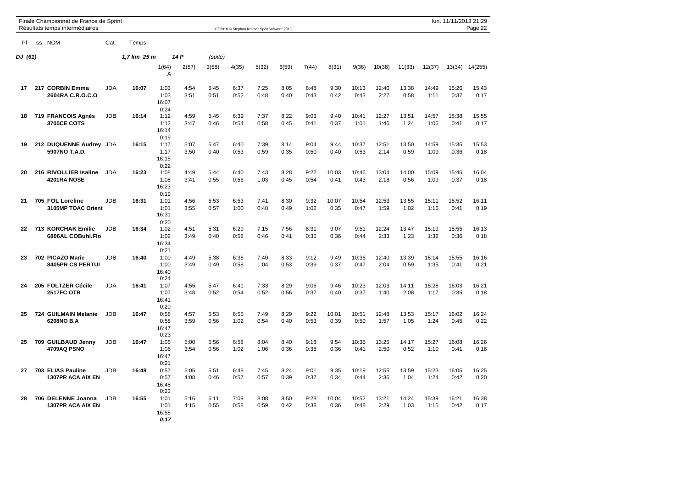|         |     | Finale Championnat de France de Sprint<br>Résultats temps intermédiaires |            |             |                               |              |              |              | OE2010 © Stephan Krämer SportSoftware 2013 |              |              |               |               |               |               |               |               | lun. 11/11/2013 21:29<br>Page 22 |
|---------|-----|--------------------------------------------------------------------------|------------|-------------|-------------------------------|--------------|--------------|--------------|--------------------------------------------|--------------|--------------|---------------|---------------|---------------|---------------|---------------|---------------|----------------------------------|
| PL      |     | ss. NOM                                                                  | Cat        | Temps       |                               |              |              |              |                                            |              |              |               |               |               |               |               |               |                                  |
| DJ (61) |     |                                                                          |            | 1,7 km 25 m |                               | 14 P         | (suite)      |              |                                            |              |              |               |               |               |               |               |               |                                  |
|         |     |                                                                          |            |             | 1(64)<br>Α                    | 2(57)        | 3(58)        | 4(35)        | 5(32)                                      | 6(59)        | 7(44)        | 8(31)         | 9(36)         | 10(38)        | 11(33)        | 12(37)        | 13(34)        | 14(255)                          |
| 17      |     | 217 CORBIN Emma<br>2604RA C.R.O.C.O                                      | JDA        | 16:07       | 1:03<br>1:03<br>16:07<br>0:24 | 4:54<br>3:51 | 5:45<br>0:51 | 6:37<br>0:52 | 7:25<br>0:48                               | 8:05<br>0:40 | 8:48<br>0:43 | 9:30<br>0:42  | 10:13<br>0:43 | 12:40<br>2:27 | 13:38<br>0:58 | 14:49<br>1:11 | 15:26<br>0:37 | 15:43<br>0:17                    |
| 18      |     | 719 FRANCOIS Agnès<br><b>3705CE COTS</b>                                 | <b>JDB</b> | 16:14       | 1:12<br>1:12<br>16:14<br>0:19 | 4:59<br>3:47 | 5:45<br>0:46 | 6:39<br>0:54 | 7:37<br>0:58                               | 8:22<br>0:45 | 9:03<br>0:41 | 9:40<br>0:37  | 10:41<br>1:01 | 12:27<br>1:46 | 13:51<br>1:24 | 14:57<br>1:06 | 15:38<br>0:41 | 15:55<br>0:17                    |
| 19      |     | 212 DUQUENNE Audrey JDA<br>5907NO T.A.D.                                 |            | 16:15       | 1:17<br>1:17<br>16:15<br>0:22 | 5:07<br>3:50 | 5:47<br>0:40 | 6:40<br>0:53 | 7:39<br>0:59                               | 8:14<br>0:35 | 9:04<br>0:50 | 9:44<br>0:40  | 10:37<br>0:53 | 12:51<br>2:14 | 13:50<br>0:59 | 14:59<br>1:09 | 15:35<br>0:36 | 15:53<br>0:18                    |
| 20      |     | 216 RIVOLLIER Isaline<br>4201RA NOSE                                     | <b>JDA</b> | 16:23       | 1:08<br>1:08<br>16:23<br>0:19 | 4:49<br>3:41 | 5:44<br>0:55 | 6:40<br>0:56 | 7:43<br>1:03                               | 8:28<br>0:45 | 9:22<br>0:54 | 10:03<br>0:41 | 10:46<br>0:43 | 13:04<br>2:18 | 14:00<br>0:56 | 15:09<br>1:09 | 15:46<br>0:37 | 16:04<br>0:18                    |
| 21      |     | 705 FOL Loreline<br>3105MP TOAC Orient                                   | <b>JDB</b> | 16:31       | 1:01<br>1:01<br>16:31<br>0:20 | 4:56<br>3:55 | 5:53<br>0:57 | 6:53<br>1:00 | 7:41<br>0:48                               | 8:30<br>0:49 | 9:32<br>1:02 | 10:07<br>0:35 | 10:54<br>0:47 | 12:53<br>1:59 | 13:55<br>1:02 | 15:11<br>1:16 | 15:52<br>0:41 | 16:11<br>0:19                    |
| 22      |     | <b>713 KORCHAK Emilie</b><br>6806AL COBuhl.Flo                           | JDB        | 16:34       | 1:02<br>1:02<br>16:34<br>0:21 | 4:51<br>3:49 | 5:31<br>0:40 | 6:29<br>0:58 | 7:15<br>0:46                               | 7:56<br>0:41 | 8:31<br>0:35 | 9:07<br>0:36  | 9:51<br>0:44  | 12:24<br>2:33 | 13:47<br>1:23 | 15:19<br>1:32 | 15:55<br>0:36 | 16:13<br>0:18                    |
| 23      |     | 702 PICAZO Marie<br>8405PR CS PERTUI                                     | JDB        | 16:40       | 1:00<br>1:00<br>16:40<br>0:24 | 4:49<br>3:49 | 5:38<br>0:49 | 6:36<br>0:58 | 7:40<br>1:04                               | 8:33<br>0:53 | 9:12<br>0:39 | 9:49<br>0:37  | 10:36<br>0:47 | 12:40<br>2:04 | 13:39<br>0:59 | 15:14<br>1:35 | 15:55<br>0:41 | 16:16<br>0:21                    |
| 24      |     | 205 FOLTZER Cécile<br><b>2517FC OTB</b>                                  | <b>JDA</b> | 16:41       | 1:07<br>1:07<br>16:41<br>0:20 | 4:55<br>3:48 | 5:47<br>0:52 | 6:41<br>0:54 | 7:33<br>0:52                               | 8:29<br>0:56 | 9:06<br>0:37 | 9:46<br>0:40  | 10:23<br>0:37 | 12:03<br>1:40 | 14:11<br>2:08 | 15:28<br>1:17 | 16:03<br>0:35 | 16:21<br>0:18                    |
| 25      |     | 724 GUILMAIN Melanie<br>6208NO B.A                                       | <b>JDB</b> | 16:47       | 0:58<br>0:58<br>16:47<br>0:23 | 4:57<br>3:59 | 5:53<br>0:56 | 6:55<br>1:02 | 7:49<br>0:54                               | 8:29<br>0:40 | 9:22<br>0:53 | 10:01<br>0:39 | 10:51<br>0:50 | 12:48<br>1:57 | 13:53<br>1:05 | 15:17<br>1:24 | 16:02<br>0:45 | 16:24<br>0:22                    |
| 25      | 709 | <b>GUILBAUD Jenny</b><br>4709AQ PSNO                                     | JDB        | 16:47       | 1:06<br>1:06<br>16:47<br>0:21 | 5:00<br>3:54 | 5:56<br>0:56 | 6:58<br>1:02 | 8:04<br>1:06                               | 8:40<br>0:36 | 9:18<br>0:38 | 9:54<br>0:36  | 10:35<br>0:41 | 13:25<br>2:50 | 14:17<br>0:52 | 15:27<br>1:10 | 16:08<br>0:41 | 16:26<br>0:18                    |
| 27      |     | 703 ELIAS Pauline<br>1307PR ACA AIX EN                                   | <b>JDB</b> | 16:48       | 0:57<br>0:57<br>16:48<br>0:23 | 5:05<br>4:08 | 5:51<br>0:46 | 6:48<br>0:57 | 7:45<br>0:57                               | 8:24<br>0:39 | 9:01<br>0:37 | 9:35<br>0:34  | 10:19<br>0:44 | 12:55<br>2:36 | 13:59<br>1:04 | 15:23<br>1:24 | 16:05<br>0:42 | 16:25<br>0:20                    |
| 28      |     | 706 DELENNE Joanna<br>1307PR ACA AIX EN                                  | <b>JDB</b> | 16:55       | 1:01<br>1:01<br>16:55<br>0:17 | 5:16<br>4:15 | 6:11<br>0:55 | 7:09<br>0:58 | 8:08<br>0:59                               | 8:50<br>0:42 | 9:28<br>0:38 | 10:04<br>0:36 | 10:52<br>0:48 | 13:21<br>2:29 | 14:24<br>1:03 | 15:39<br>1:15 | 16:21<br>0:42 | 16:38<br>0:17                    |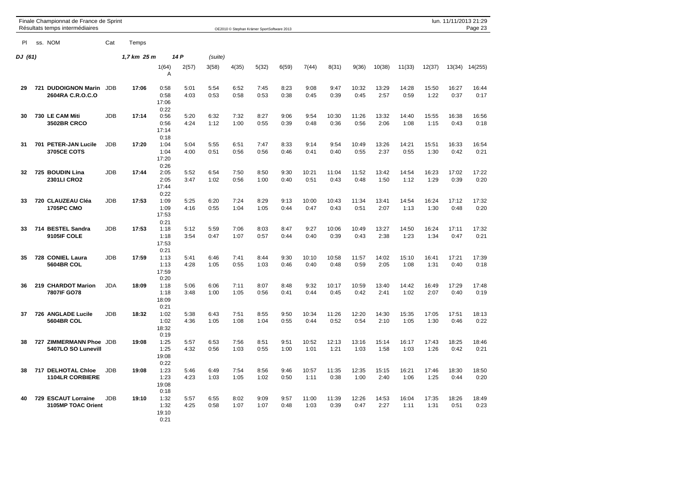|           | Finale Championnat de France de Sprint<br>Résultats temps intermédiaires |            |             |                               |              |              |              | OE2010 © Stephan Krämer SportSoftware 2013 |              |               |               |               |               |               |               | lun. 11/11/2013 21:29 | Page 23       |
|-----------|--------------------------------------------------------------------------|------------|-------------|-------------------------------|--------------|--------------|--------------|--------------------------------------------|--------------|---------------|---------------|---------------|---------------|---------------|---------------|-----------------------|---------------|
| <b>PI</b> | ss. NOM                                                                  | Cat        | Temps       |                               |              |              |              |                                            |              |               |               |               |               |               |               |                       |               |
| DJ (61)   |                                                                          |            | 1,7 km 25 m |                               | 14 P         | (suite)      |              |                                            |              |               |               |               |               |               |               |                       |               |
|           |                                                                          |            |             | 1(64)<br>Α                    | 2(57)        | 3(58)        | 4(35)        | 5(32)                                      | 6(59)        | 7(44)         | 8(31)         | 9(36)         | 10(38)        | 11(33)        | 12(37)        | 13(34)                | 14(255)       |
| 29        | 721 DUDOIGNON Marin JDB<br>2604RA C.R.O.C.O                              |            | 17:06       | 0:58<br>0:58<br>17:06<br>0:22 | 5:01<br>4:03 | 5:54<br>0:53 | 6:52<br>0:58 | 7:45<br>0:53                               | 8:23<br>0:38 | 9:08<br>0:45  | 9:47<br>0:39  | 10:32<br>0:45 | 13:29<br>2:57 | 14:28<br>0:59 | 15:50<br>1:22 | 16:27<br>0:37         | 16:44<br>0:17 |
| 30        | 730 LE CAM Miti<br><b>3502BR CRCO</b>                                    | <b>JDB</b> | 17:14       | 0:56<br>0:56<br>17:14<br>0:18 | 5:20<br>4:24 | 6:32<br>1:12 | 7:32<br>1:00 | 8:27<br>0:55                               | 9:06<br>0:39 | 9:54<br>0:48  | 10:30<br>0:36 | 11:26<br>0:56 | 13:32<br>2:06 | 14:40<br>1:08 | 15:55<br>1:15 | 16:38<br>0:43         | 16:56<br>0:18 |
| 31        | 701 PETER-JAN Lucile<br><b>3705CE COTS</b>                               | <b>JDB</b> | 17:20       | 1:04<br>1:04<br>17:20<br>0:26 | 5:04<br>4:00 | 5:55<br>0:51 | 6:51<br>0:56 | 7:47<br>0:56                               | 8:33<br>0:46 | 9:14<br>0:41  | 9:54<br>0:40  | 10:49<br>0:55 | 13:26<br>2:37 | 14:21<br>0:55 | 15:51<br>1:30 | 16:33<br>0:42         | 16:54<br>0:21 |
| 32        | 725 BOUDIN Lina<br>2301LI CRO2                                           | <b>JDB</b> | 17:44       | 2:05<br>2:05<br>17:44<br>0:22 | 5:52<br>3:47 | 6:54<br>1:02 | 7:50<br>0:56 | 8:50<br>1:00                               | 9:30<br>0:40 | 10:21<br>0:51 | 11:04<br>0:43 | 11:52<br>0:48 | 13:42<br>1:50 | 14:54<br>1:12 | 16:23<br>1:29 | 17:02<br>0:39         | 17:22<br>0:20 |
| 33        | 720 CLAUZEAU Cléa<br><b>1705PC CMO</b>                                   | <b>JDB</b> | 17:53       | 1:09<br>1:09<br>17:53<br>0:21 | 5:25<br>4:16 | 6:20<br>0:55 | 7:24<br>1:04 | 8:29<br>1:05                               | 9:13<br>0:44 | 10:00<br>0:47 | 10:43<br>0:43 | 11:34<br>0:51 | 13:41<br>2:07 | 14:54<br>1:13 | 16:24<br>1:30 | 17:12<br>0:48         | 17:32<br>0:20 |
| 33        | 714 BESTEL Sandra<br>9105IF COLE                                         | <b>JDB</b> | 17:53       | 1:18<br>1:18<br>17:53<br>0:21 | 5:12<br>3:54 | 5:59<br>0:47 | 7:06<br>1:07 | 8:03<br>0:57                               | 8:47<br>0:44 | 9:27<br>0:40  | 10:06<br>0:39 | 10:49<br>0:43 | 13:27<br>2:38 | 14:50<br>1:23 | 16:24<br>1:34 | 17:11<br>0:47         | 17:32<br>0:21 |
| 35        | 728 CONIEL Laura<br>5604BR COL                                           | <b>JDB</b> | 17:59       | 1:13<br>1:13<br>17:59<br>0:20 | 5:41<br>4:28 | 6:46<br>1:05 | 7:41<br>0:55 | 8:44<br>1:03                               | 9:30<br>0:46 | 10:10<br>0:40 | 10:58<br>0:48 | 11:57<br>0:59 | 14:02<br>2:05 | 15:10<br>1:08 | 16:41<br>1:31 | 17:21<br>0:40         | 17:39<br>0:18 |
| 36        | 219 CHARDOT Marion<br>7807IF GO78                                        | <b>JDA</b> | 18:09       | 1:18<br>1:18<br>18:09<br>0:21 | 5:06<br>3:48 | 6:06<br>1:00 | 7:11<br>1:05 | 8:07<br>0:56                               | 8:48<br>0:41 | 9:32<br>0:44  | 10:17<br>0:45 | 10:59<br>0:42 | 13:40<br>2:41 | 14:42<br>1:02 | 16:49<br>2:07 | 17:29<br>0:40         | 17:48<br>0:19 |
| 37        | 726 ANGLADE Lucile<br>5604BR COL                                         | <b>JDB</b> | 18:32       | 1:02<br>1:02<br>18:32<br>0:19 | 5:38<br>4:36 | 6:43<br>1:05 | 7:51<br>1:08 | 8:55<br>1:04                               | 9:50<br>0:55 | 10:34<br>0:44 | 11:26<br>0:52 | 12:20<br>0:54 | 14:30<br>2:10 | 15:35<br>1:05 | 17:05<br>1:30 | 17:51<br>0:46         | 18:13<br>0:22 |
| 38        | <b>727 ZIMMERMANN Phoe</b><br>5407LO SO Lunevill                         | <b>JDB</b> | 19:08       | 1:25<br>1:25<br>19:08<br>0:22 | 5:57<br>4:32 | 6:53<br>0:56 | 7:56<br>1:03 | 8:51<br>0:55                               | 9:51<br>1:00 | 10:52<br>1:01 | 12:13<br>1:21 | 13:16<br>1:03 | 15:14<br>1:58 | 16:17<br>1:03 | 17:43<br>1:26 | 18:25<br>0:42         | 18:46<br>0:21 |
| 38        | 717 DELHOTAL Chloe<br><b>1104LR CORBIERE</b>                             | <b>JDB</b> | 19:08       | 1:23<br>1:23<br>19:08<br>0:18 | 5:46<br>4:23 | 6:49<br>1:03 | 7:54<br>1:05 | 8:56<br>1:02                               | 9:46<br>0:50 | 10:57<br>1:11 | 11:35<br>0:38 | 12:35<br>1:00 | 15:15<br>2:40 | 16:21<br>1:06 | 17:46<br>1:25 | 18:30<br>0:44         | 18:50<br>0:20 |
| 40        | 729 ESCAUT Lorraine<br>3105MP TOAC Orient                                | JDB        | 19:10       | 1:32<br>1:32<br>19:10<br>0:21 | 5:57<br>4:25 | 6:55<br>0:58 | 8:02<br>1:07 | 9:09<br>1:07                               | 9:57<br>0:48 | 11:00<br>1:03 | 11:39<br>0:39 | 12:26<br>0:47 | 14:53<br>2:27 | 16:04<br>1:11 | 17:35<br>1:31 | 18:26<br>0:51         | 18:49<br>0:23 |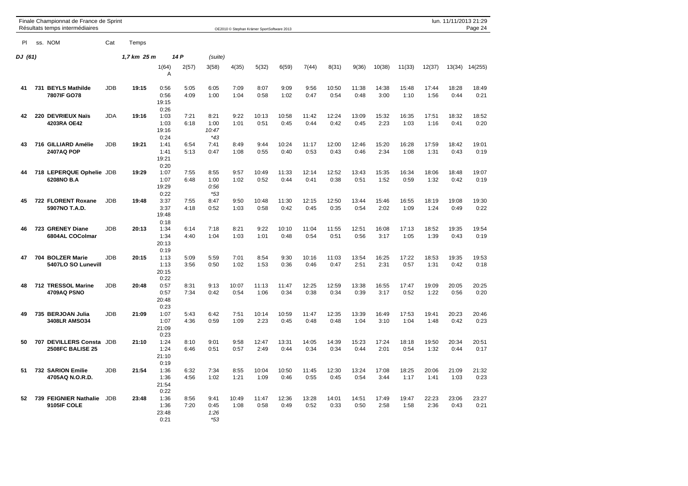|         |     | Finale Championnat de France de Sprint<br>Résultats temps intermédiaires |            |             | lun. 11/11/2013 21:29<br>OE2010 © Stephan Krämer SportSoftware 2013 |              |                                |               |               |               |               |               |               |               |               |               |               | Page 24        |
|---------|-----|--------------------------------------------------------------------------|------------|-------------|---------------------------------------------------------------------|--------------|--------------------------------|---------------|---------------|---------------|---------------|---------------|---------------|---------------|---------------|---------------|---------------|----------------|
| PI.     |     | ss. NOM                                                                  | Cat        | Temps       |                                                                     |              |                                |               |               |               |               |               |               |               |               |               |               |                |
| DJ (61) |     |                                                                          |            | 1,7 km 25 m |                                                                     | 14 P         | (suite)                        |               |               |               |               |               |               |               |               |               |               |                |
|         |     |                                                                          |            |             | 1(64)<br>Α                                                          | 2(57)        | 3(58)                          | 4(35)         | 5(32)         | 6(59)         | 7(44)         | 8(31)         | 9(36)         | 10(38)        | 11(33)        | 12(37)        |               | 13(34) 14(255) |
| 41      |     | 731 BEYLS Mathilde<br>7807IF GO78                                        | <b>JDB</b> | 19:15       | 0:56<br>0:56<br>19:15<br>0:26                                       | 5:05<br>4:09 | 6:05<br>1:00                   | 7:09<br>1:04  | 8:07<br>0:58  | 9:09<br>1:02  | 9:56<br>0:47  | 10:50<br>0:54 | 11:38<br>0:48 | 14:38<br>3:00 | 15:48<br>1:10 | 17:44<br>1:56 | 18:28<br>0:44 | 18:49<br>0:21  |
| 42      |     | 220 DEVRIEUX Naïs<br>4203RA OE42                                         | JDA        | 19:16       | 1:03<br>1:03<br>19:16<br>0:24                                       | 7:21<br>6:18 | 8:21<br>1:00<br>10:47<br>$*43$ | 9:22<br>1:01  | 10:13<br>0:51 | 10:58<br>0:45 | 11:42<br>0:44 | 12:24<br>0:42 | 13:09<br>0:45 | 15:32<br>2:23 | 16:35<br>1:03 | 17:51<br>1:16 | 18:32<br>0:41 | 18:52<br>0:20  |
| 43      |     | 716 GILLIARD Amélie<br>2407AQ POP                                        | JDB        | 19:21       | 1:41<br>1:41<br>19:21<br>0:20                                       | 6:54<br>5:13 | 7:41<br>0:47                   | 8:49<br>1:08  | 9:44<br>0:55  | 10:24<br>0:40 | 11:17<br>0:53 | 12:00<br>0:43 | 12:46<br>0:46 | 15:20<br>2:34 | 16:28<br>1:08 | 17:59<br>1:31 | 18:42<br>0:43 | 19:01<br>0:19  |
| 44      |     | 718 LEPERQUE Ophelie JDB<br>6208NO B.A                                   |            | 19:29       | 1:07<br>1:07<br>19:29<br>0:22                                       | 7:55<br>6:48 | 8:55<br>1:00<br>0:56<br>$*53$  | 9:57<br>1:02  | 10:49<br>0:52 | 11:33<br>0:44 | 12:14<br>0:41 | 12:52<br>0:38 | 13:43<br>0:51 | 15:35<br>1:52 | 16:34<br>0:59 | 18:06<br>1:32 | 18:48<br>0:42 | 19:07<br>0:19  |
| 45      |     | 722 FLORENT Roxane<br>5907NO T.A.D.                                      | <b>JDB</b> | 19:48       | 3:37<br>3:37<br>19:48<br>0:18                                       | 7:55<br>4:18 | 8:47<br>0:52                   | 9:50<br>1:03  | 10:48<br>0:58 | 11:30<br>0:42 | 12:15<br>0:45 | 12:50<br>0:35 | 13:44<br>0:54 | 15:46<br>2:02 | 16:55<br>1:09 | 18:19<br>1:24 | 19:08<br>0:49 | 19:30<br>0:22  |
| 46      |     | 723 GRENEY Diane<br>6804AL COColmar                                      | JDB        | 20:13       | 1:34<br>1:34<br>20:13<br>0:19                                       | 6:14<br>4:40 | 7:18<br>1:04                   | 8:21<br>1:03  | 9:22<br>1:01  | 10:10<br>0:48 | 11:04<br>0:54 | 11:55<br>0:51 | 12:51<br>0:56 | 16:08<br>3:17 | 17:13<br>1:05 | 18:52<br>1:39 | 19:35<br>0:43 | 19:54<br>0:19  |
| 47      |     | 704 BOLZER Marie<br>5407LO SO Lunevill                                   | <b>JDB</b> | 20:15       | 1:13<br>1:13<br>20:15<br>0:22                                       | 5:09<br>3:56 | 5:59<br>0:50                   | 7:01<br>1:02  | 8:54<br>1:53  | 9:30<br>0:36  | 10:16<br>0:46 | 11:03<br>0:47 | 13:54<br>2:51 | 16:25<br>2:31 | 17:22<br>0:57 | 18:53<br>1:31 | 19:35<br>0:42 | 19:53<br>0:18  |
| 48      |     | 712 TRESSOL Marine<br>4709AQ PSNO                                        | <b>JDB</b> | 20:48       | 0:57<br>0:57<br>20:48<br>0:23                                       | 8:31<br>7:34 | 9:13<br>0:42                   | 10:07<br>0:54 | 11:13<br>1:06 | 11:47<br>0:34 | 12:25<br>0:38 | 12:59<br>0:34 | 13:38<br>0:39 | 16:55<br>3:17 | 17:47<br>0:52 | 19:09<br>1:22 | 20:05<br>0:56 | 20:25<br>0:20  |
| 49      |     | 735 BERJOAN Julia<br><b>3408LR AMSO34</b>                                | JDB        | 21:09       | 1:07<br>1:07<br>21:09<br>0:23                                       | 5:43<br>4:36 | 6:42<br>0:59                   | 7:51<br>1:09  | 10:14<br>2:23 | 10:59<br>0:45 | 11:47<br>0:48 | 12:35<br>0:48 | 13:39<br>1:04 | 16:49<br>3:10 | 17:53<br>1:04 | 19:41<br>1:48 | 20:23<br>0:42 | 20:46<br>0:23  |
| 50      | 707 | <b>DEVILLERS Consta</b><br><b>2508FC BALISE 25</b>                       | JDB        | 21:10       | 1:24<br>1:24<br>21:10<br>0:19                                       | 8:10<br>6:46 | 9:01<br>0:51                   | 9:58<br>0:57  | 12:47<br>2:49 | 13:31<br>0:44 | 14:05<br>0:34 | 14:39<br>0:34 | 15:23<br>0:44 | 17:24<br>2:01 | 18:18<br>0:54 | 19:50<br>1:32 | 20:34<br>0:44 | 20:51<br>0:17  |
| 51      |     | 732 SARION Emilie<br>4705AQ N.O.R.D.                                     | JDB        | 21:54       | 1:36<br>1:36<br>21:54<br>0:22                                       | 6:32<br>4:56 | 7:34<br>1:02                   | 8:55<br>1:21  | 10:04<br>1:09 | 10:50<br>0:46 | 11:45<br>0:55 | 12:30<br>0:45 | 13:24<br>0:54 | 17:08<br>3:44 | 18:25<br>1:17 | 20:06<br>1:41 | 21:09<br>1:03 | 21:32<br>0:23  |
| 52      |     | 739 FEIGNIER Nathalie<br>9105IF COLE                                     | <b>JDB</b> | 23:48       | 1:36<br>1:36<br>23:48<br>0:21                                       | 8:56<br>7:20 | 9:41<br>0:45<br>1:26<br>$*53$  | 10:49<br>1:08 | 11:47<br>0:58 | 12:36<br>0:49 | 13:28<br>0:52 | 14:01<br>0:33 | 14:51<br>0:50 | 17:49<br>2:58 | 19:47<br>1:58 | 22:23<br>2:36 | 23:06<br>0:43 | 23:27<br>0:21  |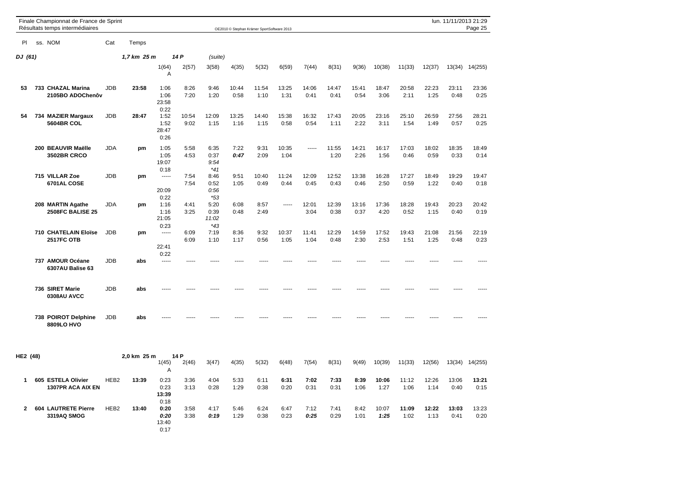|              | lun. 11/11/2013 21:29<br>Finale Championnat de France de Sprint<br>Résultats temps intermédiaires<br>Page 25<br>OE2010 © Stephan Krämer SportSoftware 2013 |                                              |                  |             |                                       |               |                                |               |               |               |               |               |               |               |               |               |               |                |
|--------------|------------------------------------------------------------------------------------------------------------------------------------------------------------|----------------------------------------------|------------------|-------------|---------------------------------------|---------------|--------------------------------|---------------|---------------|---------------|---------------|---------------|---------------|---------------|---------------|---------------|---------------|----------------|
| PI           |                                                                                                                                                            | ss. NOM                                      | Cat              | Temps       |                                       |               |                                |               |               |               |               |               |               |               |               |               |               |                |
| DJ (61)      |                                                                                                                                                            |                                              |                  | 1,7 km 25 m |                                       | 14 P          | (suite)                        |               |               |               |               |               |               |               |               |               |               |                |
|              |                                                                                                                                                            |                                              |                  |             | 1(64)<br>A                            | 2(57)         | 3(58)                          | 4(35)         | 5(32)         | 6(59)         | 7(44)         | 8(31)         | 9(36)         | 10(38)        | 11(33)        | 12(37)        |               | 13(34) 14(255) |
| 53           |                                                                                                                                                            | 733 CHAZAL Marina<br>2105BO ADOChenôv        | <b>JDB</b>       | 23:58       | 1:06<br>1:06<br>23:58<br>0:22         | 8:26<br>7:20  | 9:46<br>1:20                   | 10:44<br>0:58 | 11:54<br>1:10 | 13:25<br>1:31 | 14:06<br>0:41 | 14:47<br>0:41 | 15:41<br>0:54 | 18:47<br>3:06 | 20:58<br>2:11 | 22:23<br>1:25 | 23:11<br>0:48 | 23:36<br>0:25  |
| 54           |                                                                                                                                                            | 734 MAZIER Margaux<br><b>5604BR COL</b>      | JDB              | 28:47       | 1:52<br>1:52<br>28:47<br>0:26         | 10:54<br>9:02 | 12:09<br>1:15                  | 13:25<br>1:16 | 14:40<br>1:15 | 15:38<br>0:58 | 16:32<br>0:54 | 17:43<br>1:11 | 20:05<br>2:22 | 23:16<br>3:11 | 25:10<br>1:54 | 26:59<br>1:49 | 27:56<br>0:57 | 28:21<br>0:25  |
|              |                                                                                                                                                            | 200 BEAUVIR Maëlle<br><b>3502BR CRCO</b>     | <b>JDA</b>       | pm          | 1:05<br>1:05<br>19:07<br>0:18         | 5:58<br>4:53  | 6:35<br>0:37<br>9:54<br>$*41$  | 7:22<br>0:47  | 9:31<br>2:09  | 10:35<br>1:04 | $- - - - -$   | 11:55<br>1:20 | 14:21<br>2:26 | 16:17<br>1:56 | 17:03<br>0:46 | 18:02<br>0:59 | 18:35<br>0:33 | 18:49<br>0:14  |
|              |                                                                                                                                                            | 715 VILLAR Zoe<br>6701AL COSE                | JDB              | pm          | $\cdots$<br>20:09<br>0:22             | 7:54<br>7:54  | 8:46<br>0:52<br>0:56<br>$*53$  | 9:51<br>1:05  | 10:40<br>0:49 | 11:24<br>0:44 | 12:09<br>0:45 | 12:52<br>0:43 | 13:38<br>0:46 | 16:28<br>2:50 | 17:27<br>0:59 | 18:49<br>1:22 | 19:29<br>0:40 | 19:47<br>0:18  |
|              |                                                                                                                                                            | 208 MARTIN Agathe<br><b>2508FC BALISE 25</b> | <b>JDA</b>       | pm          | 1:16<br>1:16<br>21:05<br>0:23         | 4:41<br>3:25  | 5:20<br>0:39<br>11:02<br>$*43$ | 6:08<br>0:48  | 8:57<br>2:49  | -----         | 12:01<br>3:04 | 12:39<br>0:38 | 13:16<br>0:37 | 17:36<br>4:20 | 18:28<br>0:52 | 19:43<br>1:15 | 20:23<br>0:40 | 20:42<br>0:19  |
|              |                                                                                                                                                            | 710 CHATELAIN Eloïse<br><b>2517FC OTB</b>    | JDB              | pm          | 1.1.1.1<br>22:41<br>0:22              | 6:09<br>6:09  | 7:19<br>1:10                   | 8:36<br>1:17  | 9:32<br>0:56  | 10:37<br>1:05 | 11:41<br>1:04 | 12:29<br>0:48 | 14:59<br>2:30 | 17:52<br>2:53 | 19:43<br>1:51 | 21:08<br>1:25 | 21:56<br>0:48 | 22:19<br>0:23  |
|              |                                                                                                                                                            | 737 AMOUR Océane<br>6307AU Balise 63         | <b>JDB</b>       | abs         | 1.1.1.1                               |               |                                |               |               |               |               |               |               |               |               |               |               |                |
|              |                                                                                                                                                            | 736 SIRET Marie<br>0308AU AVCC               | JDB              | abs         |                                       |               |                                |               |               |               |               |               |               |               |               |               |               |                |
|              |                                                                                                                                                            | 738 POIROT Delphine<br>8809LO HVO            | <b>JDB</b>       | abs         |                                       |               |                                |               |               |               |               |               |               |               |               |               |               |                |
| HE2 (48)     |                                                                                                                                                            |                                              |                  | 2,0 km 25 m | 1(45)<br>Α                            | 14 P<br>2(46) | 3(47)                          | 4(35)         | 5(32)         | 6(48)         | 7(54)         | 8(31)         | 9(49)         | 10(39)        | 11(33)        | 12(56)        |               | 13(34) 14(255) |
| 1.           |                                                                                                                                                            | 605 ESTELA Olivier<br>1307PR ACA AIX EN      | HEB <sub>2</sub> | 13:39       | 0:23<br>0:23<br>13:39                 | 3:36<br>3:13  | 4:04<br>0:28                   | 5:33<br>1:29  | 6:11<br>0:38  | 6:31<br>0:20  | 7:02<br>0:31  | 7:33<br>0:31  | 8:39<br>1:06  | 10:06<br>1:27 | 11:12<br>1:06 | 12:26<br>1:14 | 13:06<br>0:40 | 13:21<br>0:15  |
| $\mathbf{2}$ |                                                                                                                                                            | 604 LAUTRETE Pierre<br>3319AQ SMOG           | HEB <sub>2</sub> | 13:40       | 0:18<br>0:20<br>0:20<br>13:40<br>0:17 | 3:58<br>3:38  | 4:17<br>0:19                   | 5:46<br>1:29  | 6:24<br>0:38  | 6:47<br>0:23  | 7:12<br>0:25  | 7:41<br>0:29  | 8:42<br>1:01  | 10:07<br>1:25 | 11:09<br>1:02 | 12:22<br>1:13 | 13:03<br>0:41 | 13:23<br>0:20  |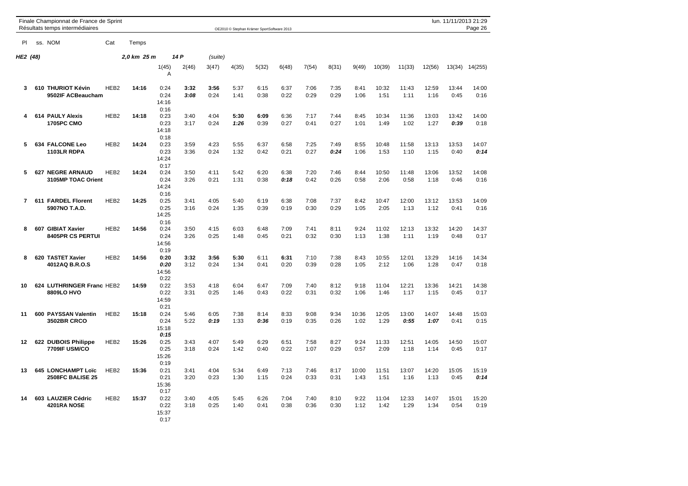|                               |  | Finale Championnat de France de Sprint<br>Résultats temps intermédiaires |                  |             |                               |              | lun. 11/11/2013 21:29<br>OE2010 © Stephan Krämer SportSoftware 2013 |              |              |              |              |              |               |               |               |               |               | Page 26       |
|-------------------------------|--|--------------------------------------------------------------------------|------------------|-------------|-------------------------------|--------------|---------------------------------------------------------------------|--------------|--------------|--------------|--------------|--------------|---------------|---------------|---------------|---------------|---------------|---------------|
| ss. NOM<br>Cat<br>PI<br>Temps |  |                                                                          |                  |             |                               |              |                                                                     |              |              |              |              |              |               |               |               |               |               |               |
| HE2 (48)                      |  |                                                                          |                  | 2,0 km 25 m |                               | 14 P         | (suite)                                                             |              |              |              |              |              |               |               |               |               |               |               |
|                               |  |                                                                          |                  |             | 1(45)<br>Α                    | 2(46)        | 3(47)                                                               | 4(35)        | 5(32)        | 6(48)        | 7(54)        | 8(31)        | 9(49)         | 10(39)        | 11(33)        | 12(56)        | 13(34)        | 14(255)       |
| 3                             |  | 610 THURIOT Kévin<br>9502IF ACBeaucham                                   | HEB <sub>2</sub> | 14:16       | 0:24<br>0:24<br>14:16<br>0:16 | 3:32<br>3:08 | 3:56<br>0:24                                                        | 5:37<br>1:41 | 6:15<br>0:38 | 6:37<br>0:22 | 7:06<br>0:29 | 7:35<br>0:29 | 8:41<br>1:06  | 10:32<br>1:51 | 11:43<br>1:11 | 12:59<br>1:16 | 13:44<br>0:45 | 14:00<br>0:16 |
| 4                             |  | 614 PAULY Alexis<br><b>1705PC CMO</b>                                    | HEB <sub>2</sub> | 14:18       | 0:23<br>0:23<br>14:18<br>0:18 | 3:40<br>3:17 | 4:04<br>0:24                                                        | 5:30<br>1:26 | 6:09<br>0:39 | 6:36<br>0:27 | 7:17<br>0:41 | 7:44<br>0:27 | 8:45<br>1:01  | 10:34<br>1:49 | 11:36<br>1:02 | 13:03<br>1:27 | 13:42<br>0:39 | 14:00<br>0:18 |
| 5                             |  | 634 FALCONE Leo<br>1103LR RDPA                                           | HEB <sub>2</sub> | 14:24       | 0:23<br>0:23<br>14:24<br>0:17 | 3:59<br>3:36 | 4:23<br>0:24                                                        | 5:55<br>1:32 | 6:37<br>0:42 | 6:58<br>0:21 | 7:25<br>0:27 | 7:49<br>0:24 | 8:55<br>1:06  | 10:48<br>1:53 | 11:58<br>1:10 | 13:13<br>1:15 | 13:53<br>0:40 | 14:07<br>0:14 |
| 5                             |  | <b>627 NEGRE ARNAUD</b><br>3105MP TOAC Orient                            | HEB <sub>2</sub> | 14:24       | 0:24<br>0:24<br>14:24<br>0:16 | 3:50<br>3:26 | 4:11<br>0:21                                                        | 5:42<br>1:31 | 6:20<br>0:38 | 6:38<br>0:18 | 7:20<br>0:42 | 7:46<br>0:26 | 8:44<br>0:58  | 10:50<br>2:06 | 11:48<br>0:58 | 13:06<br>1:18 | 13:52<br>0:46 | 14:08<br>0:16 |
| 7                             |  | 611 FARDEL Florent<br>5907NO T.A.D.                                      | HEB2             | 14:25       | 0:25<br>0:25<br>14:25<br>0:16 | 3:41<br>3:16 | 4:05<br>0:24                                                        | 5:40<br>1:35 | 6:19<br>0:39 | 6:38<br>0:19 | 7:08<br>0:30 | 7:37<br>0:29 | 8:42<br>1:05  | 10:47<br>2:05 | 12:00<br>1:13 | 13:12<br>1:12 | 13:53<br>0:41 | 14:09<br>0:16 |
| 8                             |  | 607 GIBIAT Xavier<br><b>8405PR CS PERTUI</b>                             | HEB <sub>2</sub> | 14:56       | 0:24<br>0:24<br>14:56<br>0:19 | 3:50<br>3:26 | 4:15<br>0:25                                                        | 6:03<br>1:48 | 6:48<br>0:45 | 7:09<br>0:21 | 7:41<br>0:32 | 8:11<br>0:30 | 9:24<br>1:13  | 11:02<br>1:38 | 12:13<br>1:11 | 13:32<br>1:19 | 14:20<br>0:48 | 14:37<br>0:17 |
| 8                             |  | 620 TASTET Xavier<br>4012AQ B.R.O.S                                      | HEB <sub>2</sub> | 14:56       | 0:20<br>0:20<br>14:56<br>0:22 | 3:32<br>3:12 | 3:56<br>0:24                                                        | 5:30<br>1:34 | 6:11<br>0:41 | 6:31<br>0:20 | 7:10<br>0:39 | 7:38<br>0:28 | 8:43<br>1:05  | 10:55<br>2:12 | 12:01<br>1:06 | 13:29<br>1:28 | 14:16<br>0:47 | 14:34<br>0:18 |
| 10                            |  | 624 LUTHRINGER Franc HEB2<br>8809LO HVO                                  |                  | 14:59       | 0:22<br>0:22<br>14:59<br>0:21 | 3:53<br>3:31 | 4:18<br>0:25                                                        | 6:04<br>1:46 | 6:47<br>0:43 | 7:09<br>0:22 | 7:40<br>0:31 | 8:12<br>0:32 | 9:18<br>1:06  | 11:04<br>1:46 | 12:21<br>1:17 | 13:36<br>1:15 | 14:21<br>0:45 | 14:38<br>0:17 |
| 11                            |  | 600 PAYSSAN Valentin<br><b>3502BR CRCO</b>                               | HEB <sub>2</sub> | 15:18       | 0:24<br>0:24<br>15:18<br>0:15 | 5:46<br>5:22 | 6:05<br>0:19                                                        | 7:38<br>1:33 | 8:14<br>0:36 | 8:33<br>0:19 | 9:08<br>0:35 | 9:34<br>0:26 | 10:36<br>1:02 | 12:05<br>1:29 | 13:00<br>0.55 | 14:07<br>1:07 | 14:48<br>0:41 | 15:03<br>0:15 |
| 12                            |  | 622 DUBOIS Philippe<br>7709IF USM/CO                                     | HEB <sub>2</sub> | 15:26       | 0:25<br>0:25<br>15:26<br>0:19 | 3:43<br>3:18 | 4:07<br>0:24                                                        | 5:49<br>1:42 | 6:29<br>0:40 | 6:51<br>0:22 | 7:58<br>1:07 | 8:27<br>0:29 | 9:24<br>0:57  | 11:33<br>2:09 | 12:51<br>1:18 | 14:05<br>1:14 | 14:50<br>0:45 | 15:07<br>0:17 |
| 13                            |  | 645 LONCHAMPT Loïc<br><b>2508FC BALISE 25</b>                            | HEB <sub>2</sub> | 15:36       | 0:21<br>0:21<br>15:36<br>0:17 | 3:41<br>3:20 | 4:04<br>0:23                                                        | 5:34<br>1:30 | 6:49<br>1:15 | 7:13<br>0:24 | 7:46<br>0:33 | 8:17<br>0:31 | 10:00<br>1:43 | 11:51<br>1:51 | 13:07<br>1:16 | 14:20<br>1:13 | 15:05<br>0:45 | 15:19<br>0:14 |
| 14                            |  | 603 LAUZIER Cédric<br>4201RA NOSE                                        | HEB <sub>2</sub> | 15:37       | 0:22<br>0:22<br>15:37<br>0:17 | 3:40<br>3:18 | 4:05<br>0:25                                                        | 5:45<br>1:40 | 6:26<br>0:41 | 7:04<br>0:38 | 7:40<br>0:36 | 8:10<br>0:30 | 9:22<br>1:12  | 11:04<br>1:42 | 12:33<br>1:29 | 14:07<br>1:34 | 15:01<br>0:54 | 15:20<br>0:19 |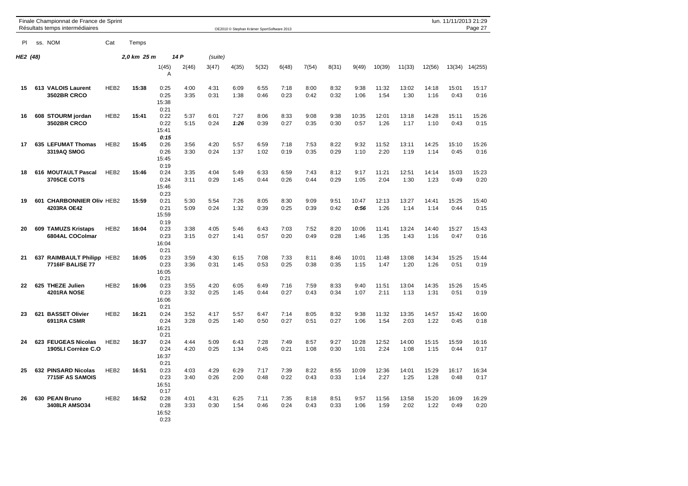|          |     | Finale Championnat de France de Sprint<br>Résultats temps intermédiaires |                  |             |                               |              |              |              | OE2010 C Stephan Krämer SportSoftware 2013 |              |              |              |               |               |               |               | lun. 11/11/2013 21:29 | Page 27       |
|----------|-----|--------------------------------------------------------------------------|------------------|-------------|-------------------------------|--------------|--------------|--------------|--------------------------------------------|--------------|--------------|--------------|---------------|---------------|---------------|---------------|-----------------------|---------------|
| PI       |     | ss. NOM                                                                  | Cat              | Temps       |                               |              |              |              |                                            |              |              |              |               |               |               |               |                       |               |
| HE2 (48) |     |                                                                          |                  | 2,0 km 25 m |                               | 14 P         | (suite)      |              |                                            |              |              |              |               |               |               |               |                       |               |
|          |     |                                                                          |                  |             | 1(45)<br>Α                    | 2(46)        | 3(47)        | 4(35)        | 5(32)                                      | 6(48)        | 7(54)        | 8(31)        | 9(49)         | 10(39)        | 11(33)        | 12(56)        | 13(34)                | 14(255)       |
| 15       |     | 613 VALOIS Laurent<br><b>3502BR CRCO</b>                                 | HEB <sub>2</sub> | 15:38       | 0:25<br>0:25<br>15:38<br>0:21 | 4:00<br>3:35 | 4:31<br>0:31 | 6:09<br>1:38 | 6:55<br>0:46                               | 7:18<br>0:23 | 8:00<br>0:42 | 8:32<br>0:32 | 9:38<br>1:06  | 11:32<br>1:54 | 13:02<br>1:30 | 14:18<br>1:16 | 15:01<br>0:43         | 15:17<br>0:16 |
| 16       |     | 608 STOURM jordan<br><b>3502BR CRCO</b>                                  | HEB <sub>2</sub> | 15:41       | 0:22<br>0:22<br>15:41<br>0:15 | 5:37<br>5:15 | 6:01<br>0:24 | 7:27<br>1:26 | 8:06<br>0:39                               | 8:33<br>0:27 | 9:08<br>0:35 | 9:38<br>0:30 | 10:35<br>0:57 | 12:01<br>1:26 | 13:18<br>1:17 | 14:28<br>1:10 | 15:11<br>0:43         | 15:26<br>0:15 |
| 17       |     | 635 LEFUMAT Thomas<br>3319AQ SMOG                                        | HEB <sub>2</sub> | 15:45       | 0:26<br>0:26<br>15:45<br>0:19 | 3:56<br>3:30 | 4:20<br>0:24 | 5:57<br>1:37 | 6:59<br>1:02                               | 7:18<br>0:19 | 7:53<br>0:35 | 8:22<br>0:29 | 9:32<br>1:10  | 11:52<br>2:20 | 13:11<br>1:19 | 14:25<br>1:14 | 15:10<br>0:45         | 15:26<br>0:16 |
| 18       |     | 616 MOUTAULT Pascal<br><b>3705CE COTS</b>                                | HEB <sub>2</sub> | 15:46       | 0:24<br>0:24<br>15:46<br>0:23 | 3:35<br>3:11 | 4:04<br>0:29 | 5:49<br>1:45 | 6:33<br>0:44                               | 6:59<br>0:26 | 7:43<br>0:44 | 8:12<br>0:29 | 9:17<br>1:05  | 11:21<br>2:04 | 12:51<br>1:30 | 14:14<br>1:23 | 15:03<br>0:49         | 15:23<br>0:20 |
| 19       | 601 | <b>CHARBONNIER Oliv HEB2</b><br>4203RA OE42                              |                  | 15:59       | 0:21<br>0:21<br>15:59<br>0:19 | 5:30<br>5:09 | 5:54<br>0:24 | 7:26<br>1:32 | 8:05<br>0:39                               | 8:30<br>0:25 | 9:09<br>0:39 | 9:51<br>0:42 | 10:47<br>0:56 | 12:13<br>1:26 | 13:27<br>1:14 | 14:41<br>1:14 | 15:25<br>0:44         | 15:40<br>0:15 |
| 20       |     | 609 TAMUZS Kristaps<br>6804AL COColmar                                   | HEB <sub>2</sub> | 16:04       | 0:23<br>0:23<br>16:04<br>0:21 | 3:38<br>3:15 | 4:05<br>0:27 | 5:46<br>1:41 | 6:43<br>0:57                               | 7:03<br>0:20 | 7:52<br>0:49 | 8:20<br>0:28 | 10:06<br>1:46 | 11:41<br>1:35 | 13:24<br>1:43 | 14:40<br>1:16 | 15:27<br>0:47         | 15:43<br>0:16 |
| 21       |     | 637 RAIMBAULT Philipp HEB2<br><b>7716IF BALISE 77</b>                    |                  | 16:05       | 0:23<br>0:23<br>16:05<br>0:21 | 3:59<br>3:36 | 4:30<br>0:31 | 6:15<br>1:45 | 7:08<br>0:53                               | 7:33<br>0:25 | 8:11<br>0:38 | 8:46<br>0:35 | 10:01<br>1:15 | 11:48<br>1:47 | 13:08<br>1:20 | 14:34<br>1:26 | 15:25<br>0:51         | 15:44<br>0:19 |
| 22       |     | 625 THEZE Julien<br>4201RA NOSE                                          | HEB <sub>2</sub> | 16:06       | 0:23<br>0:23<br>16:06<br>0:21 | 3:55<br>3:32 | 4:20<br>0:25 | 6:05<br>1:45 | 6:49<br>0:44                               | 7:16<br>0:27 | 7:59<br>0:43 | 8:33<br>0:34 | 9:40<br>1:07  | 11:51<br>2:11 | 13:04<br>1:13 | 14:35<br>1:31 | 15:26<br>0:51         | 15:45<br>0:19 |
| 23       |     | 621 BASSET Olivier<br>6911RA CSMR                                        | HEB <sub>2</sub> | 16:21       | 0:24<br>0:24<br>16:21<br>0:21 | 3:52<br>3:28 | 4:17<br>0:25 | 5:57<br>1:40 | 6:47<br>0:50                               | 7:14<br>0:27 | 8:05<br>0:51 | 8:32<br>0:27 | 9:38<br>1:06  | 11:32<br>1:54 | 13:35<br>2:03 | 14:57<br>1:22 | 15:42<br>0:45         | 16:00<br>0:18 |
| 24       |     | 623 FEUGEAS Nicolas<br>1905LI Corrèze C.O                                | HEB <sub>2</sub> | 16:37       | 0:24<br>0:24<br>16:37<br>0:21 | 4:44<br>4:20 | 5:09<br>0:25 | 6:43<br>1:34 | 7:28<br>0:45                               | 7:49<br>0:21 | 8:57<br>1:08 | 9:27<br>0:30 | 10:28<br>1:01 | 12:52<br>2:24 | 14:00<br>1:08 | 15:15<br>1:15 | 15:59<br>0:44         | 16:16<br>0:17 |
| 25       |     | 632 PINSARD Nicolas<br>7715IF AS SAMOIS                                  | HEB <sub>2</sub> | 16:51       | 0:23<br>0:23<br>16:51<br>0:17 | 4:03<br>3:40 | 4:29<br>0:26 | 6:29<br>2:00 | 7:17<br>0:48                               | 7:39<br>0:22 | 8:22<br>0:43 | 8:55<br>0:33 | 10:09<br>1:14 | 12:36<br>2:27 | 14:01<br>1:25 | 15:29<br>1:28 | 16:17<br>0:48         | 16:34<br>0:17 |
| 26       |     | 630 PEAN Bruno<br>3408LR AMSO34                                          | HEB <sub>2</sub> | 16:52       | 0:28<br>0:28<br>16:52<br>0:23 | 4:01<br>3:33 | 4:31<br>0:30 | 6:25<br>1:54 | 7:11<br>0:46                               | 7:35<br>0:24 | 8:18<br>0:43 | 8:51<br>0:33 | 9:57<br>1:06  | 11:56<br>1:59 | 13:58<br>2:02 | 15:20<br>1:22 | 16:09<br>0:49         | 16:29<br>0:20 |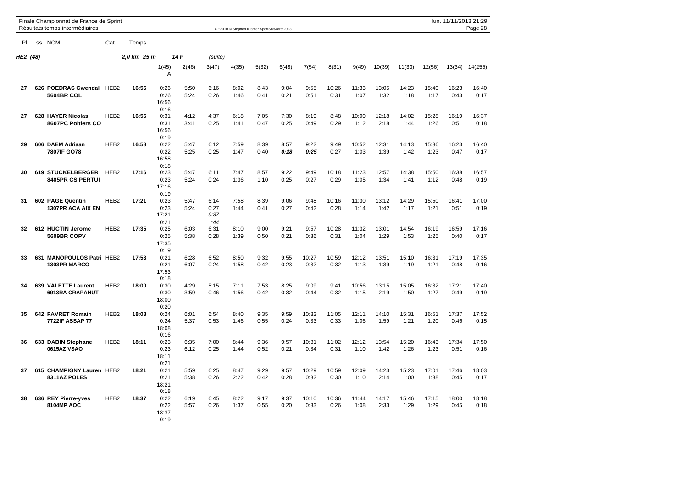|          |     | Finale Championnat de France de Sprint<br>Résultats temps intermédiaires |                  |             |                               |              |                               |              | OE2010 © Stephan Krämer SportSoftware 2013 |              |               |               |               |               |               |               |               | lun. 11/11/2013 21:29<br>Page 28 |
|----------|-----|--------------------------------------------------------------------------|------------------|-------------|-------------------------------|--------------|-------------------------------|--------------|--------------------------------------------|--------------|---------------|---------------|---------------|---------------|---------------|---------------|---------------|----------------------------------|
| PI       |     | ss. NOM                                                                  | Cat              | Temps       |                               |              |                               |              |                                            |              |               |               |               |               |               |               |               |                                  |
| HE2 (48) |     |                                                                          |                  | 2,0 km 25 m |                               | 14 P         | (suite)                       |              |                                            |              |               |               |               |               |               |               |               |                                  |
|          |     |                                                                          |                  |             | 1(45)<br>A                    | 2(46)        | 3(47)                         | 4(35)        | 5(32)                                      | 6(48)        | 7(54)         | 8(31)         | 9(49)         | 10(39)        | 11(33)        | 12(56)        | 13(34)        | 14(255)                          |
| 27       |     | 626 POEDRAS Gwendal HEB2<br>5604BR COL                                   |                  | 16:56       | 0:26<br>0:26<br>16:56<br>0:16 | 5:50<br>5:24 | 6:16<br>0:26                  | 8:02<br>1:46 | 8:43<br>0:41                               | 9:04<br>0:21 | 9:55<br>0:51  | 10:26<br>0:31 | 11:33<br>1:07 | 13:05<br>1:32 | 14:23<br>1:18 | 15:40<br>1:17 | 16:23<br>0:43 | 16:40<br>0:17                    |
| 27       |     | 628 HAYER Nicolas<br>8607PC Poitiers CO                                  | HEB <sub>2</sub> | 16:56       | 0:31<br>0:31<br>16:56<br>0:19 | 4:12<br>3:41 | 4:37<br>0:25                  | 6:18<br>1:41 | 7:05<br>0:47                               | 7:30<br>0:25 | 8:19<br>0:49  | 8:48<br>0:29  | 10:00<br>1:12 | 12:18<br>2:18 | 14:02<br>1:44 | 15:28<br>1:26 | 16:19<br>0:51 | 16:37<br>0:18                    |
| 29       |     | 606 DAEM Adriaan<br>7807IF GO78                                          | HEB <sub>2</sub> | 16:58       | 0:22<br>0:22<br>16:58<br>0:18 | 5:47<br>5:25 | 6:12<br>0:25                  | 7:59<br>1:47 | 8:39<br>0:40                               | 8:57<br>0:18 | 9:22<br>0:25  | 9:49<br>0:27  | 10:52<br>1:03 | 12:31<br>1:39 | 14:13<br>1:42 | 15:36<br>1:23 | 16:23<br>0:47 | 16:40<br>0:17                    |
| 30       | 619 | <b>STUCKELBERGER</b><br>8405PR CS PERTUI                                 | HEB <sub>2</sub> | 17:16       | 0:23<br>0:23<br>17:16<br>0:19 | 5:47<br>5:24 | 6:11<br>0:24                  | 7:47<br>1:36 | 8:57<br>1:10                               | 9:22<br>0:25 | 9:49<br>0:27  | 10:18<br>0:29 | 11:23<br>1:05 | 12:57<br>1:34 | 14:38<br>1:41 | 15:50<br>1:12 | 16:38<br>0:48 | 16:57<br>0:19                    |
| 31       |     | 602 PAGE Quentin<br><b>1307PR ACA AIX EN</b>                             | HEB <sub>2</sub> | 17:21       | 0:23<br>0:23<br>17:21<br>0:21 | 5:47<br>5:24 | 6:14<br>0:27<br>9:37<br>$*44$ | 7:58<br>1:44 | 8:39<br>0:41                               | 9:06<br>0:27 | 9:48<br>0:42  | 10:16<br>0:28 | 11:30<br>1:14 | 13:12<br>1:42 | 14:29<br>1:17 | 15:50<br>1:21 | 16:41<br>0:51 | 17:00<br>0:19                    |
| 32       |     | 612 HUCTIN Jerome<br>5609BR COPV                                         | HEB <sub>2</sub> | 17:35       | 0:25<br>0:25<br>17:35<br>0:19 | 6:03<br>5:38 | 6:31<br>0:28                  | 8:10<br>1:39 | 9:00<br>0:50                               | 9:21<br>0:21 | 9:57<br>0:36  | 10:28<br>0:31 | 11:32<br>1:04 | 13:01<br>1:29 | 14:54<br>1:53 | 16:19<br>1:25 | 16:59<br>0:40 | 17:16<br>0:17                    |
| 33       | 631 | <b>MANOPOULOS Patri HEB2</b><br>1303PR MARCO                             |                  | 17:53       | 0:21<br>0:21<br>17:53<br>0:18 | 6:28<br>6:07 | 6:52<br>0:24                  | 8:50<br>1:58 | 9:32<br>0:42                               | 9:55<br>0:23 | 10:27<br>0:32 | 10:59<br>0:32 | 12:12<br>1:13 | 13:51<br>1:39 | 15:10<br>1:19 | 16:31<br>1:21 | 17:19<br>0:48 | 17:35<br>0:16                    |
| 34       |     | 639 VALETTE Laurent<br>6913RA CRAPAHUT                                   | HEB <sub>2</sub> | 18:00       | 0:30<br>0:30<br>18:00<br>0:20 | 4:29<br>3:59 | 5:15<br>0:46                  | 7:11<br>1:56 | 7:53<br>0:42                               | 8:25<br>0:32 | 9:09<br>0:44  | 9:41<br>0:32  | 10:56<br>1:15 | 13:15<br>2:19 | 15:05<br>1:50 | 16:32<br>1:27 | 17:21<br>0:49 | 17:40<br>0:19                    |
| 35       |     | 642 FAVRET Romain<br>7722IF ASSAP 77                                     | HEB <sub>2</sub> | 18:08       | 0:24<br>0:24<br>18:08<br>0:16 | 6:01<br>5:37 | 6:54<br>0:53                  | 8:40<br>1:46 | 9:35<br>0:55                               | 9:59<br>0:24 | 10:32<br>0:33 | 11:05<br>0:33 | 12:11<br>1:06 | 14:10<br>1:59 | 15:31<br>1:21 | 16:51<br>1:20 | 17:37<br>0:46 | 17:52<br>0:15                    |
| 36       |     | 633 DABIN Stephane<br>0615AZ VSAO                                        | HEB <sub>2</sub> | 18:11       | 0:23<br>0:23<br>18:11<br>0:21 | 6:35<br>6:12 | 7:00<br>0:25                  | 8:44<br>1:44 | 9:36<br>0:52                               | 9:57<br>0:21 | 10:31<br>0:34 | 11:02<br>0:31 | 12:12<br>1:10 | 13:54<br>1:42 | 15:20<br>1:26 | 16:43<br>1:23 | 17:34<br>0:51 | 17:50<br>0:16                    |
| 37       | 615 | <b>CHAMPIGNY Lauren HEB2</b><br>8311AZ POLES                             |                  | 18:21       | 0:21<br>0:21<br>18:21<br>0:18 | 5:59<br>5:38 | 6:25<br>0:26                  | 8:47<br>2:22 | 9:29<br>0:42                               | 9:57<br>0:28 | 10:29<br>0:32 | 10:59<br>0:30 | 12:09<br>1:10 | 14:23<br>2:14 | 15:23<br>1:00 | 17:01<br>1:38 | 17:46<br>0:45 | 18:03<br>0:17                    |
| 38       |     | 636 REY Pierre-yves<br><b>8104MP AOC</b>                                 | HEB <sub>2</sub> | 18:37       | 0:22<br>0:22<br>18:37<br>0:19 | 6:19<br>5:57 | 6:45<br>0:26                  | 8:22<br>1:37 | 9:17<br>0:55                               | 9:37<br>0:20 | 10:10<br>0:33 | 10:36<br>0:26 | 11:44<br>1:08 | 14:17<br>2:33 | 15:46<br>1:29 | 17:15<br>1:29 | 18:00<br>0:45 | 18:18<br>0:18                    |